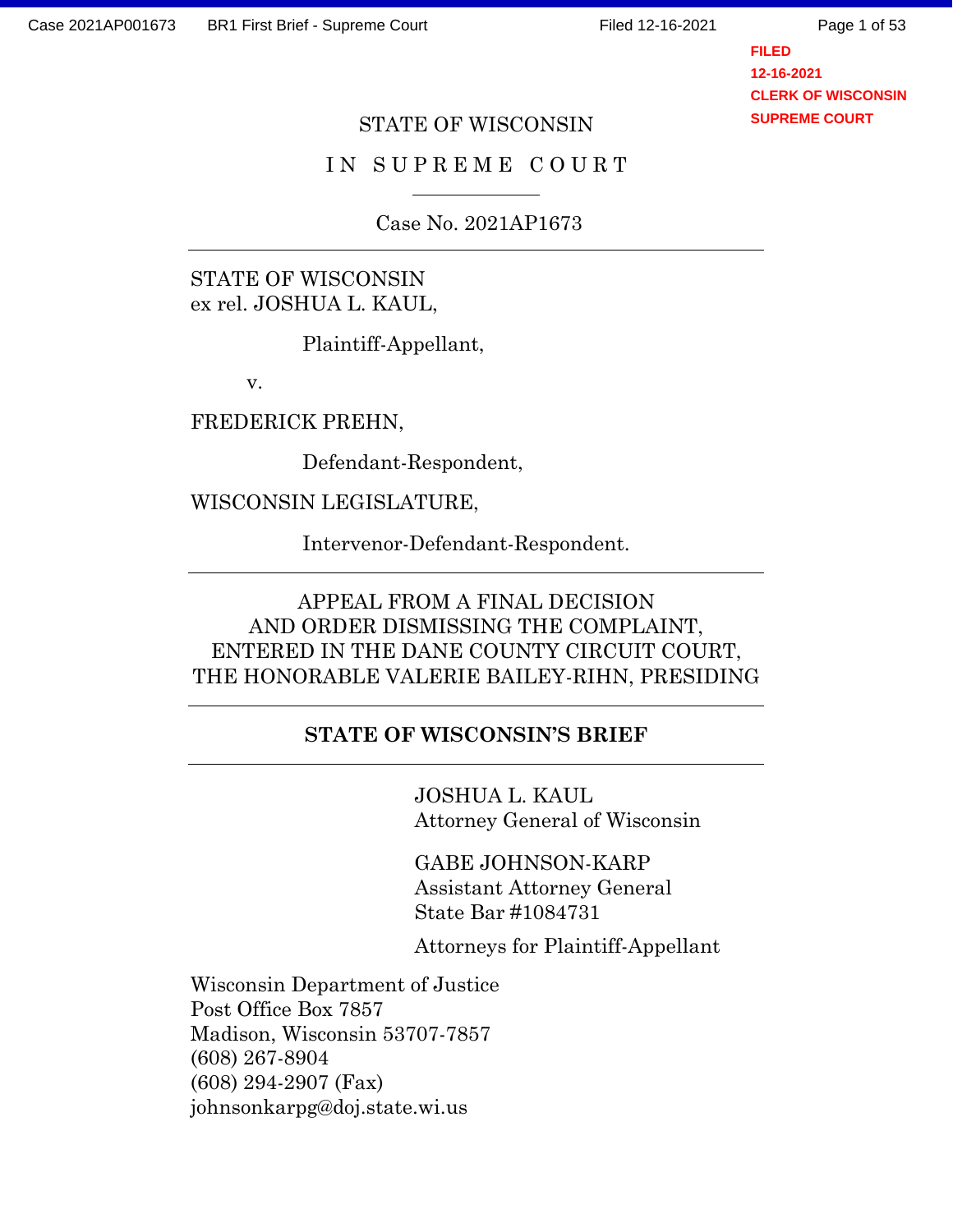**FILED 12-16-2021 CLERK OF WISCONSIN SUPREME COURT**

#### STATE OF WISCONSIN

#### I N S U P R E M E C O U R T

Case No. 2021AP1673

STATE OF WISCONSIN ex rel. JOSHUA L. KAUL,

Plaintiff-Appellant,

v.

FREDERICK PREHN,

Defendant-Respondent,

WISCONSIN LEGISLATURE,

Intervenor-Defendant-Respondent.

## APPEAL FROM A FINAL DECISION AND ORDER DISMISSING THE COMPLAINT, ENTERED IN THE DANE COUNTY CIRCUIT COURT, THE HONORABLE VALERIE BAILEY-RIHN, PRESIDING

#### **STATE OF WISCONSIN'S BRIEF**

JOSHUA L. KAUL Attorney General of Wisconsin

GABE JOHNSON-KARP Assistant Attorney General State Bar #1084731

Attorneys for Plaintiff-Appellant

Wisconsin Department of Justice Post Office Box 7857 Madison, Wisconsin 53707-7857 (608) 267-8904 (608) 294-2907 (Fax) johnsonkarpg@doj.state.wi.us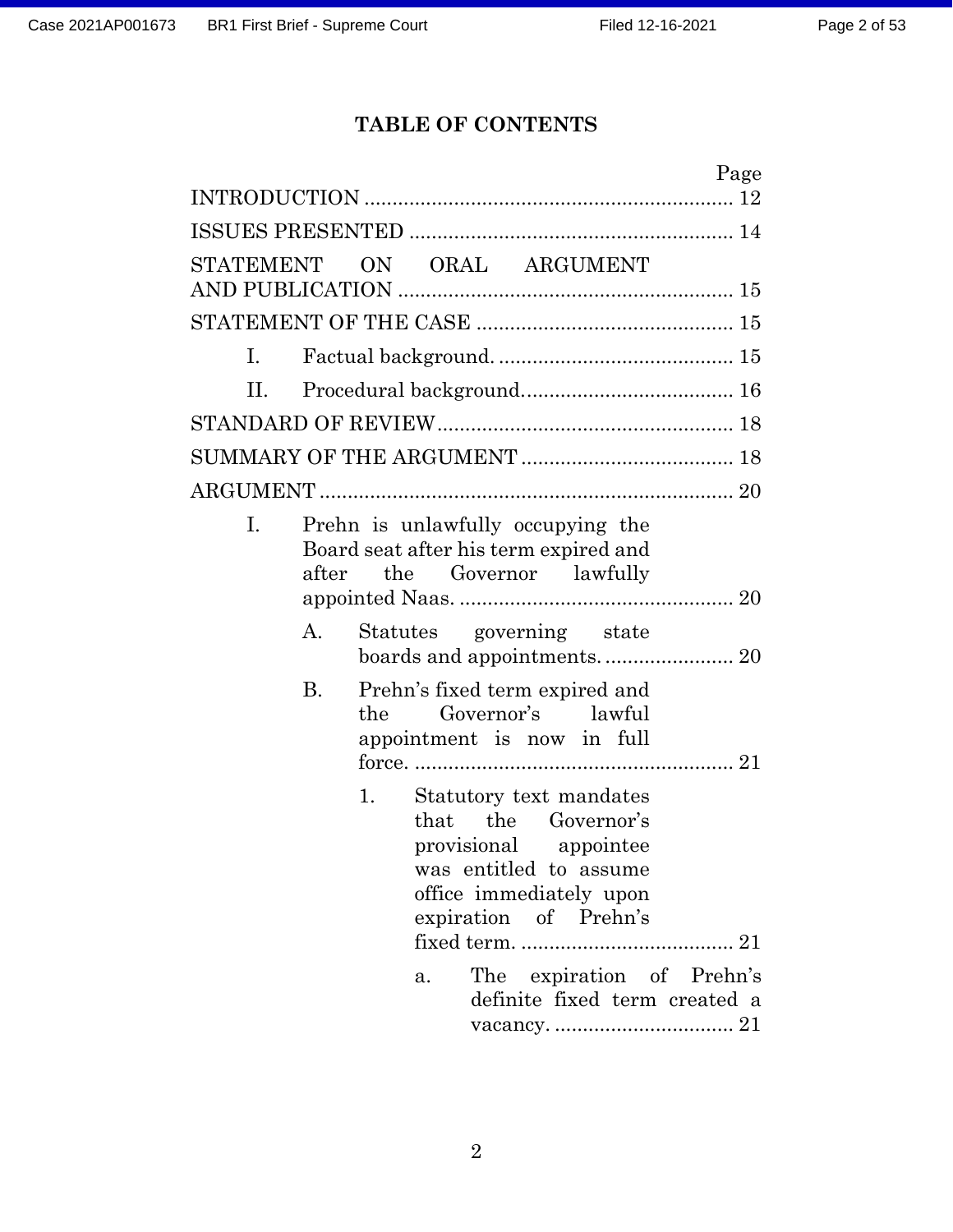# **TABLE OF CONTENTS**

| Page                                                                                                                                                                                                                            |
|---------------------------------------------------------------------------------------------------------------------------------------------------------------------------------------------------------------------------------|
|                                                                                                                                                                                                                                 |
| ON ORAL ARGUMENT<br>STATEMENT                                                                                                                                                                                                   |
|                                                                                                                                                                                                                                 |
|                                                                                                                                                                                                                                 |
| $\mathbf{I}$ .                                                                                                                                                                                                                  |
| II.                                                                                                                                                                                                                             |
|                                                                                                                                                                                                                                 |
|                                                                                                                                                                                                                                 |
|                                                                                                                                                                                                                                 |
| Prehn is unlawfully occupying the<br>I.<br>Board seat after his term expired and<br>after the Governor lawfully                                                                                                                 |
| Statutes governing state<br>Α.                                                                                                                                                                                                  |
| <b>B.</b><br>Prehn's fixed term expired and<br>Governor's lawful<br>the<br>appointment is now in full                                                                                                                           |
| Statutory text mandates<br>1.<br>that the Governor's<br>provisional appointee<br>was entitled to assume<br>office immediately upon<br>expiration of Prehn's<br>The expiration of Prehn's<br>a.<br>definite fixed term created a |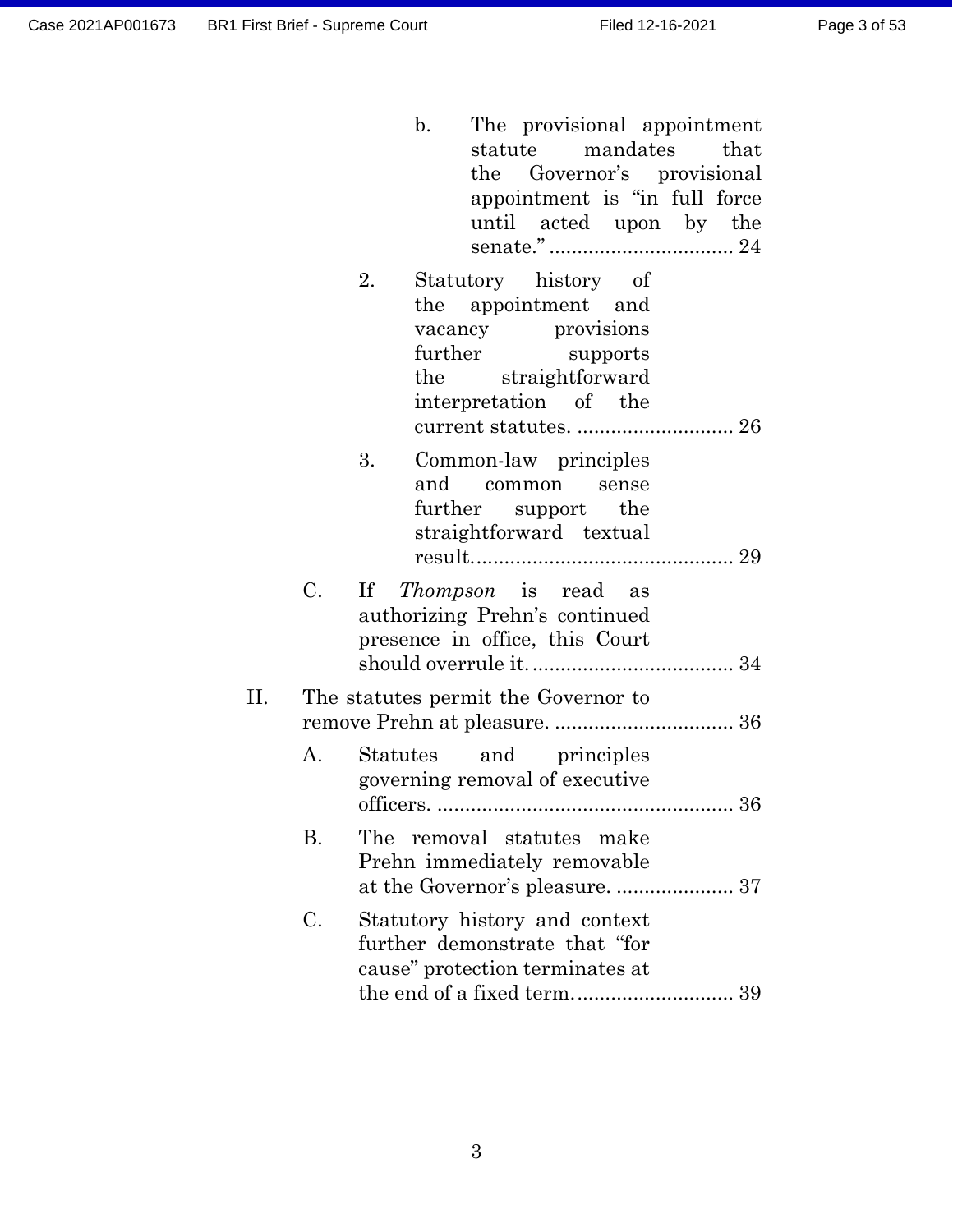|    |    | $\mathbf{b}$ .<br>The provisional appointment<br>statute mandates that<br>the Governor's provisional<br>appointment is "in full force<br>until acted upon by the |  |
|----|----|------------------------------------------------------------------------------------------------------------------------------------------------------------------|--|
|    |    | 2.<br>Statutory history of<br>the appointment and<br>vacancy provisions<br>further supports<br>the straightforward<br>interpretation of the                      |  |
|    |    | 3.<br>Common-law principles<br>and common sense<br>further support the<br>straightforward textual                                                                |  |
|    | C. | If <i>Thompson</i> is read as<br>authorizing Prehn's continued<br>presence in office, this Court                                                                 |  |
| П. |    | The statutes permit the Governor to                                                                                                                              |  |
|    | A. | Statutes and principles<br>governing removal of executive<br>36<br>officers.                                                                                     |  |
|    | Β. | removal statutes make<br>The<br>Prehn immediately removable                                                                                                      |  |
|    | C. | Statutory history and context<br>further demonstrate that "for<br>cause" protection terminates at                                                                |  |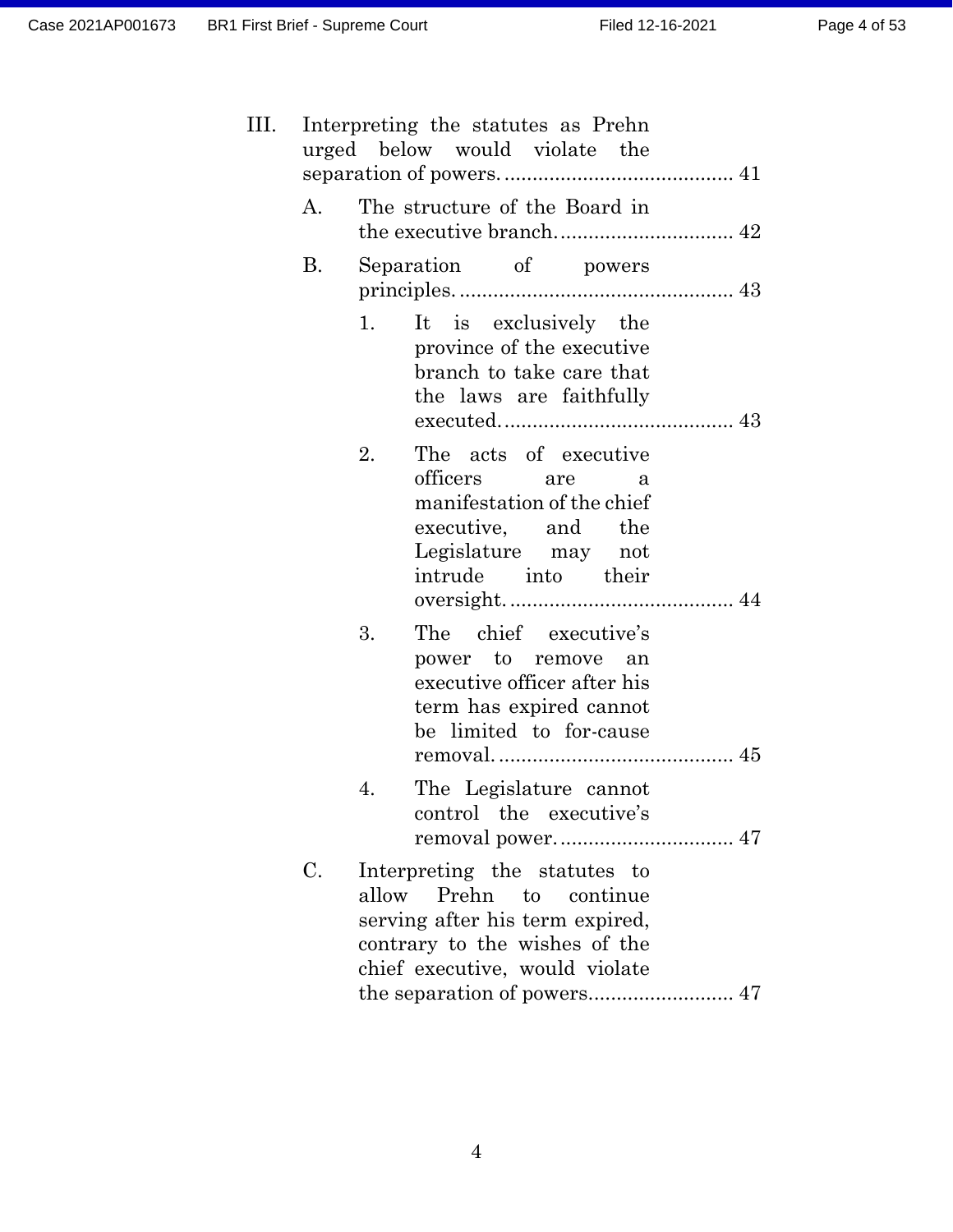| III. |    | Interpreting the statutes as Prehn<br>urged below would violate the                                                                                              |
|------|----|------------------------------------------------------------------------------------------------------------------------------------------------------------------|
|      | А. | The structure of the Board in                                                                                                                                    |
|      | Β. | Separation of powers                                                                                                                                             |
|      |    | It is exclusively the<br>1.<br>province of the executive<br>branch to take care that<br>the laws are faithfully                                                  |
|      |    | The acts of executive<br>2.<br>officers are<br>a<br>manifestation of the chief<br>executive, and the<br>Legislature may not<br>intrude into their                |
|      |    | The chief executive's<br>3.<br>power to remove an<br>executive officer after his<br>term has expired cannot<br>be limited to for-cause                           |
|      |    | 4.<br>The Legislature cannot<br>control the executive's                                                                                                          |
|      | C. | Interpreting the statutes to<br>allow<br>Prehn to continue<br>serving after his term expired,<br>contrary to the wishes of the<br>chief executive, would violate |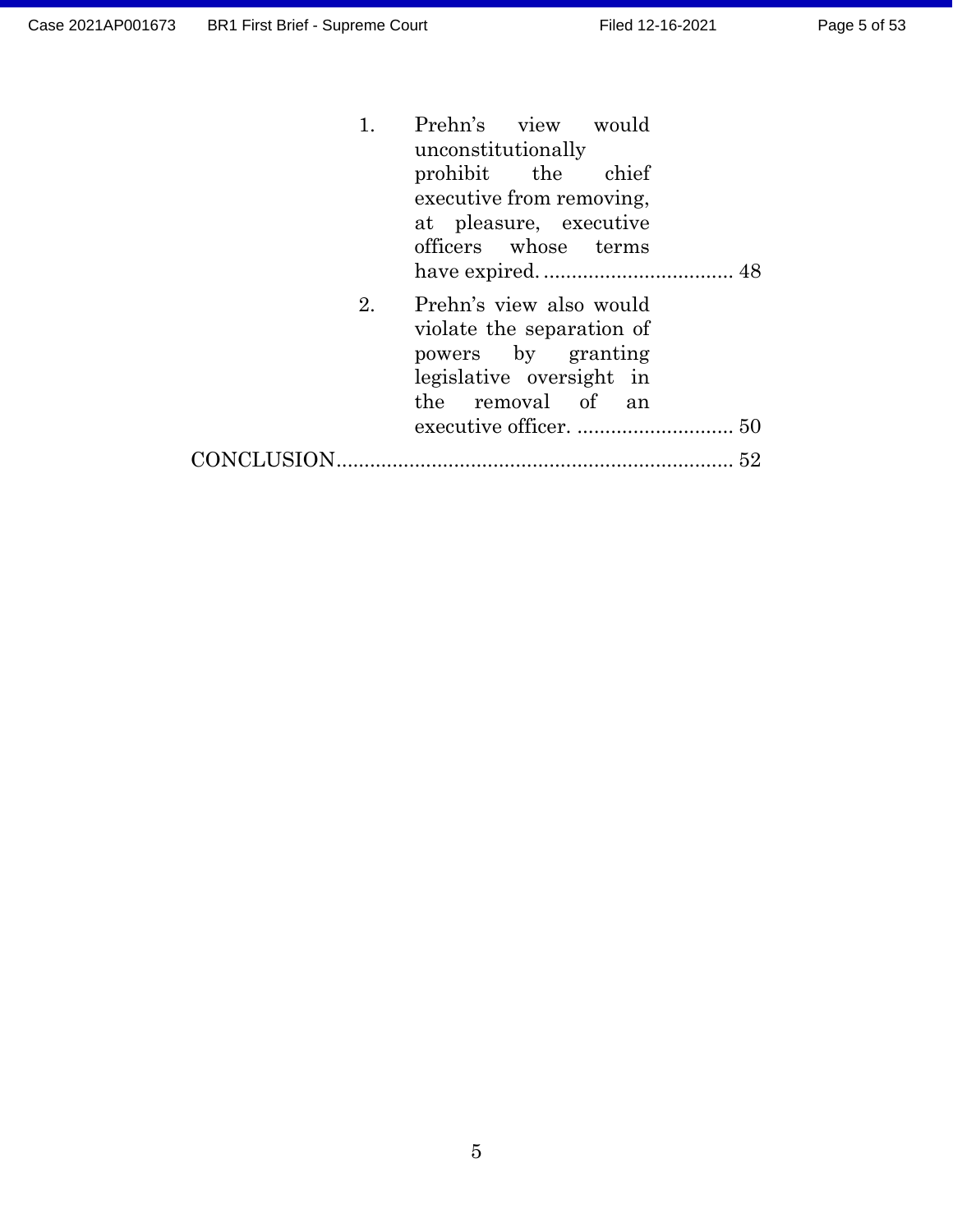| 1. | Prehn's view would<br>unconstitutionally<br>prohibit the chief<br>executive from removing,<br>at pleasure, executive<br>officers whose terms |
|----|----------------------------------------------------------------------------------------------------------------------------------------------|
| 2. | Prehn's view also would<br>violate the separation of<br>powers by granting<br>legislative oversight in<br>the removal of an                  |
|    | 52                                                                                                                                           |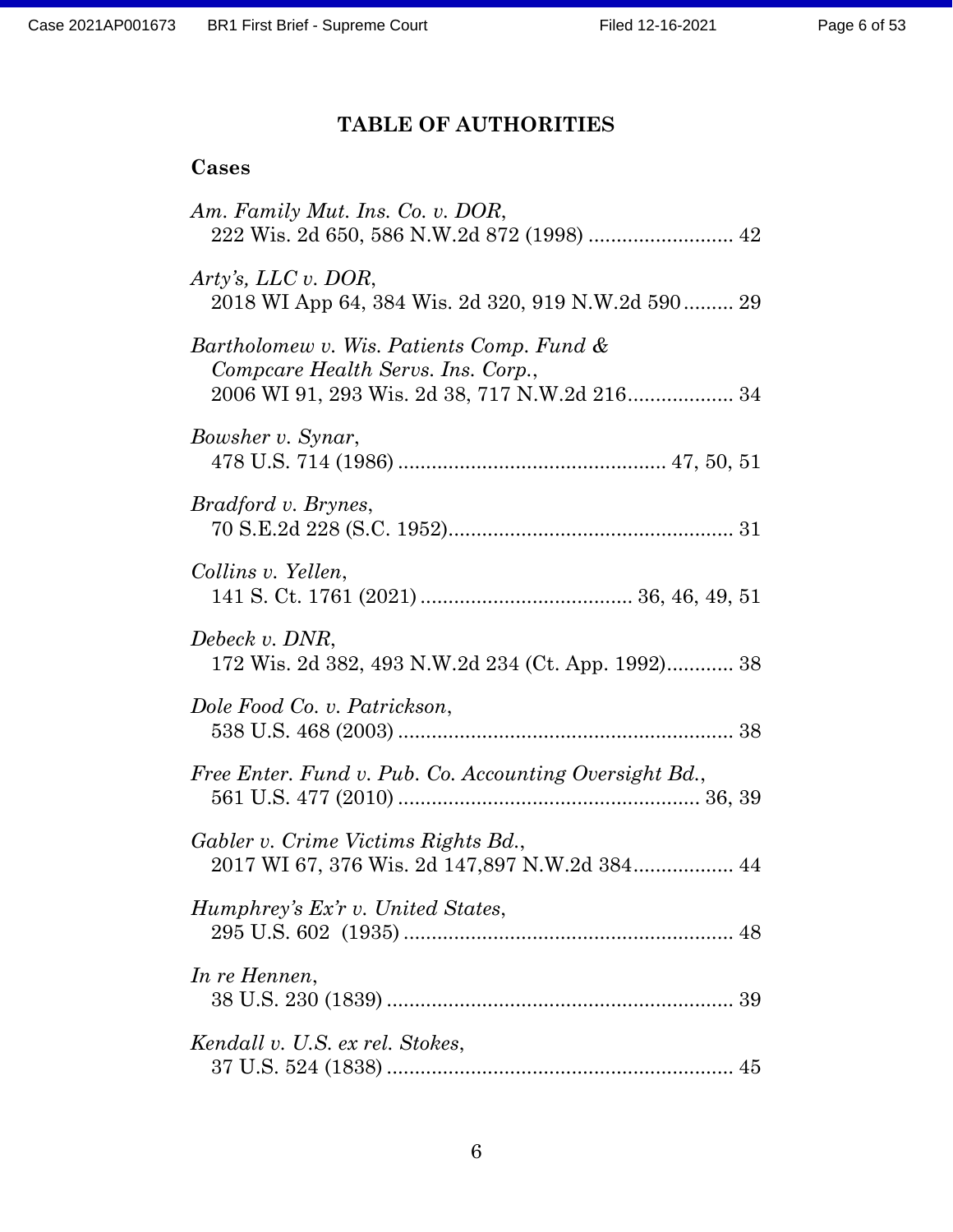# **TABLE OF AUTHORITIES**

## **Cases**

| Am. Family Mut. Ins. Co. v. DOR,<br>222 Wis. 2d 650, 586 N.W.2d 872 (1998)  42                                                   |
|----------------------------------------------------------------------------------------------------------------------------------|
| Arty's, LLC v. DOR,<br>2018 WI App 64, 384 Wis. 2d 320, 919 N.W.2d 590 29                                                        |
| Bartholomew v. Wis. Patients Comp. Fund &<br>Compcare Health Servs. Ins. Corp.,<br>2006 WI 91, 293 Wis. 2d 38, 717 N.W.2d 216 34 |
| Bowsher v. Synar,                                                                                                                |
| <i>Bradford v. Brynes,</i>                                                                                                       |
| Collins v. Yellen,                                                                                                               |
| Debeck v. DNR,<br>172 Wis. 2d 382, 493 N.W.2d 234 (Ct. App. 1992) 38                                                             |
| Dole Food Co. v. Patrickson,                                                                                                     |
| Free Enter. Fund v. Pub. Co. Accounting Oversight Bd.,                                                                           |
| Gabler v. Crime Victims Rights Bd.,<br>2017 WI 67, 376 Wis. 2d 147,897 N.W.2d 384 44                                             |
| Humphrey's Ex'r v. United States,                                                                                                |
| In re Hennen,                                                                                                                    |
| Kendall v. U.S. ex rel. Stokes,                                                                                                  |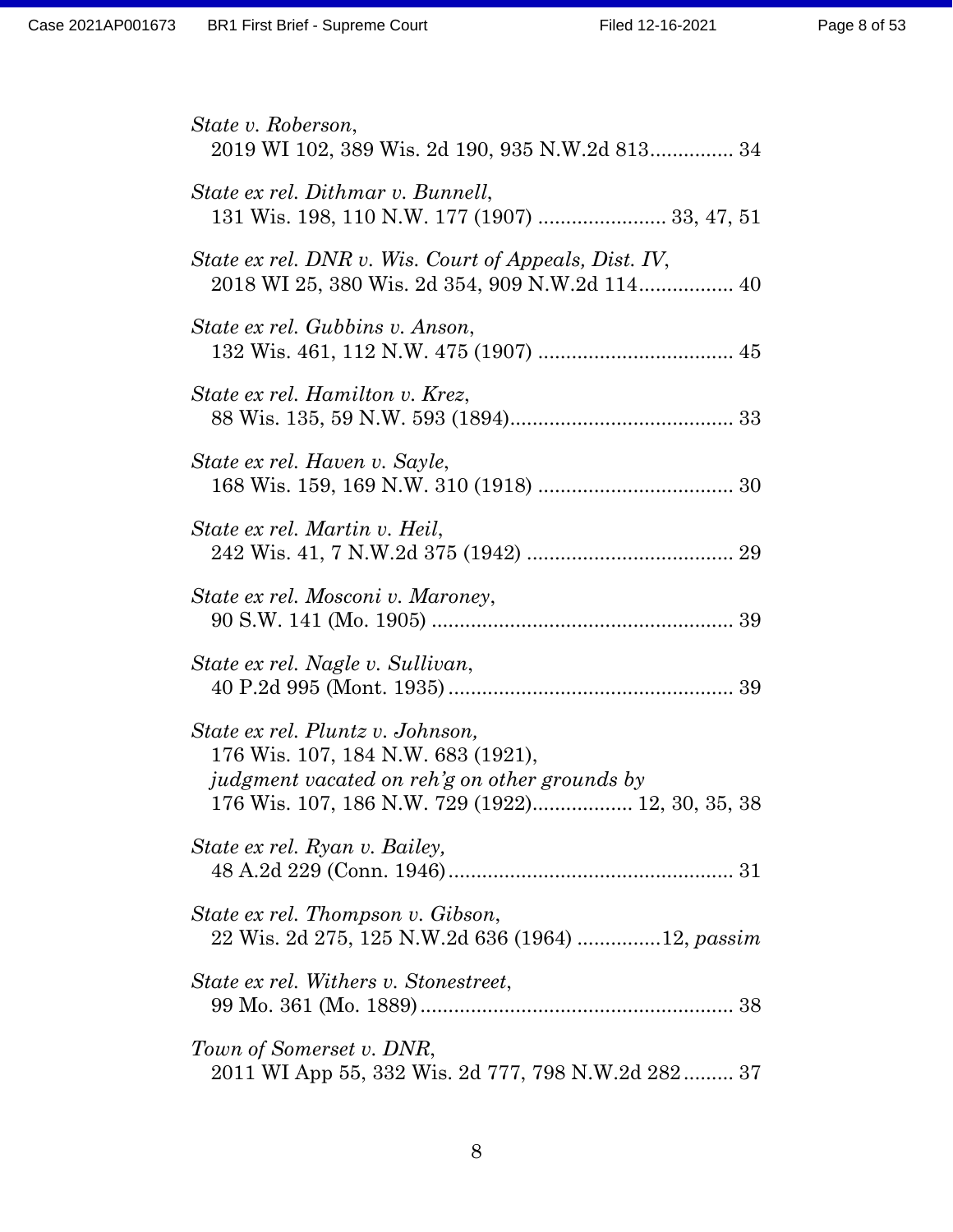| State v. Roberson,                                                                                                                                                          |
|-----------------------------------------------------------------------------------------------------------------------------------------------------------------------------|
| 2019 WI 102, 389 Wis. 2d 190, 935 N.W.2d 813 34                                                                                                                             |
| State ex rel. Dithmar v. Bunnell,<br>131 Wis. 198, 110 N.W. 177 (1907)  33, 47, 51                                                                                          |
| State ex rel. DNR v. Wis. Court of Appeals, Dist. IV,<br>2018 WI 25, 380 Wis. 2d 354, 909 N.W.2d 114 40                                                                     |
| State ex rel. Gubbins v. Anson,                                                                                                                                             |
| State ex rel. Hamilton v. Krez,                                                                                                                                             |
| State ex rel. Haven v. Sayle,                                                                                                                                               |
| State ex rel. Martin v. Heil,                                                                                                                                               |
| State ex rel. Mosconi v. Maroney,                                                                                                                                           |
| State ex rel. Nagle v. Sullivan,                                                                                                                                            |
| State ex rel. Pluntz v. Johnson,<br>176 Wis. 107, 184 N.W. 683 (1921),<br>judgment vacated on reh'g on other grounds by<br>176 Wis. 107, 186 N.W. 729 (1922) 12, 30, 35, 38 |
| State ex rel. Ryan v. Bailey,                                                                                                                                               |
| State ex rel. Thompson v. Gibson,<br>22 Wis. 2d 275, 125 N.W.2d 636 (1964) 12, passim                                                                                       |
| State ex rel. Withers v. Stonestreet,                                                                                                                                       |
| Town of Somerset v. DNR,<br>2011 WI App 55, 332 Wis. 2d 777, 798 N.W.2d 282 37                                                                                              |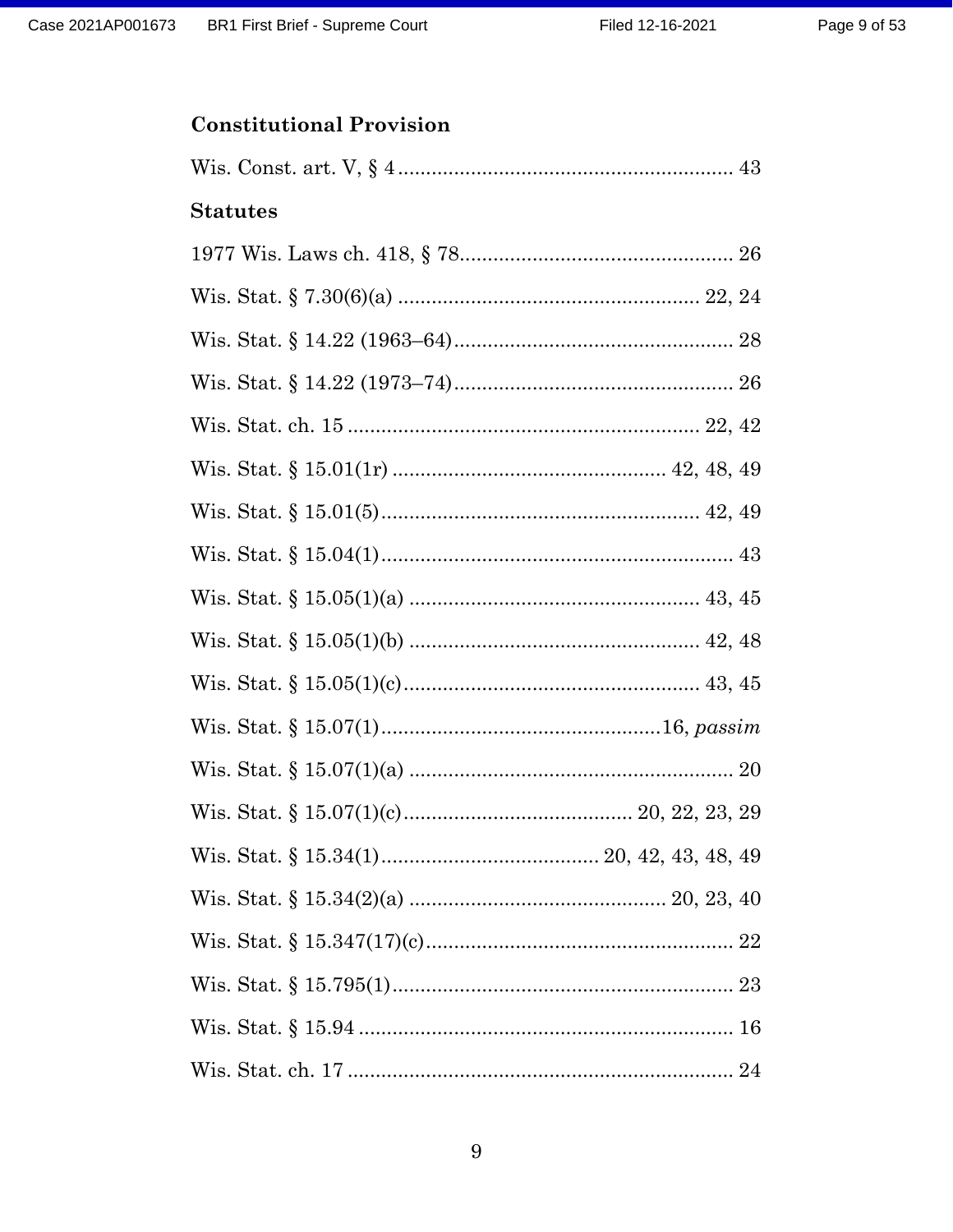## **Constitutional Provision**

| <b>Statutes</b> |
|-----------------|
|                 |
|                 |
|                 |
|                 |
|                 |
|                 |
|                 |
|                 |
|                 |
|                 |
|                 |
|                 |
|                 |
|                 |
|                 |
|                 |
|                 |
|                 |
|                 |
|                 |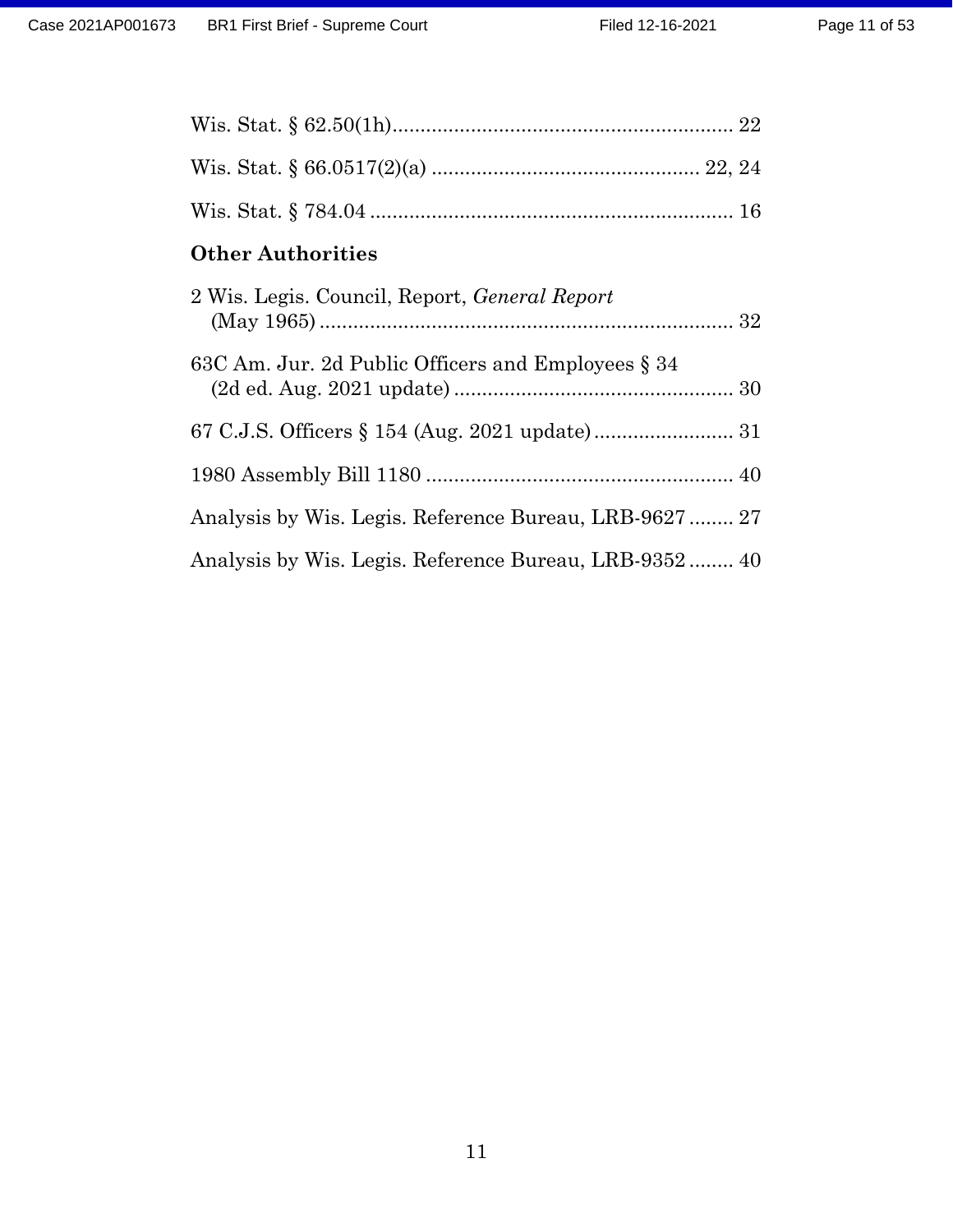| <b>Other Authorities</b>                               |
|--------------------------------------------------------|
| 2 Wis. Legis. Council, Report, <i>General Report</i>   |
| 63C Am. Jur. 2d Public Officers and Employees § 34     |
|                                                        |
|                                                        |
| Analysis by Wis. Legis. Reference Bureau, LRB-9627  27 |
| Analysis by Wis. Legis. Reference Bureau, LRB-9352 40  |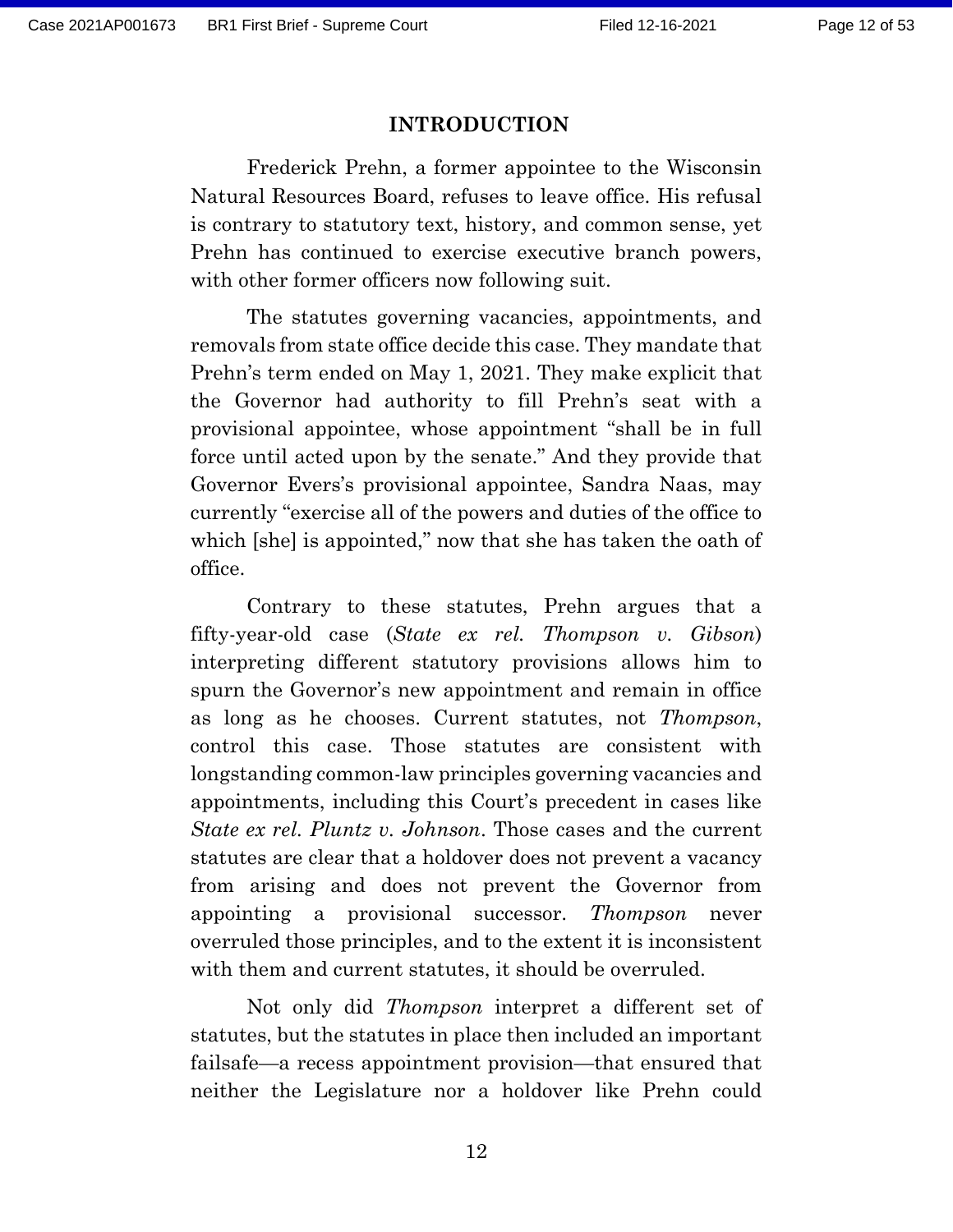#### **INTRODUCTION**

Frederick Prehn, a former appointee to the Wisconsin Natural Resources Board, refuses to leave office. His refusal is contrary to statutory text, history, and common sense, yet Prehn has continued to exercise executive branch powers, with other former officers now following suit.

The statutes governing vacancies, appointments, and removals from state office decide this case. They mandate that Prehn's term ended on May 1, 2021. They make explicit that the Governor had authority to fill Prehn's seat with a provisional appointee, whose appointment "shall be in full force until acted upon by the senate." And they provide that Governor Evers's provisional appointee, Sandra Naas, may currently "exercise all of the powers and duties of the office to which [she] is appointed," now that she has taken the oath of office.

Contrary to these statutes, Prehn argues that a fifty-year-old case (*State ex rel. Thompson v. Gibson*) interpreting different statutory provisions allows him to spurn the Governor's new appointment and remain in office as long as he chooses. Current statutes, not *Thompson*, control this case. Those statutes are consistent with longstanding common-law principles governing vacancies and appointments, including this Court's precedent in cases like *State ex rel. Pluntz v. Johnson*. Those cases and the current statutes are clear that a holdover does not prevent a vacancy from arising and does not prevent the Governor from appointing a provisional successor. *Thompson* never overruled those principles, and to the extent it is inconsistent with them and current statutes, it should be overruled.

Not only did *Thompson* interpret a different set of statutes, but the statutes in place then included an important failsafe—a recess appointment provision—that ensured that neither the Legislature nor a holdover like Prehn could

12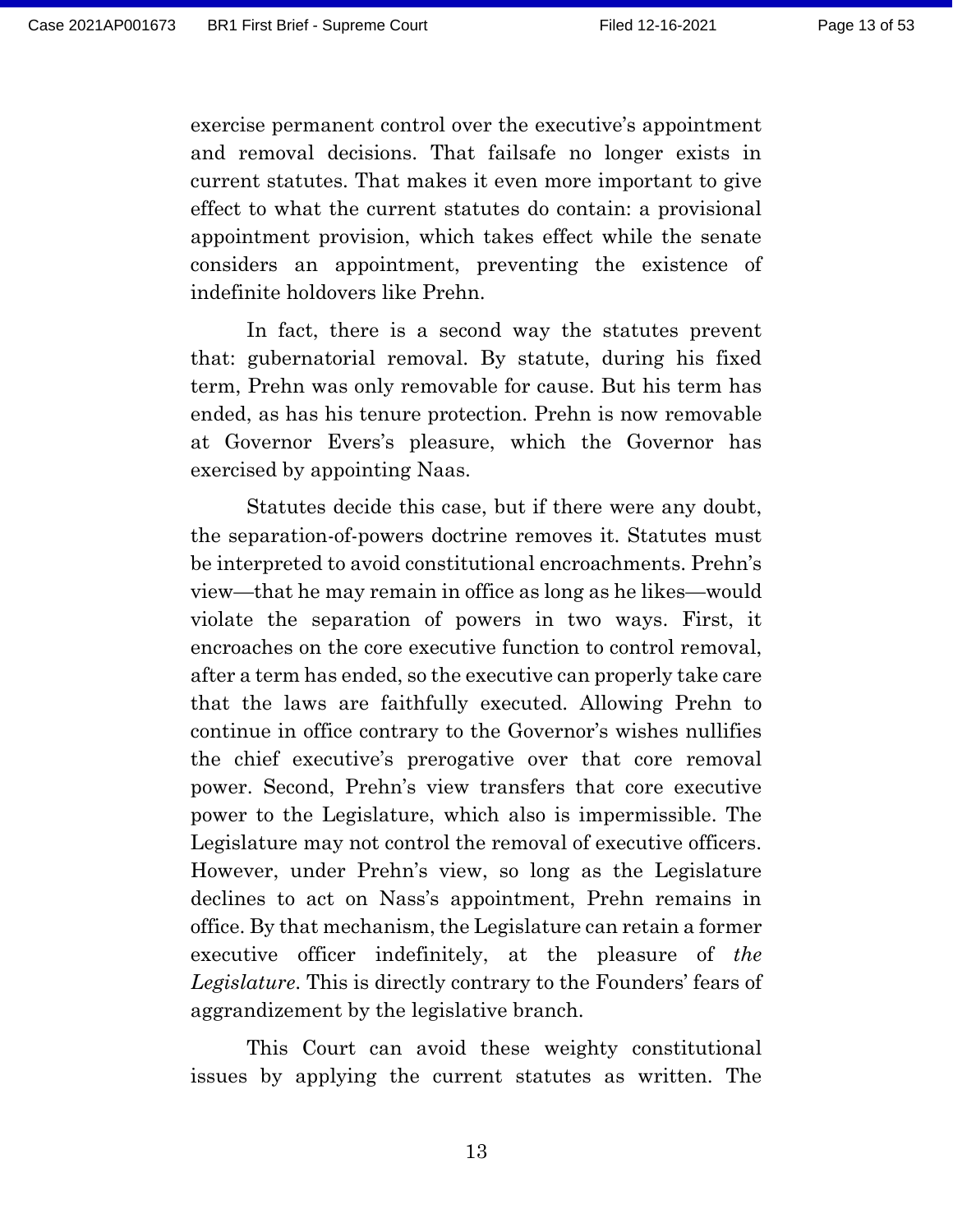exercise permanent control over the executive's appointment and removal decisions. That failsafe no longer exists in current statutes. That makes it even more important to give effect to what the current statutes do contain: a provisional appointment provision, which takes effect while the senate considers an appointment, preventing the existence of indefinite holdovers like Prehn.

In fact, there is a second way the statutes prevent that: gubernatorial removal. By statute, during his fixed term, Prehn was only removable for cause. But his term has ended, as has his tenure protection. Prehn is now removable at Governor Evers's pleasure, which the Governor has exercised by appointing Naas.

Statutes decide this case, but if there were any doubt, the separation-of-powers doctrine removes it. Statutes must be interpreted to avoid constitutional encroachments. Prehn's view—that he may remain in office as long as he likes—would violate the separation of powers in two ways. First, it encroaches on the core executive function to control removal, after a term has ended, so the executive can properly take care that the laws are faithfully executed. Allowing Prehn to continue in office contrary to the Governor's wishes nullifies the chief executive's prerogative over that core removal power. Second, Prehn's view transfers that core executive power to the Legislature, which also is impermissible. The Legislature may not control the removal of executive officers. However, under Prehn's view, so long as the Legislature declines to act on Nass's appointment, Prehn remains in office. By that mechanism, the Legislature can retain a former executive officer indefinitely, at the pleasure of *the Legislature*. This is directly contrary to the Founders' fears of aggrandizement by the legislative branch.

This Court can avoid these weighty constitutional issues by applying the current statutes as written. The

13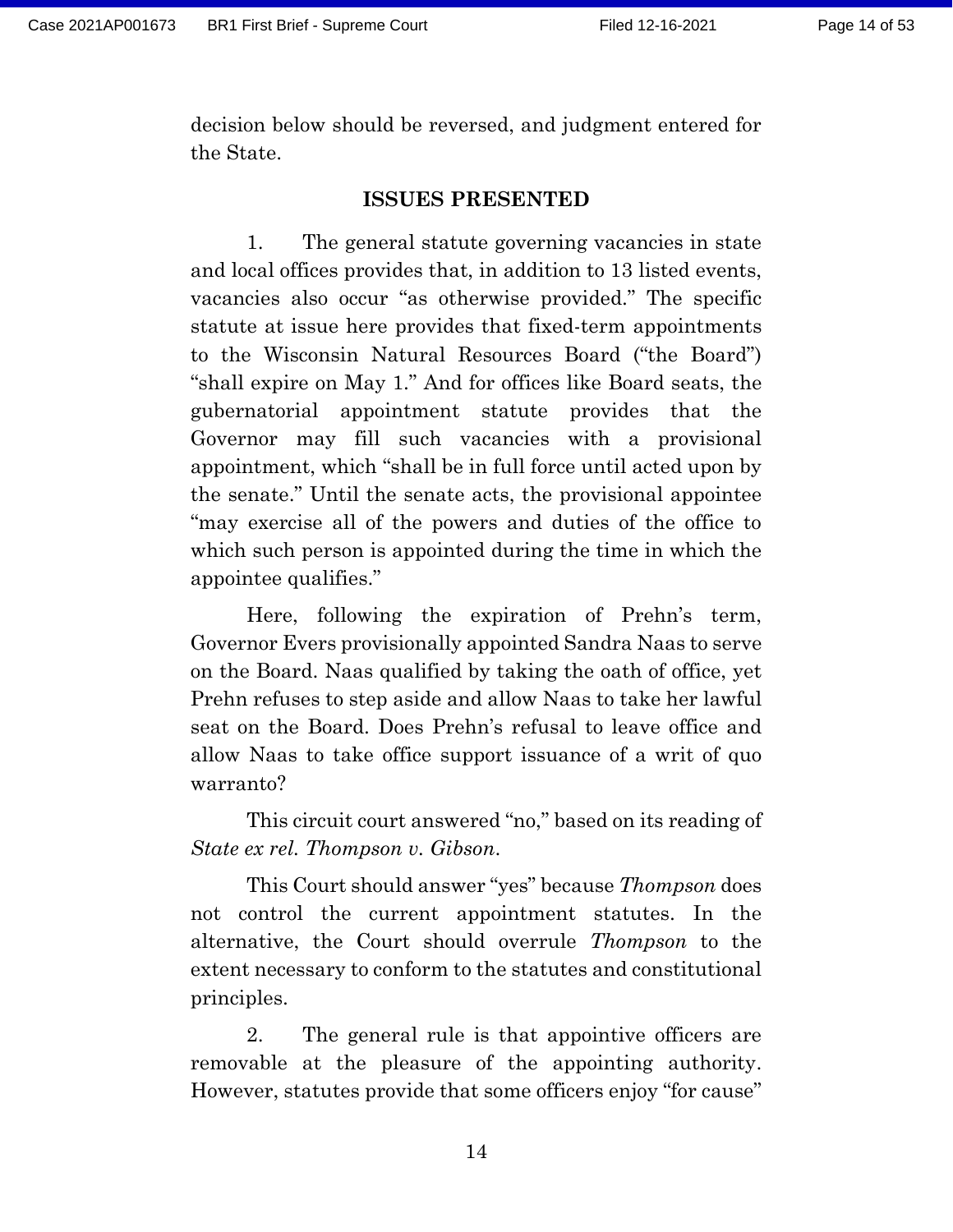decision below should be reversed, and judgment entered for the State.

#### **ISSUES PRESENTED**

1. The general statute governing vacancies in state and local offices provides that, in addition to 13 listed events, vacancies also occur "as otherwise provided." The specific statute at issue here provides that fixed-term appointments to the Wisconsin Natural Resources Board ("the Board") "shall expire on May 1." And for offices like Board seats, the gubernatorial appointment statute provides that the Governor may fill such vacancies with a provisional appointment, which "shall be in full force until acted upon by the senate." Until the senate acts, the provisional appointee "may exercise all of the powers and duties of the office to which such person is appointed during the time in which the appointee qualifies."

Here, following the expiration of Prehn's term, Governor Evers provisionally appointed Sandra Naas to serve on the Board. Naas qualified by taking the oath of office, yet Prehn refuses to step aside and allow Naas to take her lawful seat on the Board. Does Prehn's refusal to leave office and allow Naas to take office support issuance of a writ of quo warranto?

This circuit court answered "no," based on its reading of *State ex rel. Thompson v. Gibson*.

This Court should answer "yes" because *Thompson* does not control the current appointment statutes. In the alternative, the Court should overrule *Thompson* to the extent necessary to conform to the statutes and constitutional principles.

2. The general rule is that appointive officers are removable at the pleasure of the appointing authority. However, statutes provide that some officers enjoy "for cause"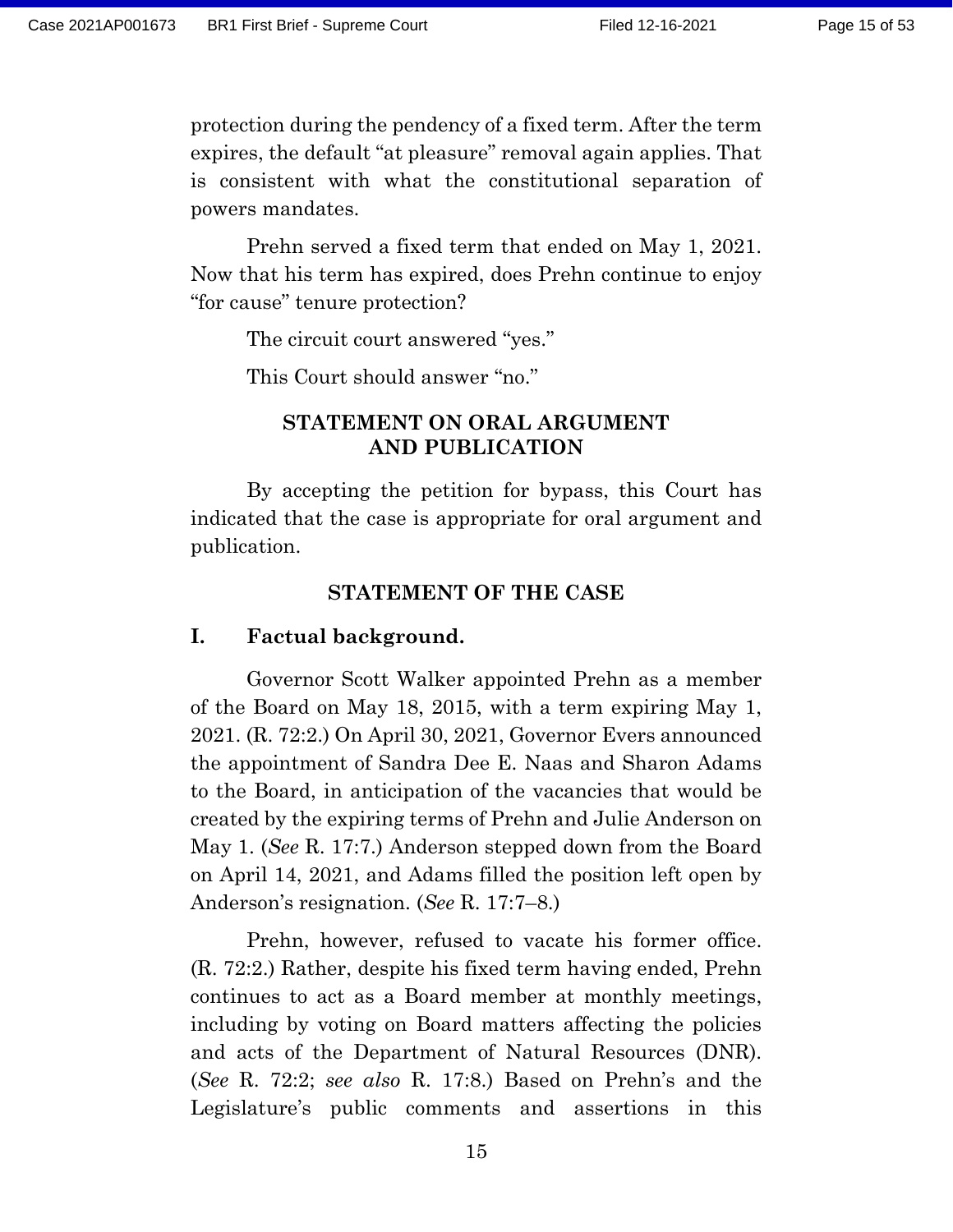protection during the pendency of a fixed term. After the term expires, the default "at pleasure" removal again applies. That is consistent with what the constitutional separation of powers mandates.

Prehn served a fixed term that ended on May 1, 2021. Now that his term has expired, does Prehn continue to enjoy "for cause" tenure protection?

The circuit court answered "yes."

This Court should answer "no."

### **STATEMENT ON ORAL ARGUMENT AND PUBLICATION**

By accepting the petition for bypass, this Court has indicated that the case is appropriate for oral argument and publication.

#### **STATEMENT OF THE CASE**

#### **I. Factual background.**

Governor Scott Walker appointed Prehn as a member of the Board on May 18, 2015, with a term expiring May 1, 2021. (R. 72:2.) On April 30, 2021, Governor Evers announced the appointment of Sandra Dee E. Naas and Sharon Adams to the Board, in anticipation of the vacancies that would be created by the expiring terms of Prehn and Julie Anderson on May 1. (*See* R. 17:7.) Anderson stepped down from the Board on April 14, 2021, and Adams filled the position left open by Anderson's resignation. (*See* R. 17:7–8.)

Prehn, however, refused to vacate his former office. (R. 72:2.) Rather, despite his fixed term having ended, Prehn continues to act as a Board member at monthly meetings, including by voting on Board matters affecting the policies and acts of the Department of Natural Resources (DNR). (*See* R. 72:2; *see also* R. 17:8.) Based on Prehn's and the Legislature's public comments and assertions in this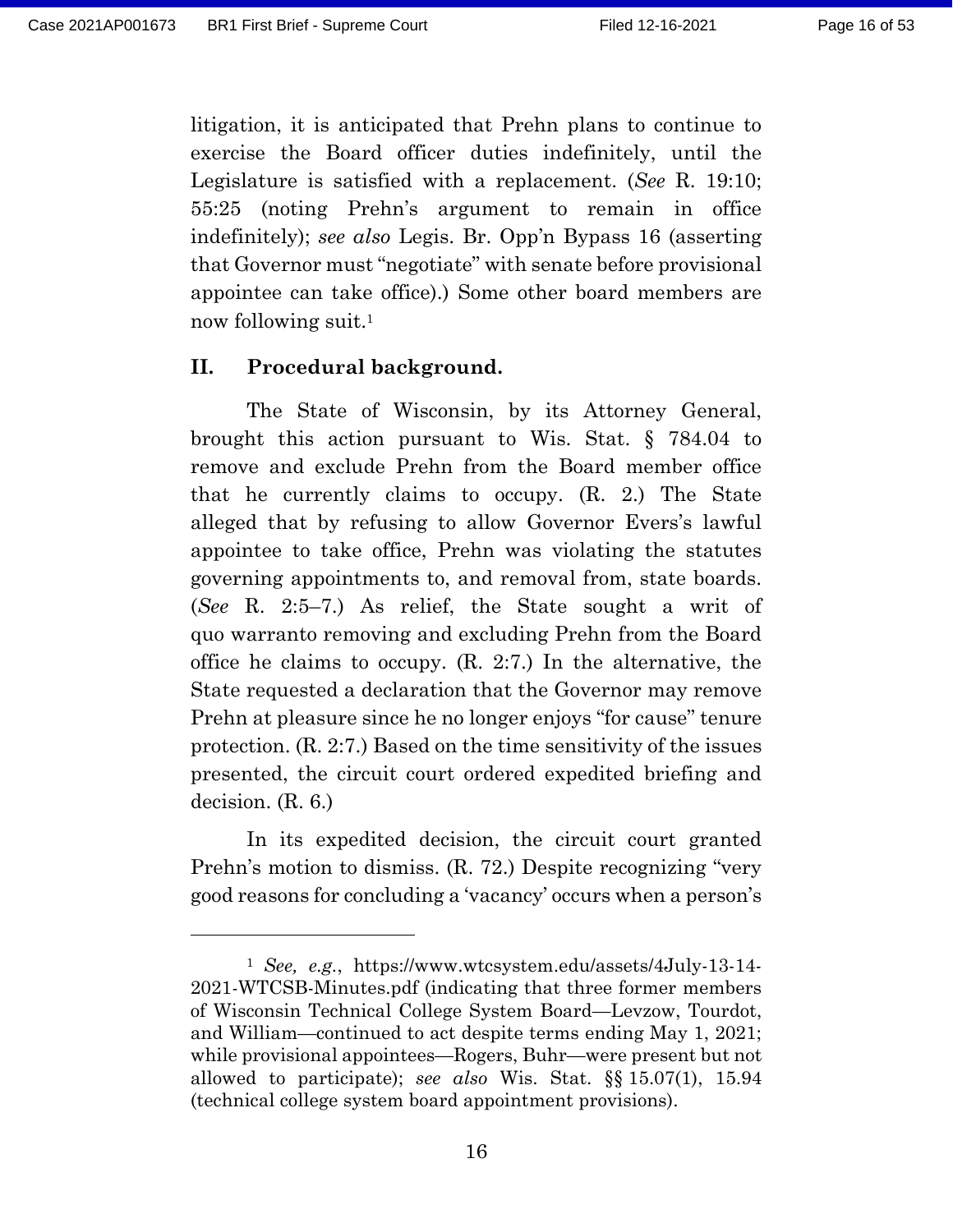litigation, it is anticipated that Prehn plans to continue to exercise the Board officer duties indefinitely, until the Legislature is satisfied with a replacement. (*See* R. 19:10; 55:25 (noting Prehn's argument to remain in office indefinitely); *see also* Legis. Br. Opp'n Bypass 16 (asserting that Governor must "negotiate" with senate before provisional appointee can take office).) Some other board members are now following suit.<sup>1</sup>

#### **II. Procedural background.**

The State of Wisconsin, by its Attorney General, brought this action pursuant to Wis. Stat. § 784.04 to remove and exclude Prehn from the Board member office that he currently claims to occupy. (R. 2.) The State alleged that by refusing to allow Governor Evers's lawful appointee to take office, Prehn was violating the statutes governing appointments to, and removal from, state boards. (*See* R. 2:5–7.) As relief, the State sought a writ of quo warranto removing and excluding Prehn from the Board office he claims to occupy. (R. 2:7.) In the alternative, the State requested a declaration that the Governor may remove Prehn at pleasure since he no longer enjoys "for cause" tenure protection. (R. 2:7.) Based on the time sensitivity of the issues presented, the circuit court ordered expedited briefing and decision. (R. 6.)

In its expedited decision, the circuit court granted Prehn's motion to dismiss. (R. 72.) Despite recognizing "very good reasons for concluding a 'vacancy' occurs when a person's

<sup>1</sup> *See, e.g.*, [https://www.wtcsystem.edu/assets/4July-13-14-](https://www.wtcsystem.edu/assets/4July-13-14-2021-WTCSB-Minutes.pdf) [2021-WTCSB-Minutes.pdf](https://www.wtcsystem.edu/assets/4July-13-14-2021-WTCSB-Minutes.pdf) (indicating that three former members of Wisconsin Technical College System Board—Levzow, Tourdot, and William—continued to act despite terms ending May 1, 2021; while provisional appointees—Rogers, Buhr—were present but not allowed to participate); *see also* Wis. Stat. §§ 15.07(1), 15.94 (technical college system board appointment provisions).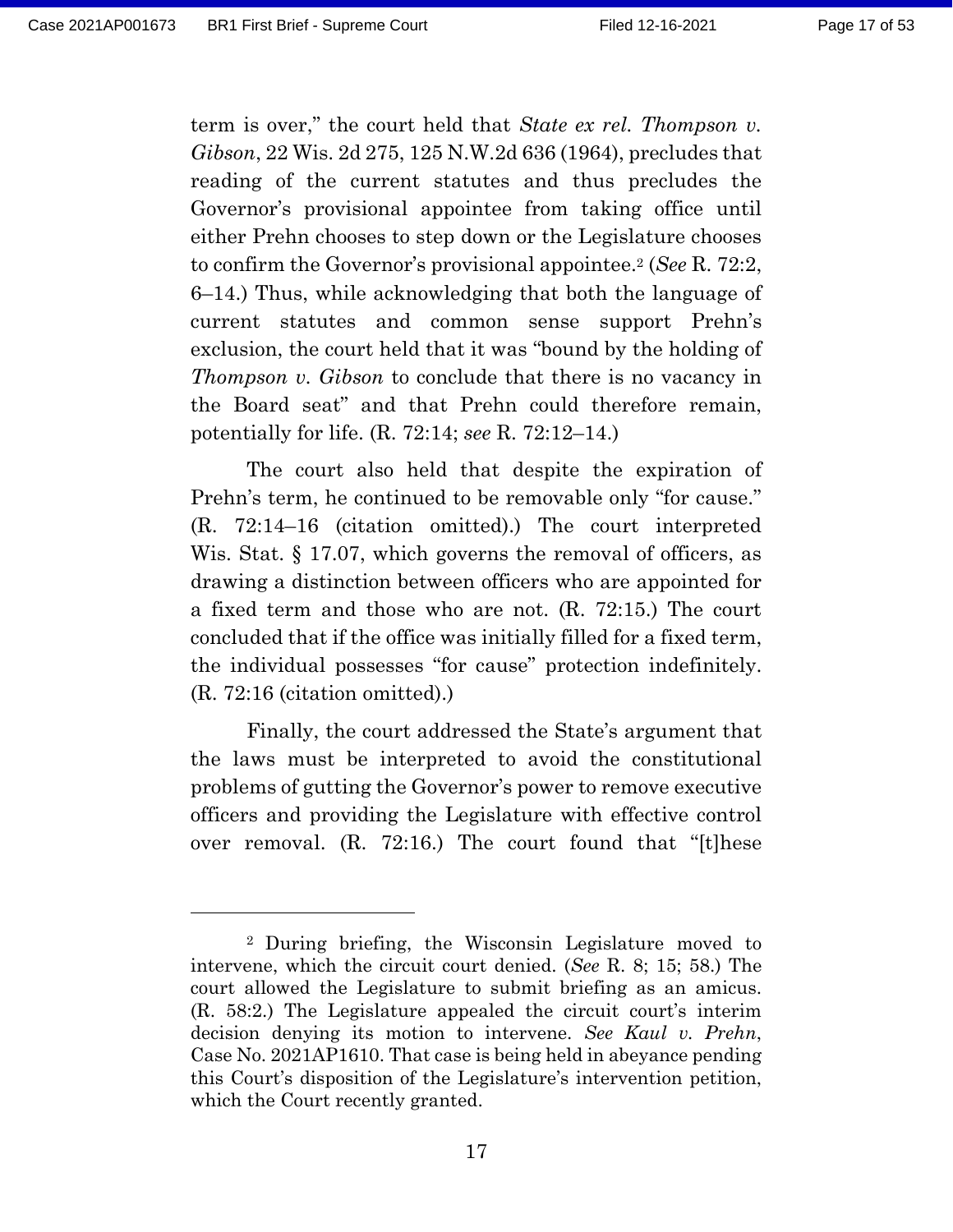term is over," the court held that *State ex rel. Thompson v. Gibson*, 22 Wis. 2d 275, 125 N.W.2d 636 (1964), precludes that reading of the current statutes and thus precludes the Governor's provisional appointee from taking office until either Prehn chooses to step down or the Legislature chooses to confirm the Governor's provisional appointee.<sup>2</sup> (*See* R. 72:2, 6–14.) Thus, while acknowledging that both the language of current statutes and common sense support Prehn's exclusion, the court held that it was "bound by the holding of *Thompson v. Gibson* to conclude that there is no vacancy in the Board seat" and that Prehn could therefore remain, potentially for life. (R. 72:14; *see* R. 72:12–14.)

The court also held that despite the expiration of Prehn's term, he continued to be removable only "for cause." (R. 72:14–16 (citation omitted).) The court interpreted Wis. Stat. § 17.07, which governs the removal of officers, as drawing a distinction between officers who are appointed for a fixed term and those who are not. (R. 72:15.) The court concluded that if the office was initially filled for a fixed term, the individual possesses "for cause" protection indefinitely. (R. 72:16 (citation omitted).)

Finally, the court addressed the State's argument that the laws must be interpreted to avoid the constitutional problems of gutting the Governor's power to remove executive officers and providing the Legislature with effective control over removal. (R. 72:16.) The court found that "[t]hese

<sup>2</sup> During briefing, the Wisconsin Legislature moved to intervene, which the circuit court denied. (*See* R. 8; 15; 58.) The court allowed the Legislature to submit briefing as an amicus. (R. 58:2.) The Legislature appealed the circuit court's interim decision denying its motion to intervene. *See Kaul v. Prehn*, Case No. 2021AP1610. That case is being held in abeyance pending this Court's disposition of the Legislature's intervention petition, which the Court recently granted.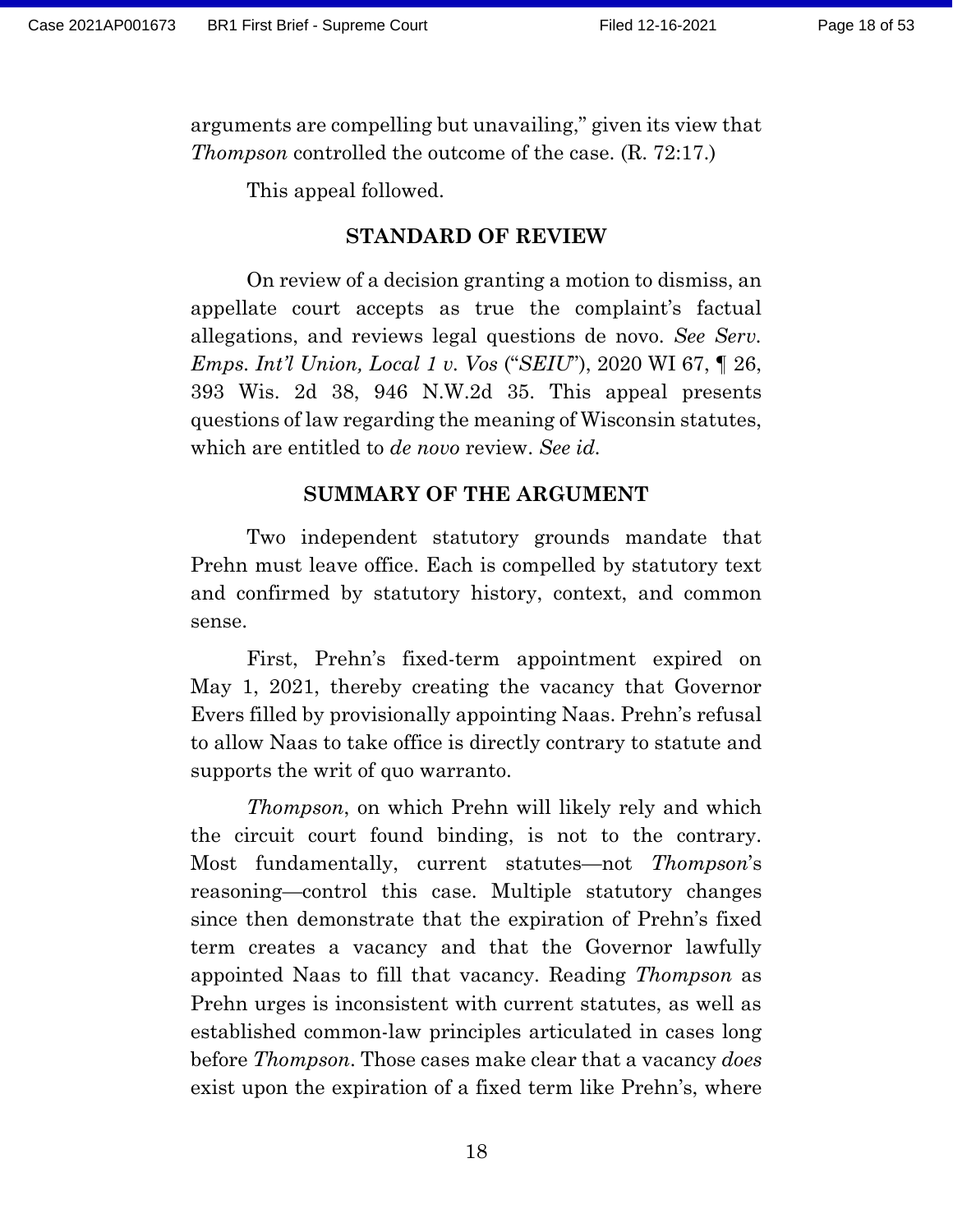arguments are compelling but unavailing," given its view that *Thompson* controlled the outcome of the case. (R. 72:17.)

This appeal followed.

#### **STANDARD OF REVIEW**

On review of a decision granting a motion to dismiss, an appellate court accepts as true the complaint's factual allegations, and reviews legal questions de novo. *See Serv. Emps. Int'l Union, Local 1 v. Vos* ("*SEIU*"), 2020 WI 67, ¶ 26, 393 Wis. 2d 38, 946 N.W.2d 35. This appeal presents questions of law regarding the meaning of Wisconsin statutes, which are entitled to *de novo* review. *See id.*

### **SUMMARY OF THE ARGUMENT**

Two independent statutory grounds mandate that Prehn must leave office. Each is compelled by statutory text and confirmed by statutory history, context, and common sense.

First, Prehn's fixed-term appointment expired on May 1, 2021, thereby creating the vacancy that Governor Evers filled by provisionally appointing Naas. Prehn's refusal to allow Naas to take office is directly contrary to statute and supports the writ of quo warranto.

*Thompson*, on which Prehn will likely rely and which the circuit court found binding, is not to the contrary. Most fundamentally, current statutes—not *Thompson*'s reasoning—control this case. Multiple statutory changes since then demonstrate that the expiration of Prehn's fixed term creates a vacancy and that the Governor lawfully appointed Naas to fill that vacancy. Reading *Thompson* as Prehn urges is inconsistent with current statutes, as well as established common-law principles articulated in cases long before *Thompson*. Those cases make clear that a vacancy *does*  exist upon the expiration of a fixed term like Prehn's, where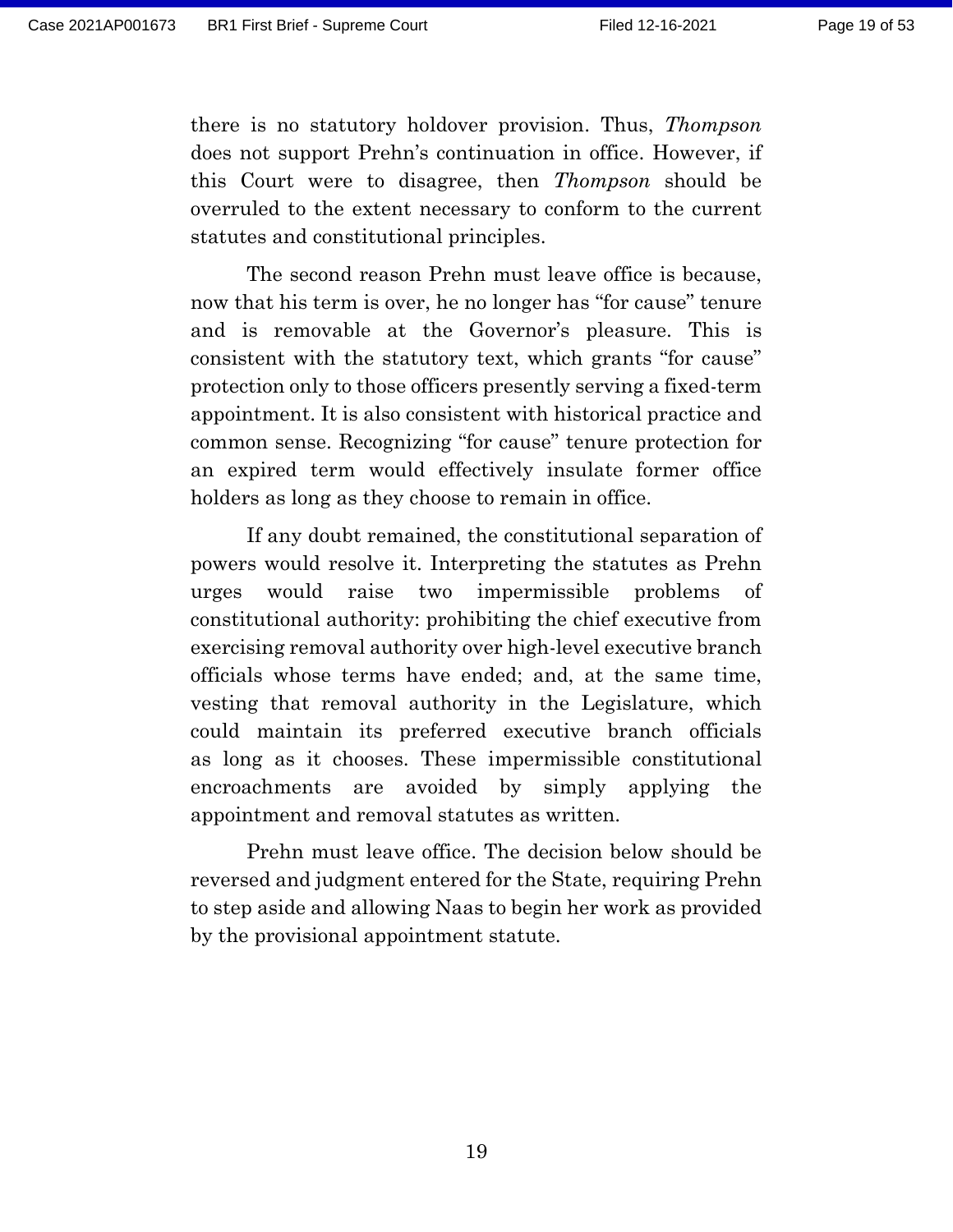there is no statutory holdover provision. Thus, *Thompson* does not support Prehn's continuation in office. However, if this Court were to disagree, then *Thompson* should be overruled to the extent necessary to conform to the current statutes and constitutional principles.

The second reason Prehn must leave office is because, now that his term is over, he no longer has "for cause" tenure and is removable at the Governor's pleasure. This is consistent with the statutory text, which grants "for cause" protection only to those officers presently serving a fixed-term appointment. It is also consistent with historical practice and common sense. Recognizing "for cause" tenure protection for an expired term would effectively insulate former office holders as long as they choose to remain in office.

If any doubt remained, the constitutional separation of powers would resolve it. Interpreting the statutes as Prehn urges would raise two impermissible problems of constitutional authority: prohibiting the chief executive from exercising removal authority over high-level executive branch officials whose terms have ended; and, at the same time, vesting that removal authority in the Legislature, which could maintain its preferred executive branch officials as long as it chooses. These impermissible constitutional encroachments are avoided by simply applying the appointment and removal statutes as written.

Prehn must leave office. The decision below should be reversed and judgment entered for the State, requiring Prehn to step aside and allowing Naas to begin her work as provided by the provisional appointment statute.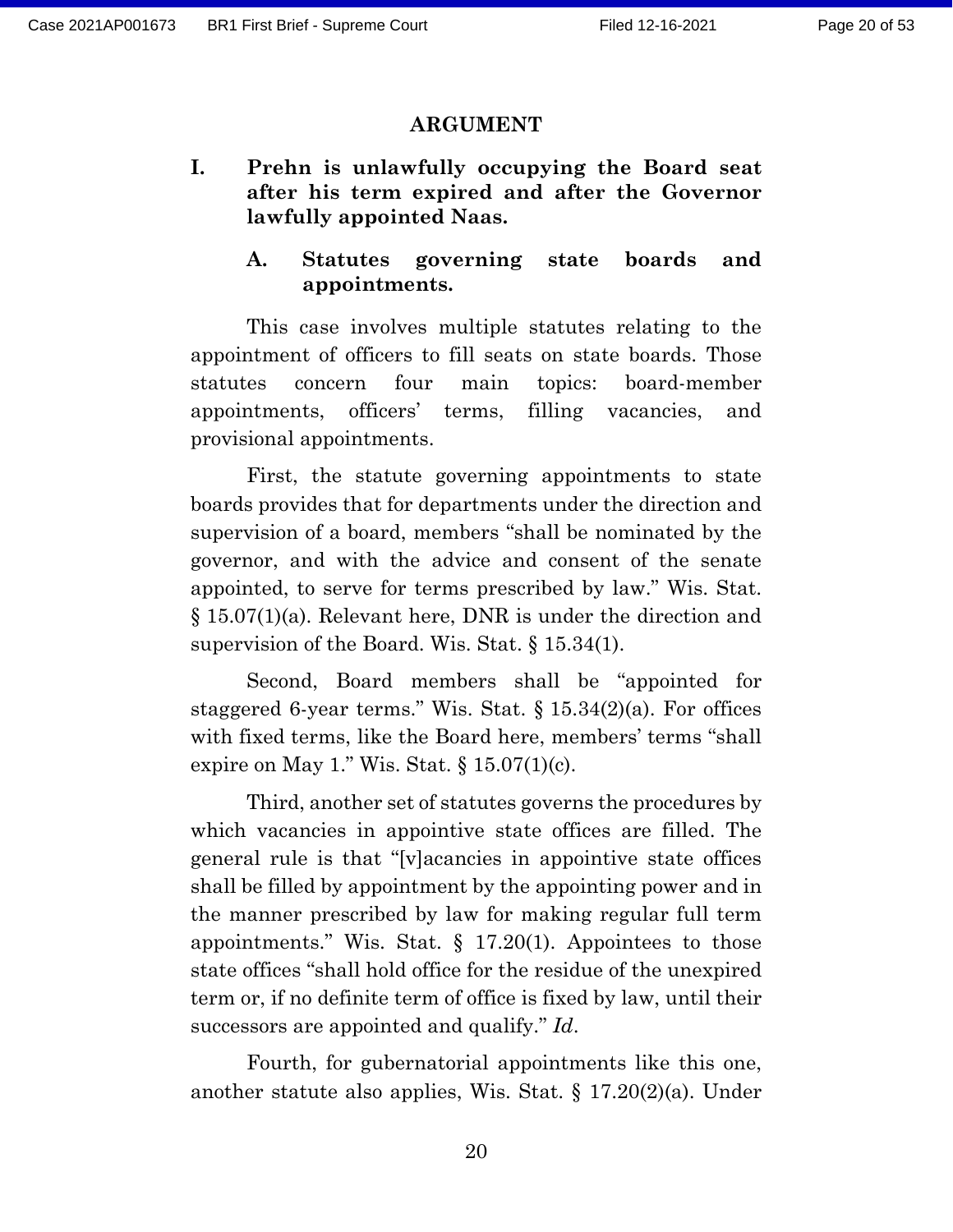#### **ARGUMENT**

- **I. Prehn is unlawfully occupying the Board seat after his term expired and after the Governor lawfully appointed Naas.**
	- **A. Statutes governing state boards and appointments.**

This case involves multiple statutes relating to the appointment of officers to fill seats on state boards. Those statutes concern four main topics: board-member appointments, officers' terms, filling vacancies, and provisional appointments.

First, the statute governing appointments to state boards provides that for departments under the direction and supervision of a board, members "shall be nominated by the governor, and with the advice and consent of the senate appointed, to serve for terms prescribed by law." Wis. Stat. § 15.07(1)(a). Relevant here, DNR is under the direction and supervision of the Board. Wis. Stat. § 15.34(1).

Second, Board members shall be "appointed for staggered 6-year terms." Wis. Stat.  $\S 15.34(2)(a)$ . For offices with fixed terms, like the Board here, members' terms "shall expire on May 1." Wis. Stat.  $\S 15.07(1)(c)$ .

Third, another set of statutes governs the procedures by which vacancies in appointive state offices are filled. The general rule is that "[v]acancies in appointive state offices shall be filled by appointment by the appointing power and in the manner prescribed by law for making regular full term appointments." Wis. Stat.  $\S$  17.20(1). Appointees to those state offices "shall hold office for the residue of the unexpired term or, if no definite term of office is fixed by law, until their successors are appointed and qualify." *Id*.

Fourth, for gubernatorial appointments like this one, another statute also applies, Wis. Stat. § 17.20(2)(a). Under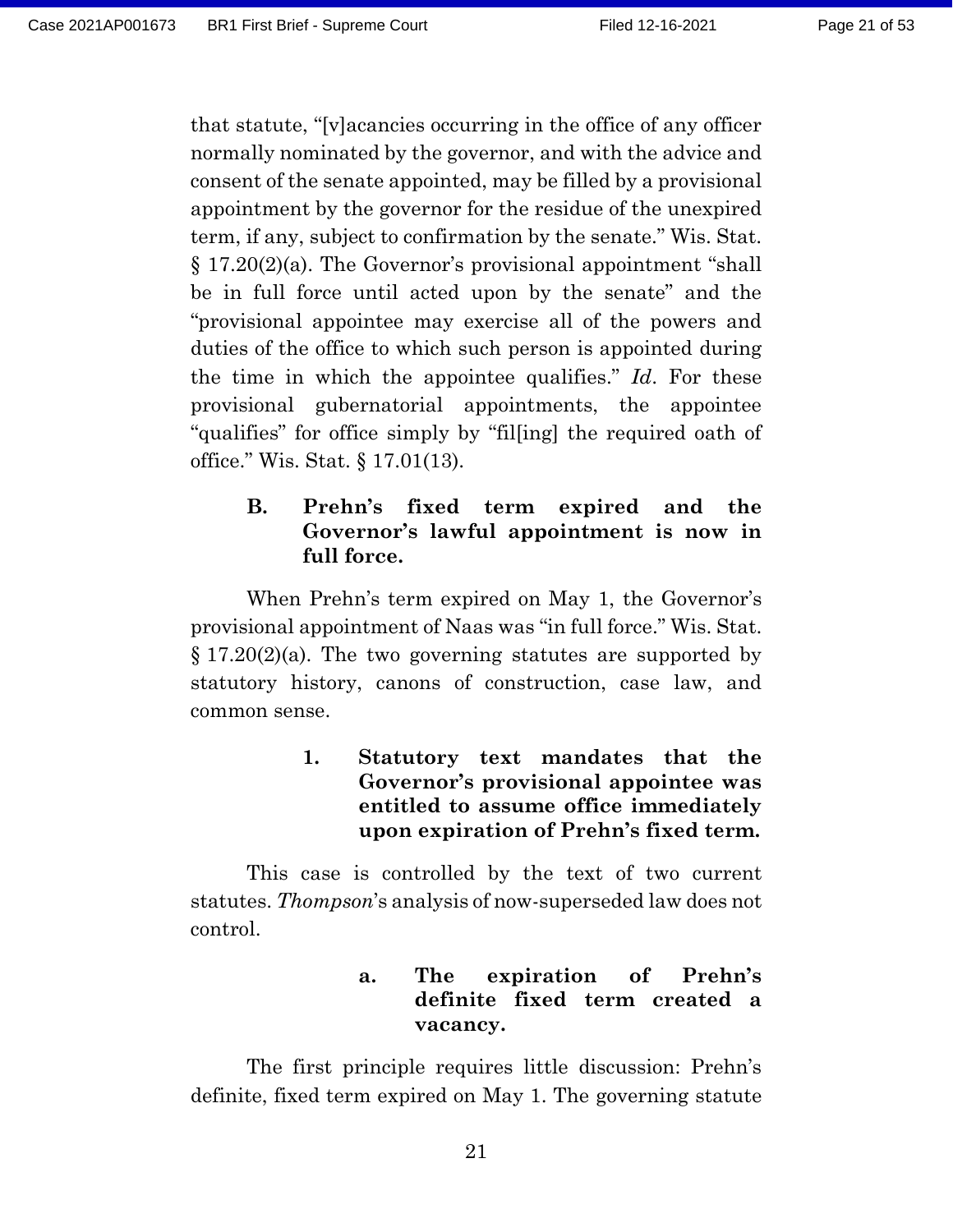that statute, "[v]acancies occurring in the office of any officer normally nominated by the governor, and with the advice and consent of the senate appointed, may be filled by a provisional appointment by the governor for the residue of the unexpired term, if any, subject to confirmation by the senate." Wis. Stat. § 17.20(2)(a). The Governor's provisional appointment "shall be in full force until acted upon by the senate" and the "provisional appointee may exercise all of the powers and duties of the office to which such person is appointed during the time in which the appointee qualifies." *Id*. For these provisional gubernatorial appointments, the appointee "qualifies" for office simply by "fil[ing] the required oath of office." Wis. Stat. § 17.01(13).

## **B. Prehn's fixed term expired and the Governor's lawful appointment is now in full force.**

When Prehn's term expired on May 1, the Governor's provisional appointment of Naas was "in full force." Wis. Stat.  $\S 17.20(2)(a)$ . The two governing statutes are supported by statutory history, canons of construction, case law, and common sense.

> **1. Statutory text mandates that the Governor's provisional appointee was entitled to assume office immediately upon expiration of Prehn's fixed term.**

This case is controlled by the text of two current statutes. *Thompson*'s analysis of now-superseded law does not control.

## **a. The expiration of Prehn's definite fixed term created a vacancy.**

The first principle requires little discussion: Prehn's definite, fixed term expired on May 1. The governing statute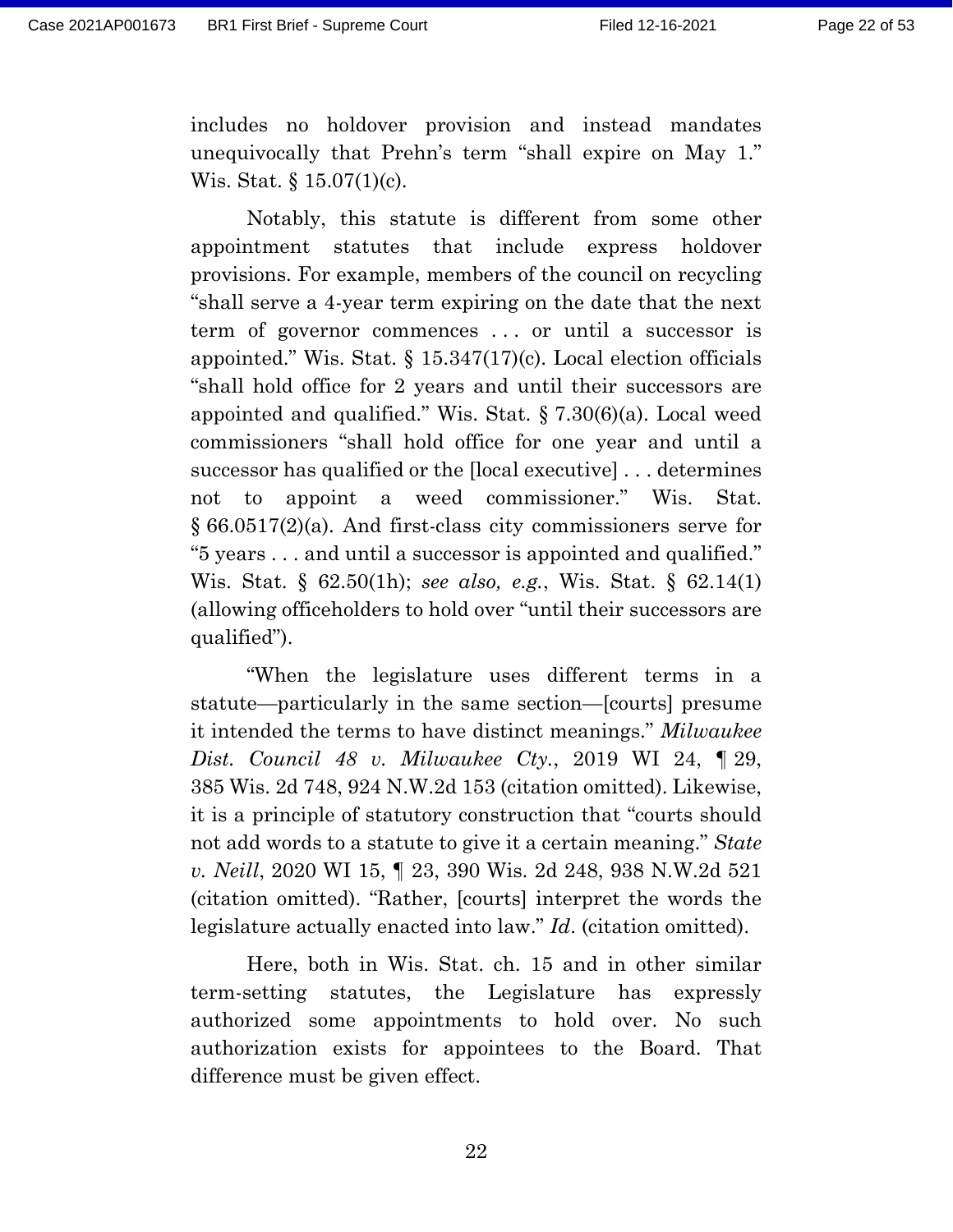includes no holdover provision and instead mandates unequivocally that Prehn's term "shall expire on May 1." Wis. Stat. § 15.07(1)(c).

Notably, this statute is different from some other appointment statutes that include express holdover provisions. For example, members of the council on recycling "shall serve a 4-year term expiring on the date that the next term of governor commences . . . or until a successor is appointed." Wis. Stat. § 15.347(17)(c). Local election officials "shall hold office for 2 years and until their successors are appointed and qualified." Wis. Stat. § 7.30(6)(a). Local weed commissioners "shall hold office for one year and until a successor has qualified or the [local executive] . . . determines not to appoint a weed commissioner." Wis. Stat. § 66.0517(2)(a). And first-class city commissioners serve for "5 years . . . and until a successor is appointed and qualified." Wis. Stat. § 62.50(1h); *see also, e.g.*, Wis. Stat. § 62.14(1) (allowing officeholders to hold over "until their successors are qualified").

"When the legislature uses different terms in a statute—particularly in the same section—[courts] presume it intended the terms to have distinct meanings." *Milwaukee Dist. Council 48 v. Milwaukee Cty.*, 2019 WI 24, ¶ 29, 385 Wis. 2d 748, 924 N.W.2d 153 (citation omitted). Likewise, it is a principle of statutory construction that "courts should not add words to a statute to give it a certain meaning." *State v. Neill*, 2020 WI 15, ¶ 23, 390 Wis. 2d 248, 938 N.W.2d 521 (citation omitted). "Rather, [courts] interpret the words the legislature actually enacted into law." *Id*. (citation omitted).

Here, both in Wis. Stat. ch. 15 and in other similar term-setting statutes, the Legislature has expressly authorized some appointments to hold over. No such authorization exists for appointees to the Board. That difference must be given effect.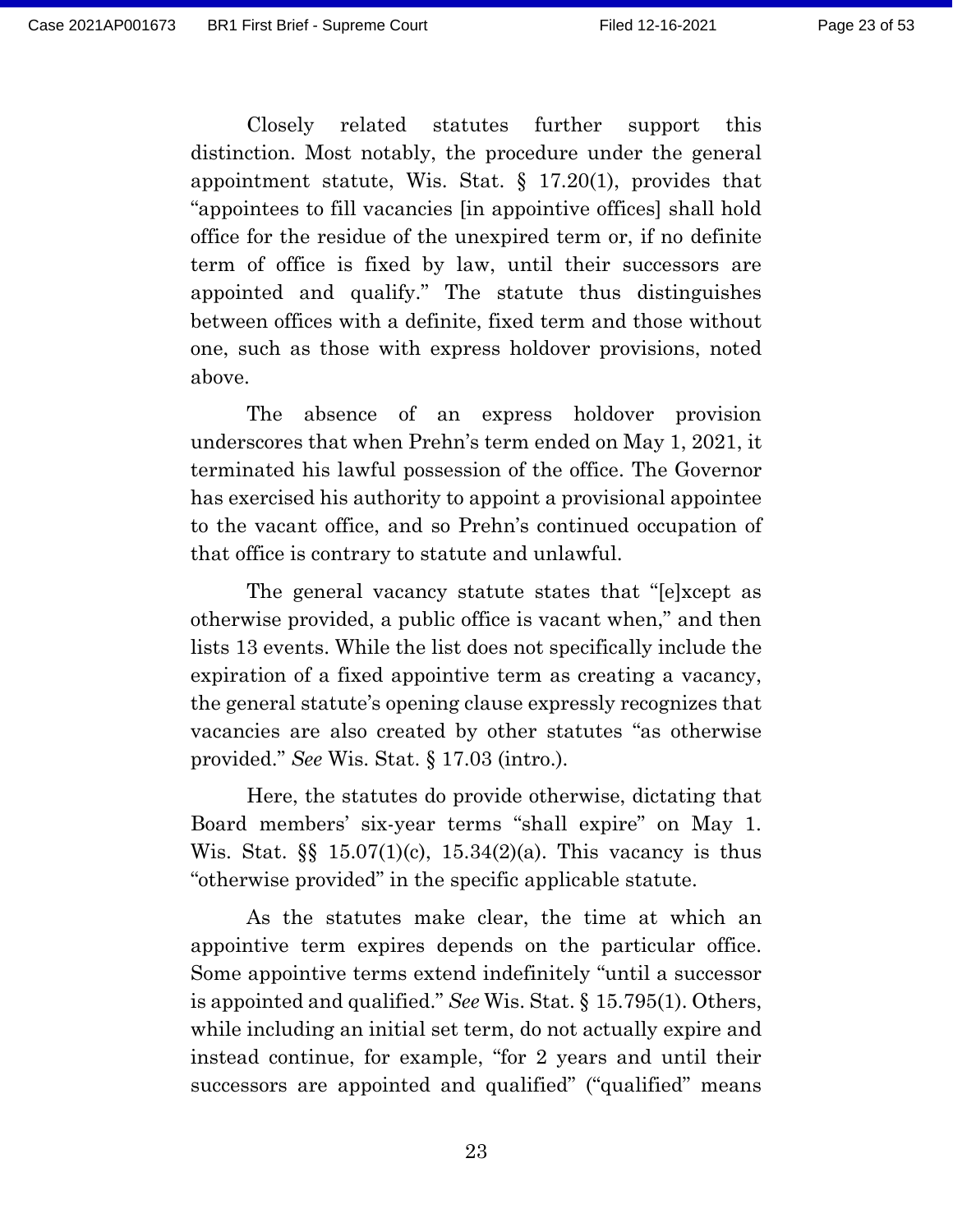Closely related statutes further support this distinction. Most notably, the procedure under the general appointment statute, Wis. Stat. § 17.20(1), provides that "appointees to fill vacancies [in appointive offices] shall hold office for the residue of the unexpired term or, if no definite term of office is fixed by law, until their successors are appointed and qualify." The statute thus distinguishes between offices with a definite, fixed term and those without one, such as those with express holdover provisions, noted above.

The absence of an express holdover provision underscores that when Prehn's term ended on May 1, 2021, it terminated his lawful possession of the office. The Governor has exercised his authority to appoint a provisional appointee to the vacant office, and so Prehn's continued occupation of that office is contrary to statute and unlawful.

The general vacancy statute states that "[e]xcept as otherwise provided, a public office is vacant when," and then lists 13 events. While the list does not specifically include the expiration of a fixed appointive term as creating a vacancy, the general statute's opening clause expressly recognizes that vacancies are also created by other statutes "as otherwise provided." *See* Wis. Stat. § 17.03 (intro.).

Here, the statutes do provide otherwise, dictating that Board members' six-year terms "shall expire" on May 1. Wis. Stat. §§ 15.07(1)(c), 15.34(2)(a). This vacancy is thus "otherwise provided" in the specific applicable statute.

As the statutes make clear, the time at which an appointive term expires depends on the particular office. Some appointive terms extend indefinitely "until a successor is appointed and qualified." *See* Wis. Stat. § 15.795(1). Others, while including an initial set term, do not actually expire and instead continue, for example, "for 2 years and until their successors are appointed and qualified" ("qualified" means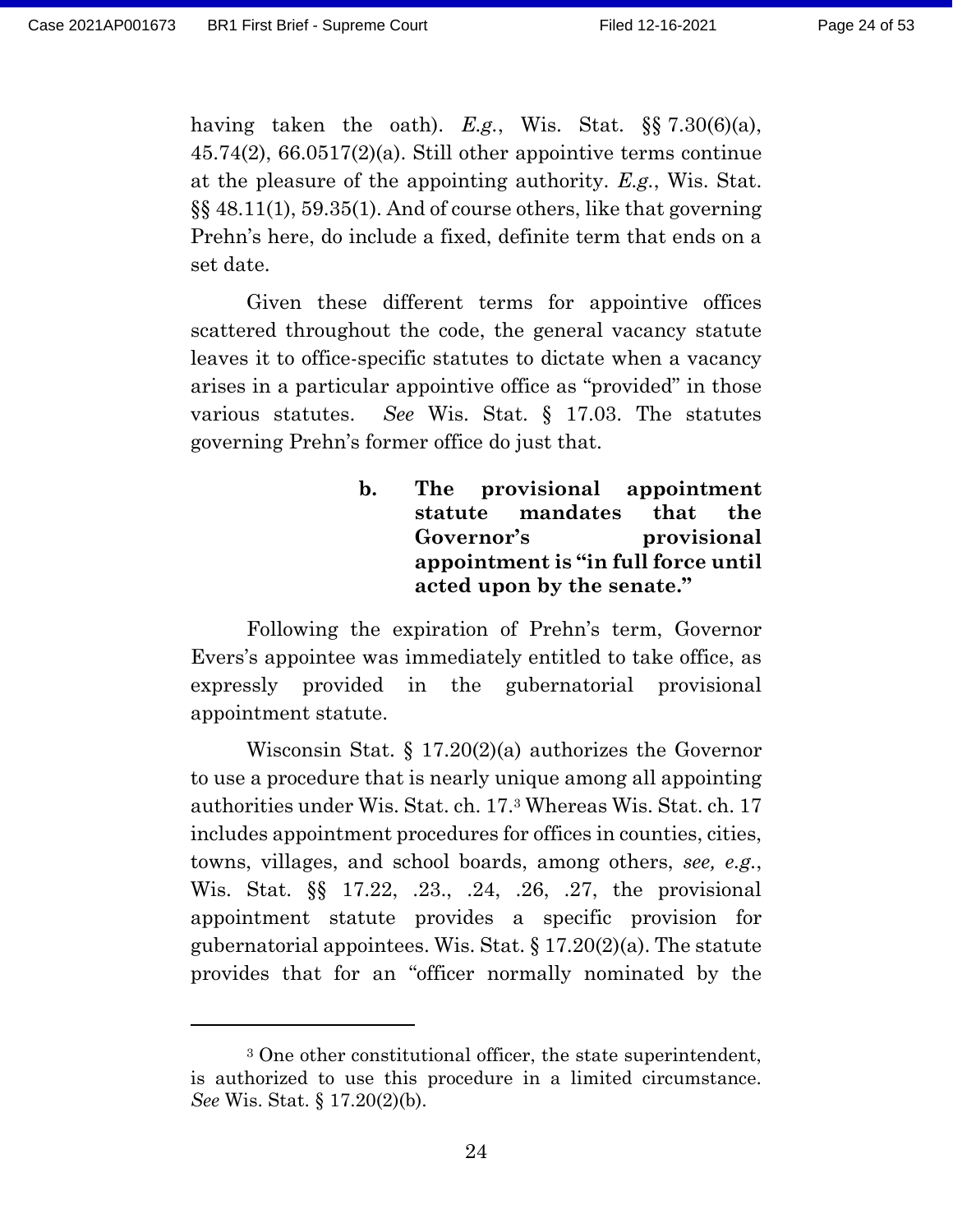having taken the oath). *E.g.*, Wis. Stat. §§ 7.30(6)(a), 45.74(2), 66.0517(2)(a). Still other appointive terms continue at the pleasure of the appointing authority. *E.g.*, Wis. Stat. §§ 48.11(1), 59.35(1). And of course others, like that governing Prehn's here, do include a fixed, definite term that ends on a set date.

Given these different terms for appointive offices scattered throughout the code, the general vacancy statute leaves it to office-specific statutes to dictate when a vacancy arises in a particular appointive office as "provided" in those various statutes. *See* Wis. Stat. § 17.03. The statutes governing Prehn's former office do just that.

### **b. The provisional appointment statute mandates that the Governor's provisional appointment is "in full force until acted upon by the senate."**

Following the expiration of Prehn's term, Governor Evers's appointee was immediately entitled to take office, as expressly provided in the gubernatorial provisional appointment statute.

Wisconsin Stat. § 17.20(2)(a) authorizes the Governor to use a procedure that is nearly unique among all appointing authorities under Wis. Stat. ch. 17.<sup>3</sup> Whereas Wis. Stat. ch. 17 includes appointment procedures for offices in counties, cities, towns, villages, and school boards, among others, *see, e.g.*, Wis. Stat. §§ 17.22, .23., .24, .26, .27, the provisional appointment statute provides a specific provision for gubernatorial appointees. Wis. Stat.  $\S 17.20(2)(a)$ . The statute provides that for an "officer normally nominated by the

<sup>3</sup> One other constitutional officer, the state superintendent, is authorized to use this procedure in a limited circumstance. *See* Wis. Stat. § 17.20(2)(b).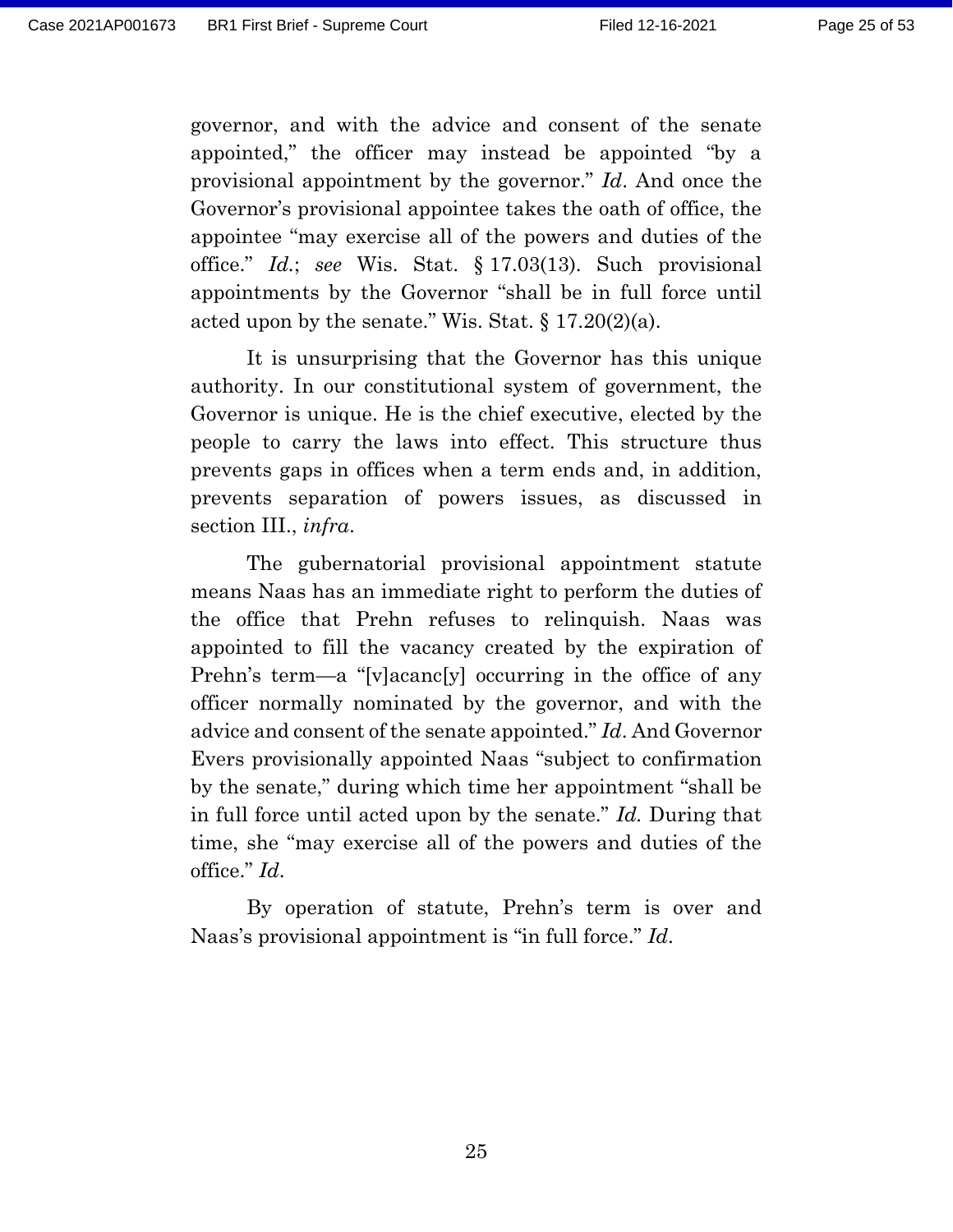governor, and with the advice and consent of the senate appointed," the officer may instead be appointed "by a provisional appointment by the governor." *Id*. And once the Governor's provisional appointee takes the oath of office, the appointee "may exercise all of the powers and duties of the office." *Id.*; *see* Wis. Stat. § 17.03(13). Such provisional appointments by the Governor "shall be in full force until acted upon by the senate." Wis. Stat.  $\S 17.20(2)(a)$ .

It is unsurprising that the Governor has this unique authority. In our constitutional system of government, the Governor is unique. He is the chief executive, elected by the people to carry the laws into effect. This structure thus prevents gaps in offices when a term ends and, in addition, prevents separation of powers issues, as discussed in section III., *infra*.

The gubernatorial provisional appointment statute means Naas has an immediate right to perform the duties of the office that Prehn refuses to relinquish. Naas was appointed to fill the vacancy created by the expiration of Prehn's term—a "[v]acanc[y] occurring in the office of any officer normally nominated by the governor, and with the advice and consent of the senate appointed." *Id*. And Governor Evers provisionally appointed Naas "subject to confirmation by the senate," during which time her appointment "shall be in full force until acted upon by the senate." *Id.* During that time, she "may exercise all of the powers and duties of the office." *Id*.

By operation of statute, Prehn's term is over and Naas's provisional appointment is "in full force." *Id*.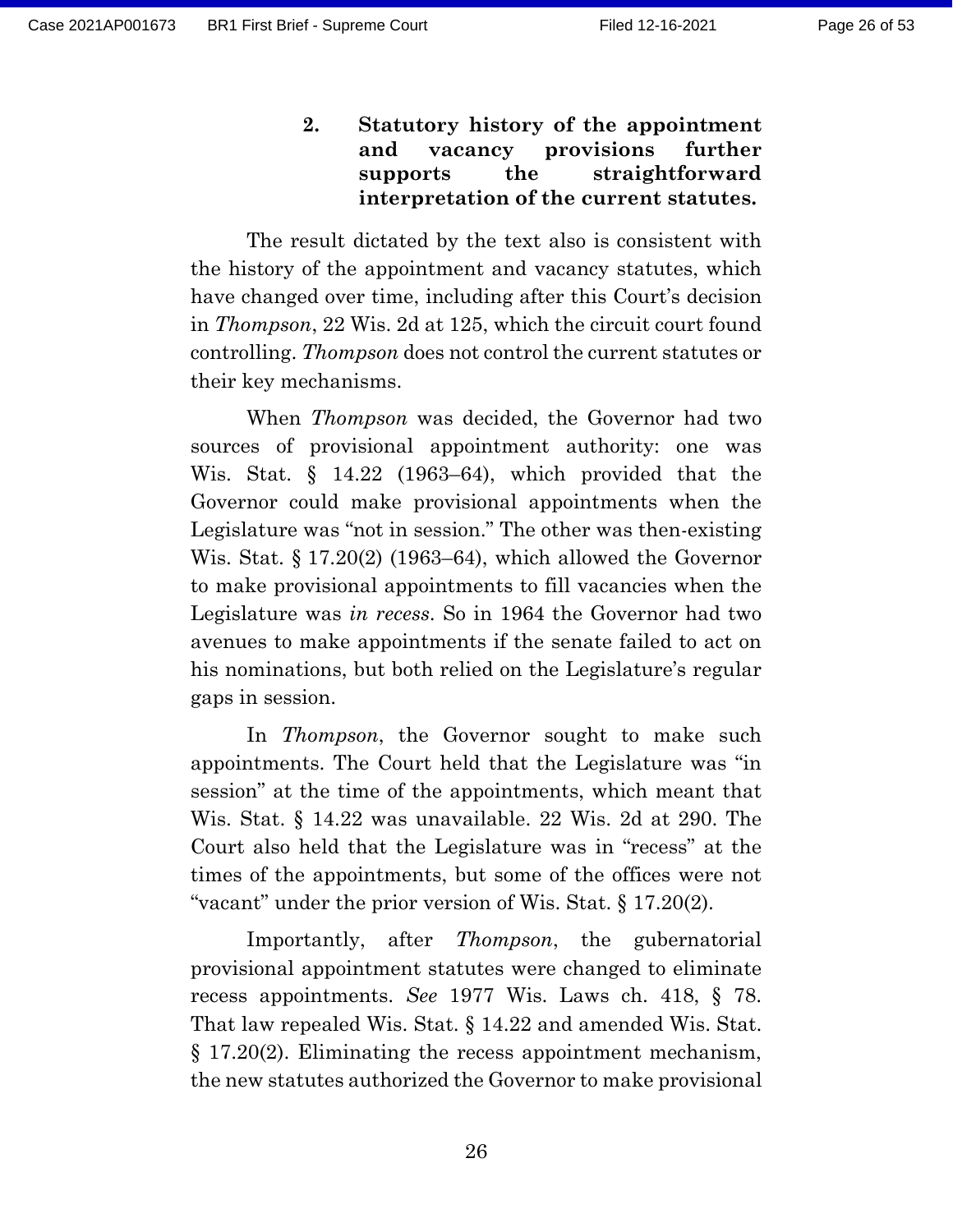**2. Statutory history of the appointment and vacancy provisions further supports the straightforward interpretation of the current statutes.**

The result dictated by the text also is consistent with the history of the appointment and vacancy statutes, which have changed over time, including after this Court's decision in *Thompson*, 22 Wis. 2d at 125, which the circuit court found controlling. *Thompson* does not control the current statutes or their key mechanisms.

When *Thompson* was decided, the Governor had two sources of provisional appointment authority: one was Wis. Stat. § 14.22 (1963–64), which provided that the Governor could make provisional appointments when the Legislature was "not in session." The other was then-existing Wis. Stat. § 17.20(2) (1963–64), which allowed the Governor to make provisional appointments to fill vacancies when the Legislature was *in recess*. So in 1964 the Governor had two avenues to make appointments if the senate failed to act on his nominations, but both relied on the Legislature's regular gaps in session.

In *Thompson*, the Governor sought to make such appointments. The Court held that the Legislature was "in session" at the time of the appointments, which meant that Wis. Stat. § 14.22 was unavailable. 22 Wis. 2d at 290. The Court also held that the Legislature was in "recess" at the times of the appointments, but some of the offices were not "vacant" under the prior version of Wis. Stat. § 17.20(2).

Importantly, after *Thompson*, the gubernatorial provisional appointment statutes were changed to eliminate recess appointments. *See* 1977 Wis. Laws ch. 418, § 78. That law repealed Wis. Stat. § 14.22 and amended Wis. Stat. § 17.20(2). Eliminating the recess appointment mechanism, the new statutes authorized the Governor to make provisional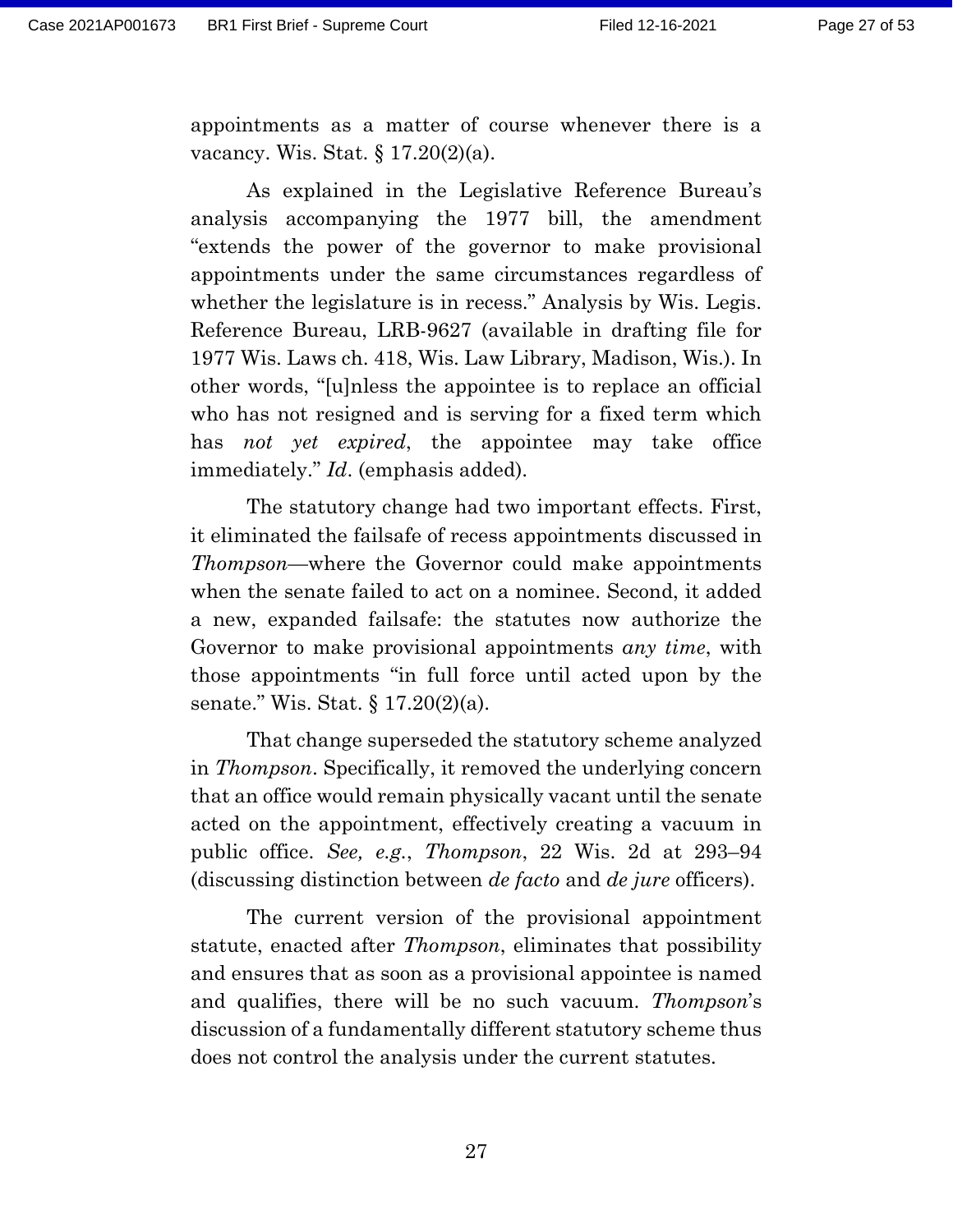appointments as a matter of course whenever there is a vacancy. Wis. Stat. § 17.20(2)(a).

As explained in the Legislative Reference Bureau's analysis accompanying the 1977 bill, the amendment "extends the power of the governor to make provisional appointments under the same circumstances regardless of whether the legislature is in recess." Analysis by Wis. Legis. Reference Bureau, LRB-9627 (available in drafting file for 1977 Wis. Laws ch. 418, Wis. Law Library, Madison, Wis.). In other words, "[u]nless the appointee is to replace an official who has not resigned and is serving for a fixed term which has *not yet expired*, the appointee may take office immediately." *Id*. (emphasis added).

The statutory change had two important effects. First, it eliminated the failsafe of recess appointments discussed in *Thompson*—where the Governor could make appointments when the senate failed to act on a nominee. Second, it added a new, expanded failsafe: the statutes now authorize the Governor to make provisional appointments *any time*, with those appointments "in full force until acted upon by the senate." Wis. Stat. § 17.20(2)(a).

That change superseded the statutory scheme analyzed in *Thompson*. Specifically, it removed the underlying concern that an office would remain physically vacant until the senate acted on the appointment, effectively creating a vacuum in public office. *See, e.g.*, *Thompson*, 22 Wis. 2d at 293–94 (discussing distinction between *de facto* and *de jure* officers).

The current version of the provisional appointment statute, enacted after *Thompson*, eliminates that possibility and ensures that as soon as a provisional appointee is named and qualifies, there will be no such vacuum. *Thompson*'s discussion of a fundamentally different statutory scheme thus does not control the analysis under the current statutes.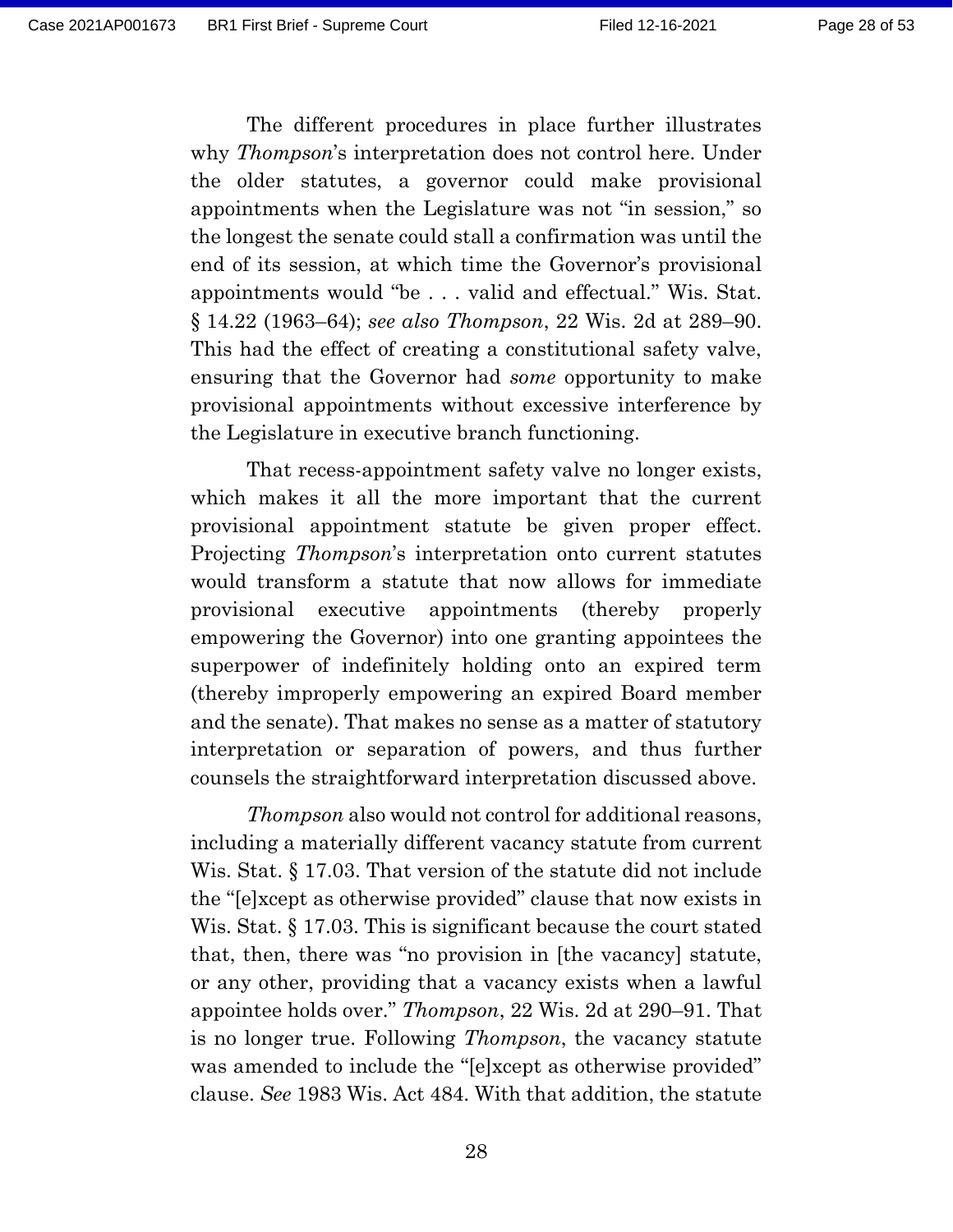The different procedures in place further illustrates why *Thompson*'s interpretation does not control here. Under the older statutes, a governor could make provisional appointments when the Legislature was not "in session," so the longest the senate could stall a confirmation was until the end of its session, at which time the Governor's provisional appointments would "be . . . valid and effectual." Wis. Stat. § 14.22 (1963–64); *see also Thompson*, 22 Wis. 2d at 289–90. This had the effect of creating a constitutional safety valve, ensuring that the Governor had *some* opportunity to make provisional appointments without excessive interference by the Legislature in executive branch functioning.

That recess-appointment safety valve no longer exists, which makes it all the more important that the current provisional appointment statute be given proper effect. Projecting *Thompson*'s interpretation onto current statutes would transform a statute that now allows for immediate provisional executive appointments (thereby properly empowering the Governor) into one granting appointees the superpower of indefinitely holding onto an expired term (thereby improperly empowering an expired Board member and the senate). That makes no sense as a matter of statutory interpretation or separation of powers, and thus further counsels the straightforward interpretation discussed above.

*Thompson* also would not control for additional reasons, including a materially different vacancy statute from current Wis. Stat. § 17.03. That version of the statute did not include the "[e]xcept as otherwise provided" clause that now exists in Wis. Stat. § 17.03. This is significant because the court stated that, then, there was "no provision in [the vacancy] statute, or any other, providing that a vacancy exists when a lawful appointee holds over." *Thompson*, 22 Wis. 2d at 290–91. That is no longer true. Following *Thompson*, the vacancy statute was amended to include the "[e]xcept as otherwise provided" clause. *See* 1983 Wis. Act 484. With that addition, the statute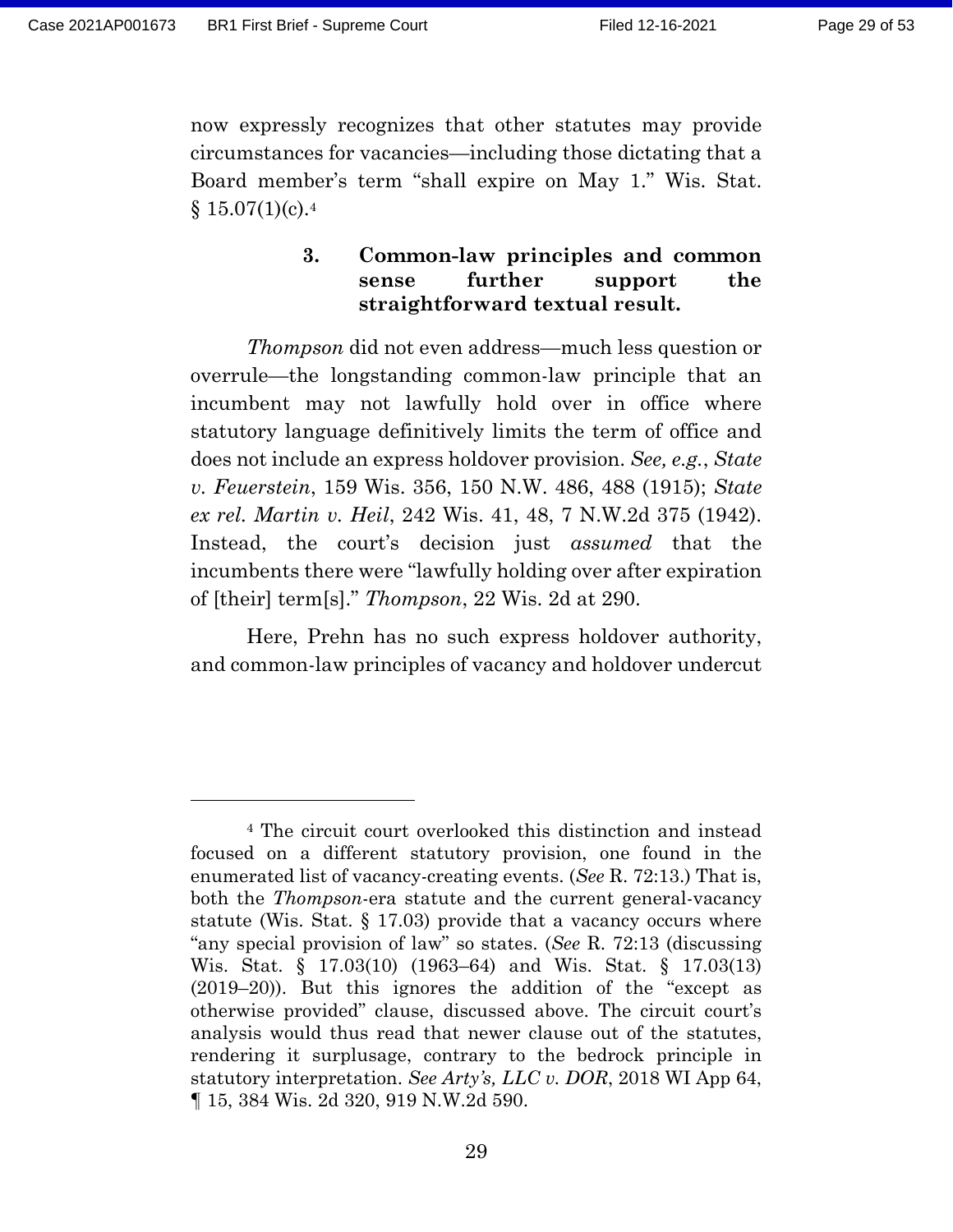now expressly recognizes that other statutes may provide circumstances for vacancies—including those dictating that a Board member's term "shall expire on May 1." Wis. Stat.  $$15.07(1)(c).4$ 

#### **3. Common-law principles and common sense further support the straightforward textual result.**

*Thompson* did not even address—much less question or overrule—the longstanding common-law principle that an incumbent may not lawfully hold over in office where statutory language definitively limits the term of office and does not include an express holdover provision. *See, e.g.*, *State v. Feuerstein*, 159 Wis. 356, 150 N.W. 486, 488 (1915); *State ex rel. Martin v. Heil*, 242 Wis. 41, 48, 7 N.W.2d 375 (1942). Instead, the court's decision just *assumed* that the incumbents there were "lawfully holding over after expiration of [their] term[s]." *Thompson*, 22 Wis. 2d at 290.

Here, Prehn has no such express holdover authority, and common-law principles of vacancy and holdover undercut

<sup>4</sup> The circuit court overlooked this distinction and instead focused on a different statutory provision, one found in the enumerated list of vacancy-creating events. (*See* R. 72:13.) That is, both the *Thompson*-era statute and the current general-vacancy statute (Wis. Stat.  $\S$  17.03) provide that a vacancy occurs where "any special provision of law" so states. (*See* R. 72:13 (discussing Wis. Stat. § 17.03(10) (1963–64) and Wis. Stat. § 17.03(13) (2019–20)). But this ignores the addition of the "except as otherwise provided" clause, discussed above. The circuit court's analysis would thus read that newer clause out of the statutes, rendering it surplusage, contrary to the bedrock principle in statutory interpretation. *See Arty's, LLC v. DOR*, 2018 WI App 64, ¶ 15, 384 Wis. 2d 320, 919 N.W.2d 590.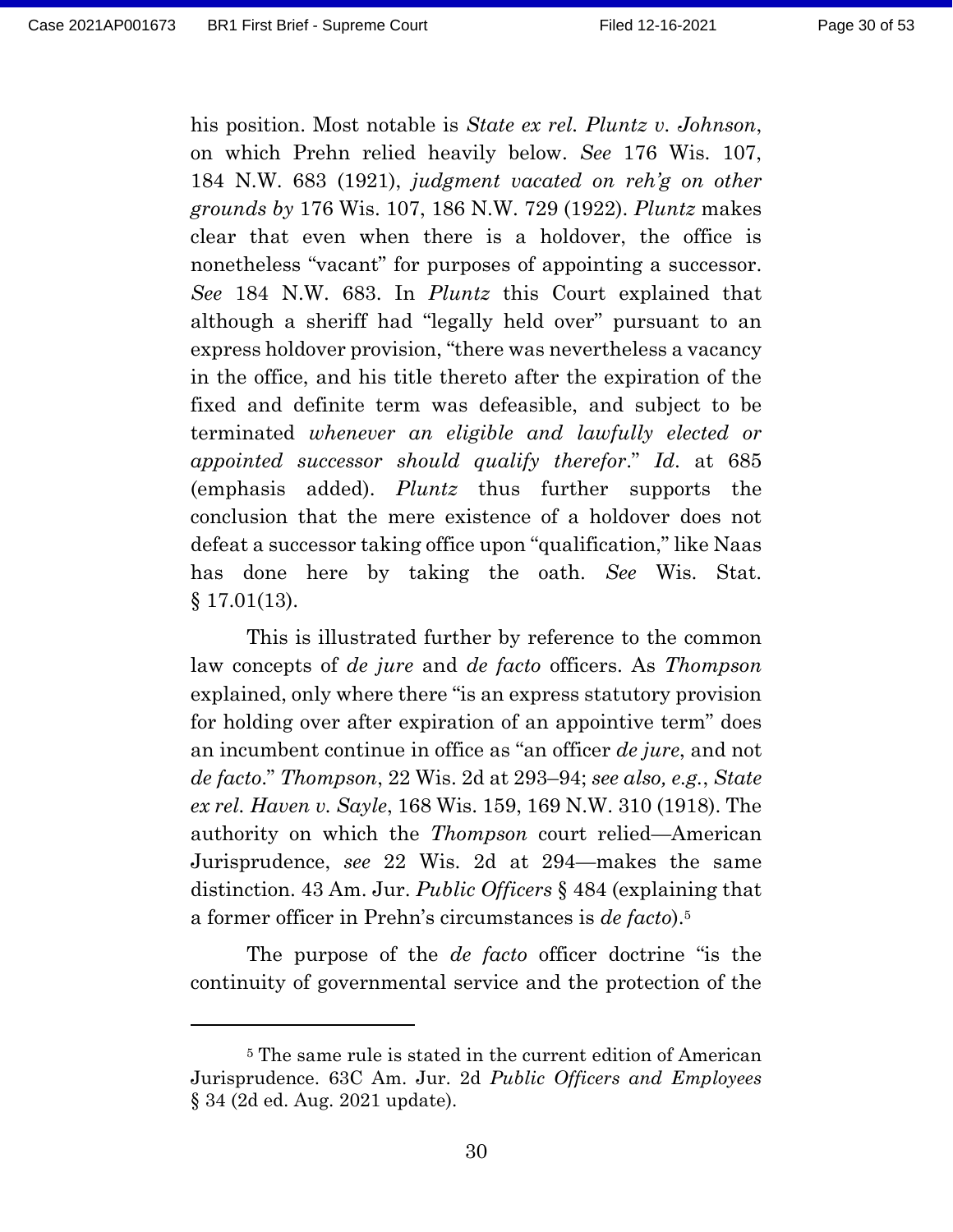his position. Most notable is *State ex rel. Pluntz v. Johnson*, on which Prehn relied heavily below. *See* 176 Wis. 107, 184 N.W. 683 (1921), *judgment vacated on reh'g on other grounds by* 176 Wis. 107, 186 N.W. 729 (1922). *Pluntz* makes clear that even when there is a holdover, the office is nonetheless "vacant" for purposes of appointing a successor. *See* 184 N.W. 683. In *Pluntz* this Court explained that although a sheriff had "legally held over" pursuant to an express holdover provision, "there was nevertheless a vacancy in the office, and his title thereto after the expiration of the fixed and definite term was defeasible, and subject to be terminated *whenever an eligible and lawfully elected or appointed successor should qualify therefor*." *Id*. at 685 (emphasis added). *Pluntz* thus further supports the conclusion that the mere existence of a holdover does not defeat a successor taking office upon "qualification," like Naas has done here by taking the oath. *See* Wis. Stat.  $§ 17.01(13).$ 

This is illustrated further by reference to the common law concepts of *de jure* and *de facto* officers. As *Thompson* explained, only where there "is an express statutory provision for holding over after expiration of an appointive term" does an incumbent continue in office as "an officer *de jure*, and not *de facto*." *Thompson*, 22 Wis. 2d at 293–94; *see also, e.g.*, *State ex rel. Haven v. Sayle*, 168 Wis. 159, 169 N.W. 310 (1918). The authority on which the *Thompson* court relied—American Jurisprudence, *see* 22 Wis. 2d at 294—makes the same distinction. 43 Am. Jur. *Public Officers* § 484 (explaining that a former officer in Prehn's circumstances is *de facto*). 5

The purpose of the *de facto* officer doctrine "is the continuity of governmental service and the protection of the

<sup>5</sup> The same rule is stated in the current edition of American Jurisprudence. 63C Am. Jur. 2d *Public Officers and Employees* § 34 (2d ed. Aug. 2021 update).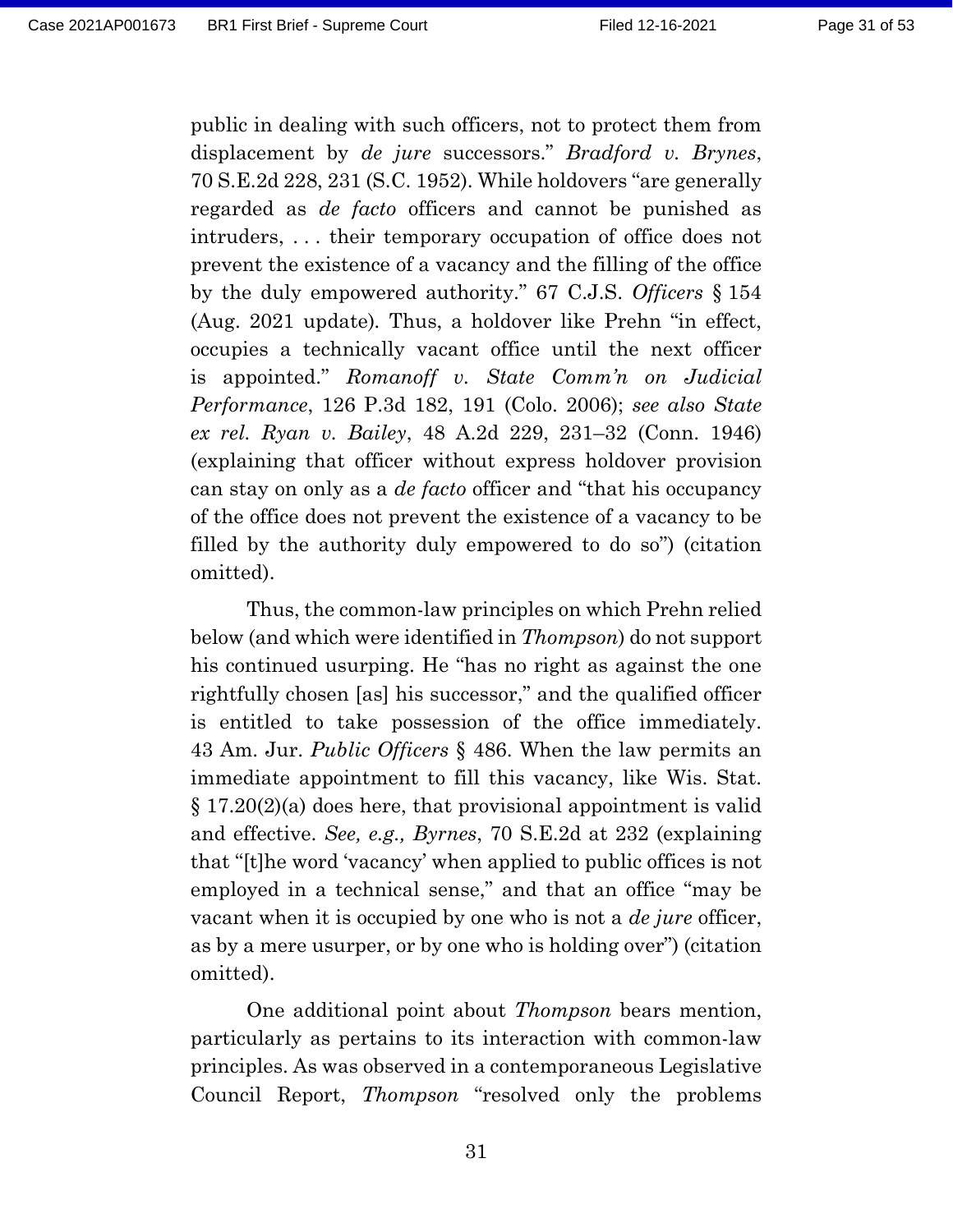public in dealing with such officers, not to protect them from displacement by *de jure* successors." *Bradford v. Brynes*, 70 S.E.2d 228, 231 (S.C. 1952). While holdovers "are generally regarded as *de facto* officers and cannot be punished as intruders, . . . their temporary occupation of office does not prevent the existence of a vacancy and the filling of the office by the duly empowered authority." 67 C.J.S. *Officers* § 154 (Aug. 2021 update)*.* Thus, a holdover like Prehn "in effect, occupies a technically vacant office until the next officer is appointed." *Romanoff v. State Comm'n on Judicial Performance*, 126 P.3d 182, 191 (Colo. 2006); *see also State ex rel. Ryan v. Bailey*, 48 A.2d 229, 231–32 (Conn. 1946) (explaining that officer without express holdover provision can stay on only as a *de facto* officer and "that his occupancy of the office does not prevent the existence of a vacancy to be filled by the authority duly empowered to do so") (citation omitted).

Thus, the common-law principles on which Prehn relied below (and which were identified in *Thompson*) do not support his continued usurping. He "has no right as against the one rightfully chosen [as] his successor," and the qualified officer is entitled to take possession of the office immediately. 43 Am. Jur. *Public Officers* § 486. When the law permits an immediate appointment to fill this vacancy, like Wis. Stat. § 17.20(2)(a) does here, that provisional appointment is valid and effective. *See, e.g., Byrnes*, 70 S.E.2d at 232 (explaining that "[t]he word 'vacancy' when applied to public offices is not employed in a technical sense," and that an office "may be vacant when it is occupied by one who is not a *de jure* officer, as by a mere usurper, or by one who is holding over") (citation omitted).

One additional point about *Thompson* bears mention, particularly as pertains to its interaction with common-law principles. As was observed in a contemporaneous Legislative Council Report, *Thompson* "resolved only the problems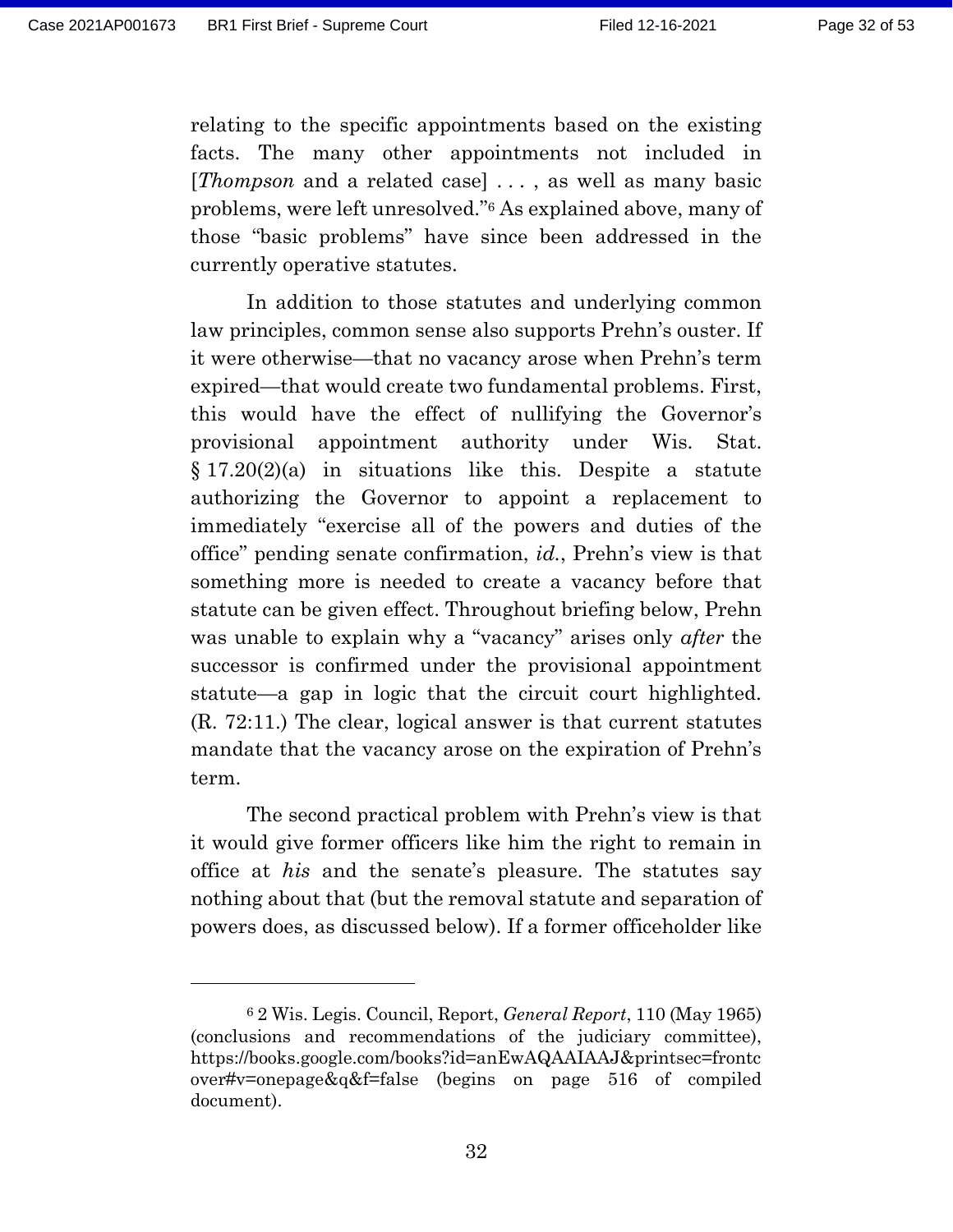relating to the specific appointments based on the existing facts. The many other appointments not included in [*Thompson* and a related case] . . . , as well as many basic problems, were left unresolved."<sup>6</sup> As explained above, many of those "basic problems" have since been addressed in the currently operative statutes.

In addition to those statutes and underlying common law principles, common sense also supports Prehn's ouster. If it were otherwise—that no vacancy arose when Prehn's term expired—that would create two fundamental problems. First, this would have the effect of nullifying the Governor's provisional appointment authority under Wis. Stat.  $§ 17.20(2)(a)$  in situations like this. Despite a statute authorizing the Governor to appoint a replacement to immediately "exercise all of the powers and duties of the office" pending senate confirmation, *id.*, Prehn's view is that something more is needed to create a vacancy before that statute can be given effect. Throughout briefing below, Prehn was unable to explain why a "vacancy" arises only *after* the successor is confirmed under the provisional appointment statute—a gap in logic that the circuit court highlighted. (R. 72:11.) The clear, logical answer is that current statutes mandate that the vacancy arose on the expiration of Prehn's term.

The second practical problem with Prehn's view is that it would give former officers like him the right to remain in office at *his* and the senate's pleasure. The statutes say nothing about that (but the removal statute and separation of powers does, as discussed below). If a former officeholder like

<sup>6</sup> 2 Wis. Legis. Council, Report, *General Report*, 110 (May 1965) (conclusions and recommendations of the judiciary committee), https://books.google.com/books?id=anEwAQAAIAAJ&printsec=frontc over#v=onepage&q&f=false (begins on page 516 of compiled document).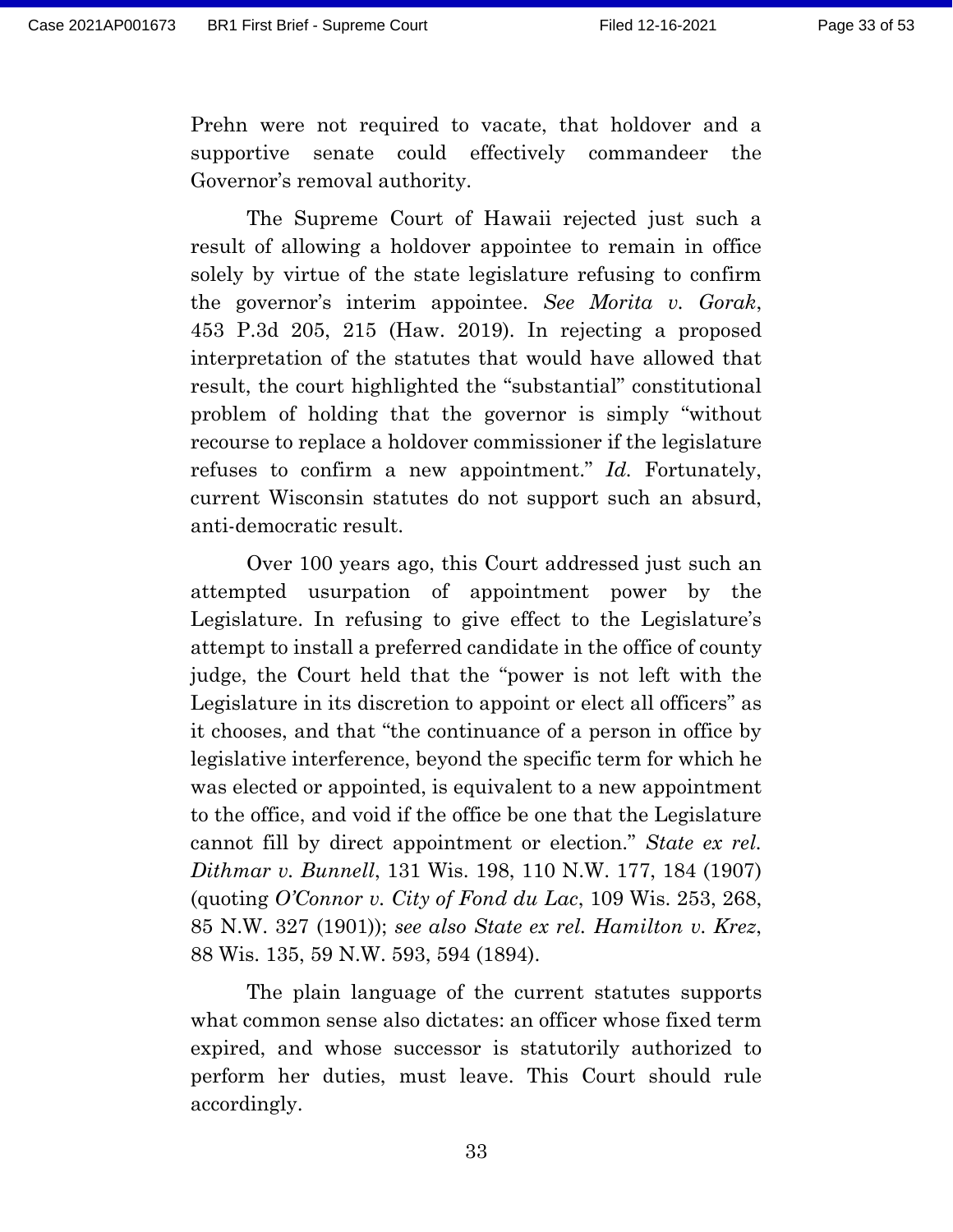Prehn were not required to vacate, that holdover and a supportive senate could effectively commandeer the Governor's removal authority.

The Supreme Court of Hawaii rejected just such a result of allowing a holdover appointee to remain in office solely by virtue of the state legislature refusing to confirm the governor's interim appointee. *See Morita v. Gorak*, 453 P.3d 205, 215 (Haw. 2019). In rejecting a proposed interpretation of the statutes that would have allowed that result, the court highlighted the "substantial" constitutional problem of holding that the governor is simply "without recourse to replace a holdover commissioner if the legislature refuses to confirm a new appointment." *Id.* Fortunately, current Wisconsin statutes do not support such an absurd, anti-democratic result.

Over 100 years ago, this Court addressed just such an attempted usurpation of appointment power by the Legislature. In refusing to give effect to the Legislature's attempt to install a preferred candidate in the office of county judge, the Court held that the "power is not left with the Legislature in its discretion to appoint or elect all officers" as it chooses, and that "the continuance of a person in office by legislative interference, beyond the specific term for which he was elected or appointed, is equivalent to a new appointment to the office, and void if the office be one that the Legislature cannot fill by direct appointment or election." *State ex rel. Dithmar v. Bunnell*, 131 Wis. 198, 110 N.W. 177, 184 (1907) (quoting *O'Connor v. City of Fond du Lac*, 109 Wis. 253, 268, 85 N.W. 327 (1901)); *see also State ex rel. Hamilton v. Krez*, 88 Wis. 135, 59 N.W. 593, 594 (1894).

The plain language of the current statutes supports what common sense also dictates: an officer whose fixed term expired, and whose successor is statutorily authorized to perform her duties, must leave. This Court should rule accordingly.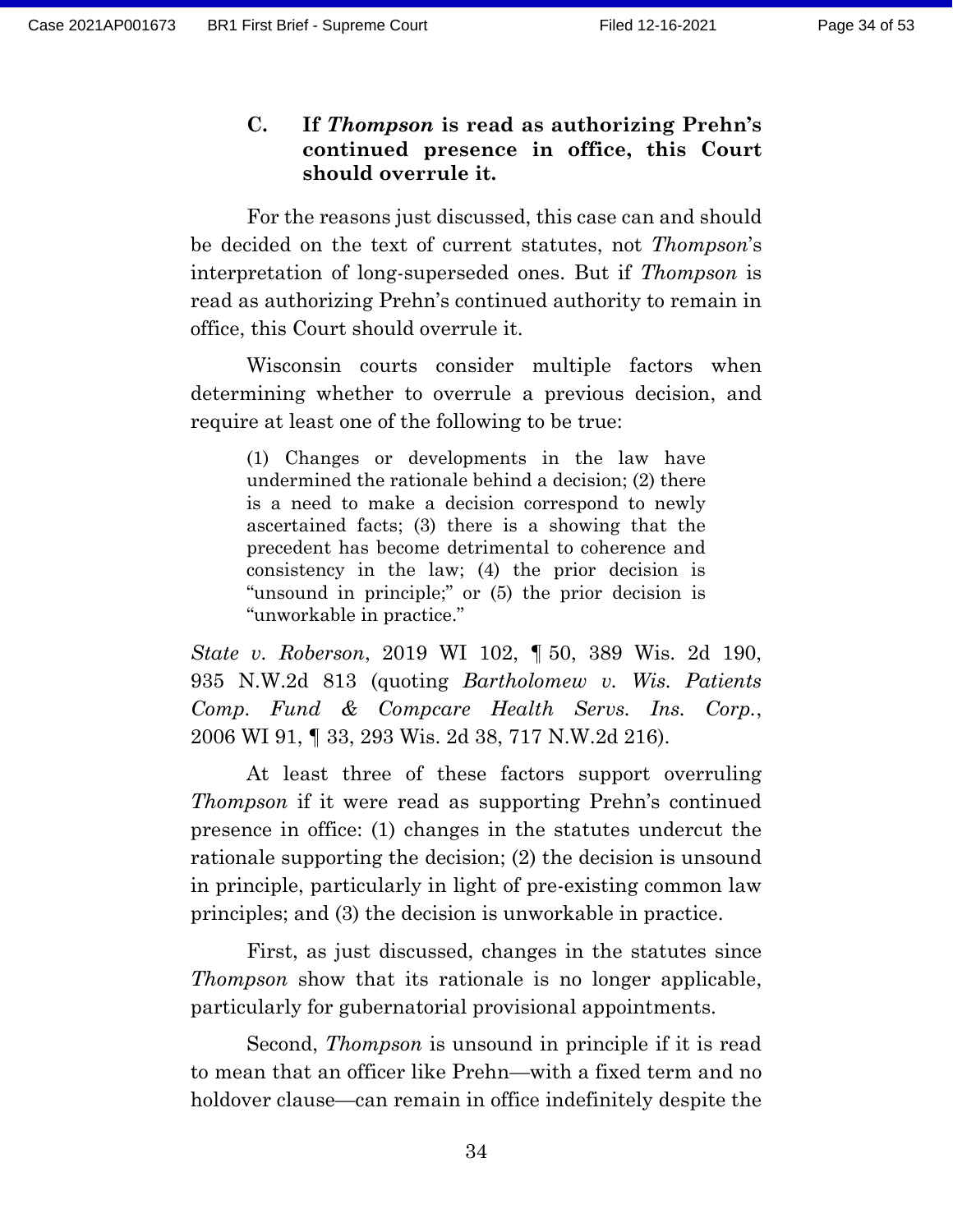**C. If** *Thompson* **is read as authorizing Prehn's continued presence in office, this Court should overrule it.**

For the reasons just discussed, this case can and should be decided on the text of current statutes, not *Thompson*'s interpretation of long-superseded ones. But if *Thompson* is read as authorizing Prehn's continued authority to remain in office, this Court should overrule it.

Wisconsin courts consider multiple factors when determining whether to overrule a previous decision, and require at least one of the following to be true:

(1) Changes or developments in the law have undermined the rationale behind a decision; (2) there is a need to make a decision correspond to newly ascertained facts; (3) there is a showing that the precedent has become detrimental to coherence and consistency in the law; (4) the prior decision is "unsound in principle;" or (5) the prior decision is "unworkable in practice."

*State v. Roberson*, 2019 WI 102, ¶ 50, 389 Wis. 2d 190, 935 N.W.2d 813 (quoting *Bartholomew v. Wis. Patients Comp. Fund & Compcare Health Servs. Ins. Corp.*, 2006 WI 91, ¶ 33, 293 Wis. 2d 38, 717 N.W.2d 216).

At least three of these factors support overruling *Thompson* if it were read as supporting Prehn's continued presence in office: (1) changes in the statutes undercut the rationale supporting the decision; (2) the decision is unsound in principle, particularly in light of pre-existing common law principles; and (3) the decision is unworkable in practice.

First, as just discussed, changes in the statutes since *Thompson* show that its rationale is no longer applicable, particularly for gubernatorial provisional appointments.

Second, *Thompson* is unsound in principle if it is read to mean that an officer like Prehn—with a fixed term and no holdover clause—can remain in office indefinitely despite the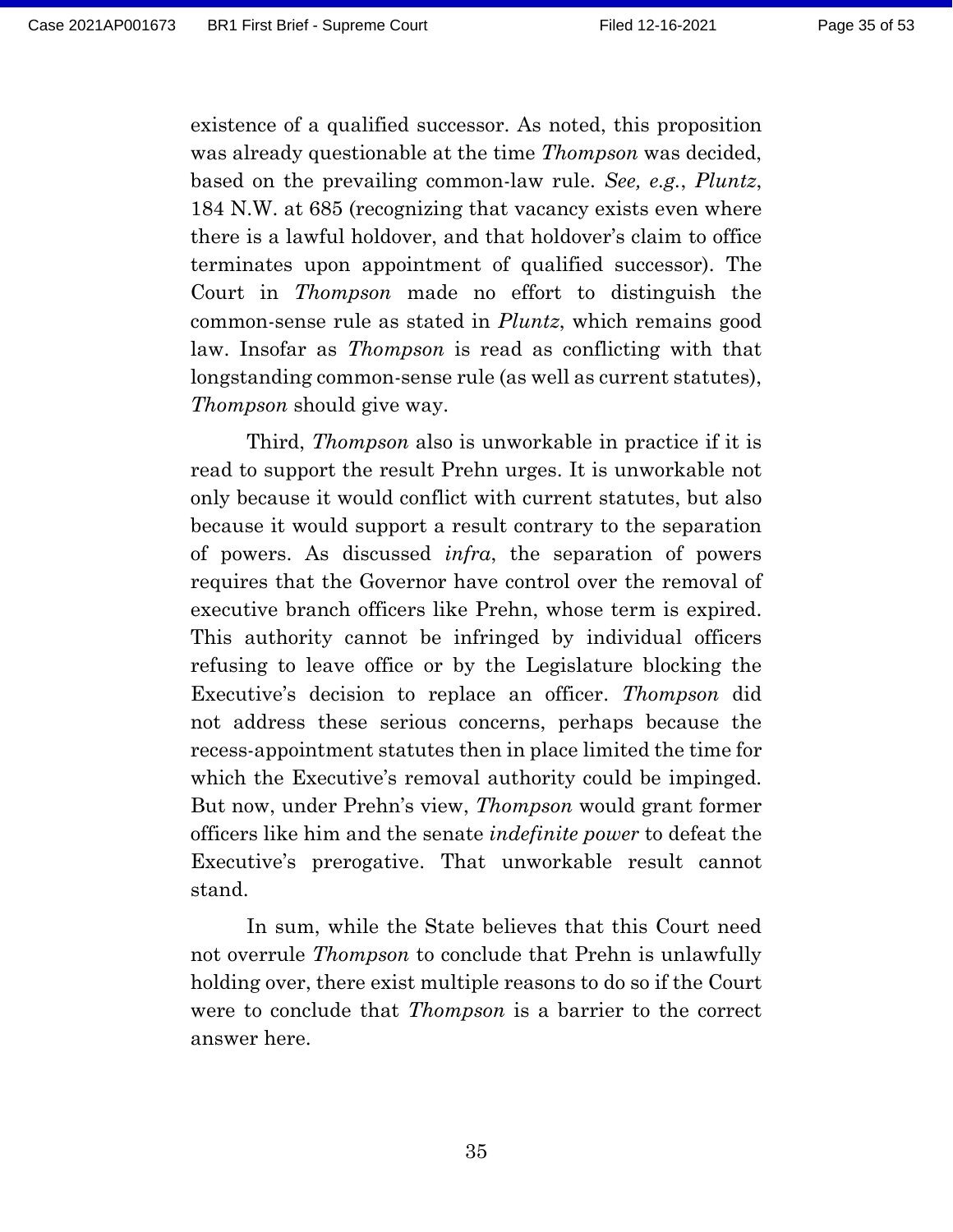existence of a qualified successor. As noted, this proposition was already questionable at the time *Thompson* was decided, based on the prevailing common-law rule. *See, e.g.*, *Pluntz*, 184 N.W. at 685 (recognizing that vacancy exists even where there is a lawful holdover, and that holdover's claim to office terminates upon appointment of qualified successor). The Court in *Thompson* made no effort to distinguish the common-sense rule as stated in *Pluntz*, which remains good law. Insofar as *Thompson* is read as conflicting with that longstanding common-sense rule (as well as current statutes), *Thompson* should give way.

Third, *Thompson* also is unworkable in practice if it is read to support the result Prehn urges. It is unworkable not only because it would conflict with current statutes, but also because it would support a result contrary to the separation of powers. As discussed *infra*, the separation of powers requires that the Governor have control over the removal of executive branch officers like Prehn, whose term is expired. This authority cannot be infringed by individual officers refusing to leave office or by the Legislature blocking the Executive's decision to replace an officer. *Thompson* did not address these serious concerns, perhaps because the recess-appointment statutes then in place limited the time for which the Executive's removal authority could be impinged. But now, under Prehn's view, *Thompson* would grant former officers like him and the senate *indefinite power* to defeat the Executive's prerogative. That unworkable result cannot stand.

In sum, while the State believes that this Court need not overrule *Thompson* to conclude that Prehn is unlawfully holding over, there exist multiple reasons to do so if the Court were to conclude that *Thompson* is a barrier to the correct answer here.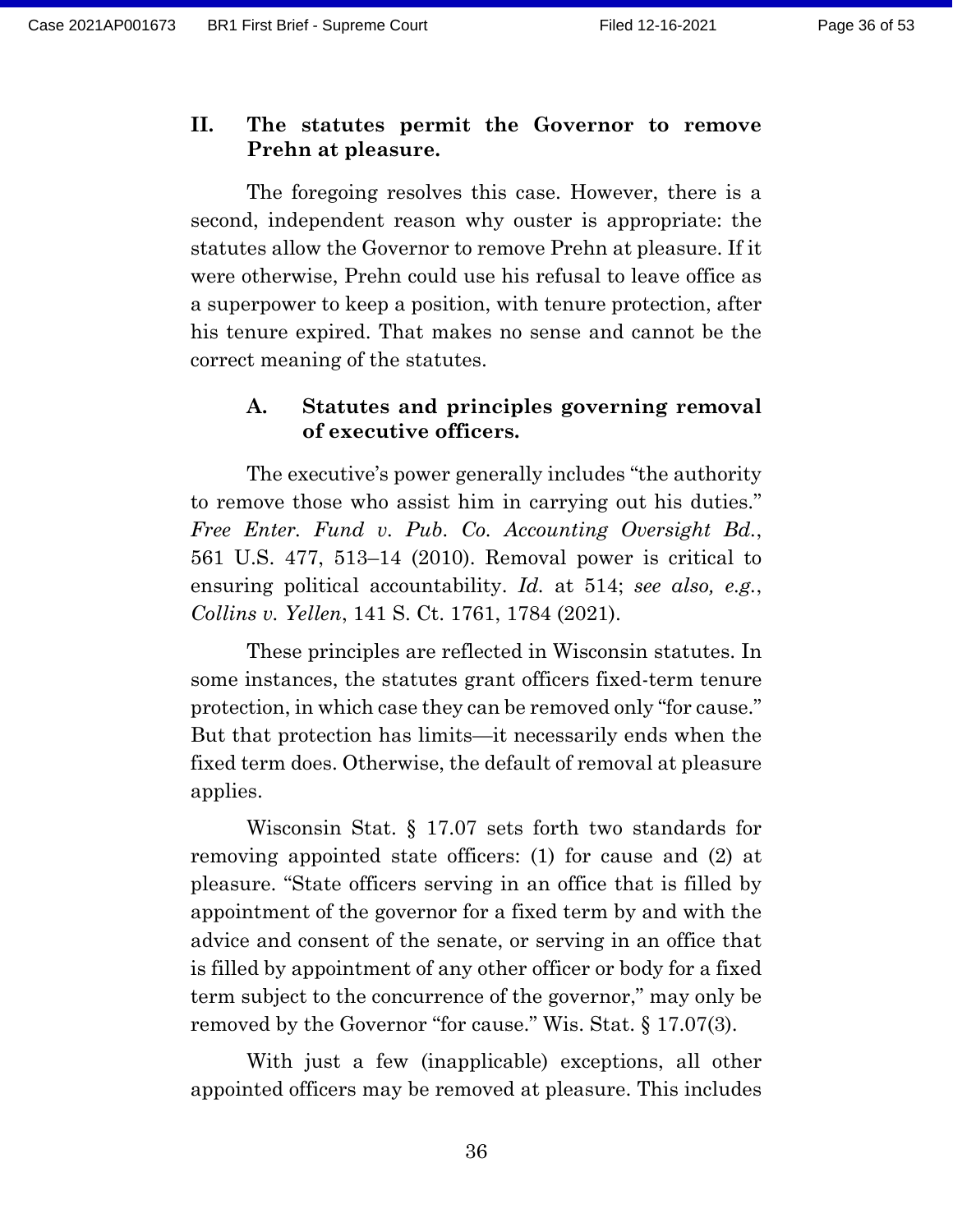#### **II. The statutes permit the Governor to remove Prehn at pleasure.**

The foregoing resolves this case. However, there is a second, independent reason why ouster is appropriate: the statutes allow the Governor to remove Prehn at pleasure. If it were otherwise, Prehn could use his refusal to leave office as a superpower to keep a position, with tenure protection, after his tenure expired. That makes no sense and cannot be the correct meaning of the statutes.

#### **A. Statutes and principles governing removal of executive officers.**

The executive's power generally includes "the authority to remove those who assist him in carrying out his duties." *Free Enter. Fund v. Pub. Co. Accounting Oversight Bd.*, 561 U.S. 477, 513–14 (2010). Removal power is critical to ensuring political accountability. *Id.* at 514; *see also, e.g.*, *Collins v. Yellen*, 141 S. Ct. 1761, 1784 (2021).

These principles are reflected in Wisconsin statutes. In some instances, the statutes grant officers fixed-term tenure protection, in which case they can be removed only "for cause." But that protection has limits—it necessarily ends when the fixed term does. Otherwise, the default of removal at pleasure applies.

Wisconsin Stat. § 17.07 sets forth two standards for removing appointed state officers: (1) for cause and (2) at pleasure. "State officers serving in an office that is filled by appointment of the governor for a fixed term by and with the advice and consent of the senate, or serving in an office that is filled by appointment of any other officer or body for a fixed term subject to the concurrence of the governor," may only be removed by the Governor "for cause." Wis. Stat. § 17.07(3).

With just a few (inapplicable) exceptions, all other appointed officers may be removed at pleasure. This includes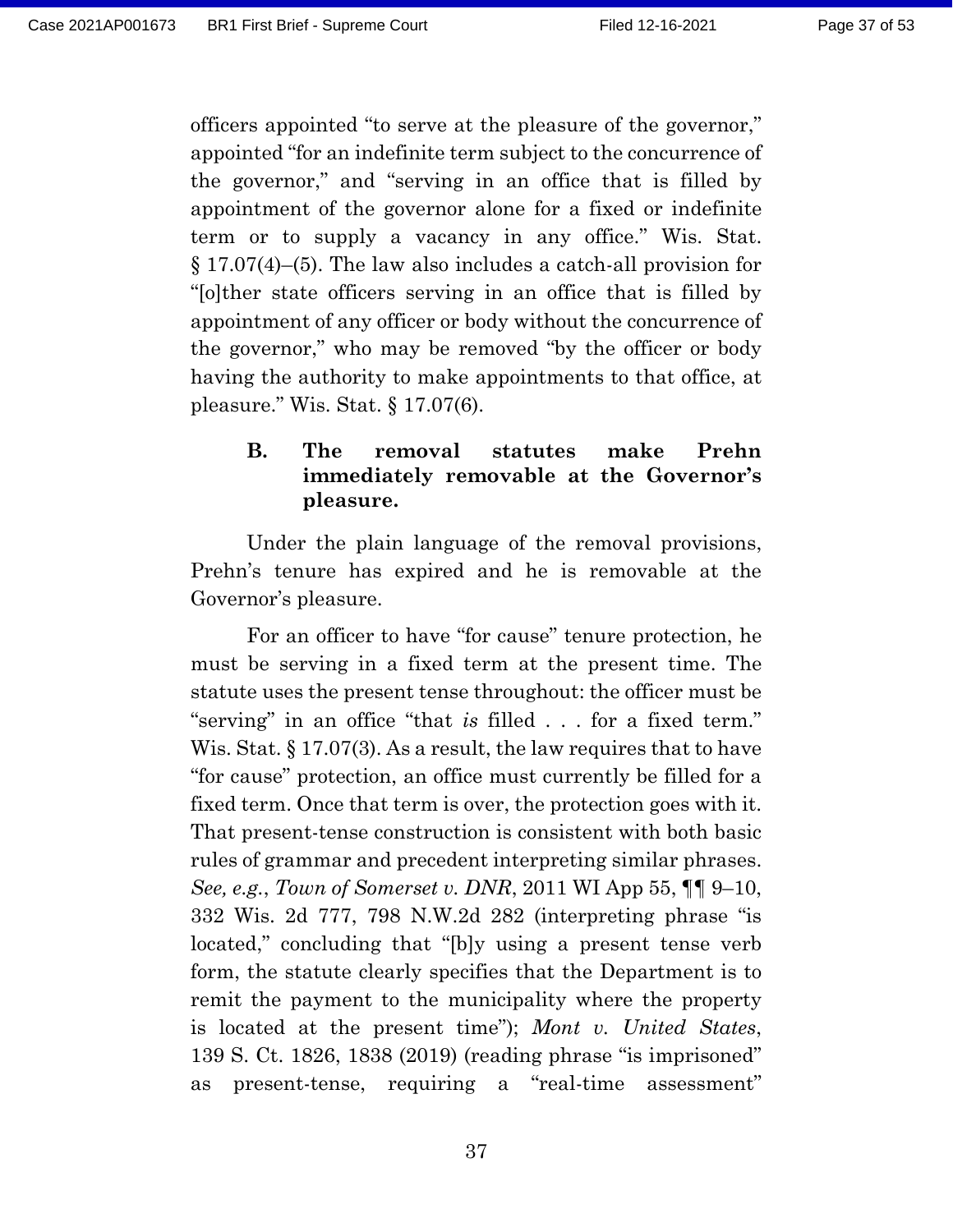officers appointed "to serve at the pleasure of the governor," appointed "for an indefinite term subject to the concurrence of the governor," and "serving in an office that is filled by appointment of the governor alone for a fixed or indefinite term or to supply a vacancy in any office." Wis. Stat. § 17.07(4)–(5). The law also includes a catch-all provision for "[o]ther state officers serving in an office that is filled by appointment of any officer or body without the concurrence of the governor," who may be removed "by the officer or body having the authority to make appointments to that office, at pleasure." Wis. Stat. § 17.07(6).

### **B. The removal statutes make Prehn immediately removable at the Governor's pleasure.**

Under the plain language of the removal provisions, Prehn's tenure has expired and he is removable at the Governor's pleasure.

For an officer to have "for cause" tenure protection, he must be serving in a fixed term at the present time. The statute uses the present tense throughout: the officer must be "serving" in an office "that *is* filled . . . for a fixed term." Wis. Stat. § 17.07(3). As a result, the law requires that to have "for cause" protection, an office must currently be filled for a fixed term. Once that term is over, the protection goes with it. That present-tense construction is consistent with both basic rules of grammar and precedent interpreting similar phrases. *See, e.g.*, *Town of Somerset v. DNR*, 2011 WI App 55, ¶¶ 9–10, 332 Wis. 2d 777, 798 N.W.2d 282 (interpreting phrase "is located," concluding that "[b]y using a present tense verb form, the statute clearly specifies that the Department is to remit the payment to the municipality where the property is located at the present time"); *Mont v. United States*, 139 S. Ct. 1826, 1838 (2019) (reading phrase "is imprisoned" as present-tense, requiring a "real-time assessment"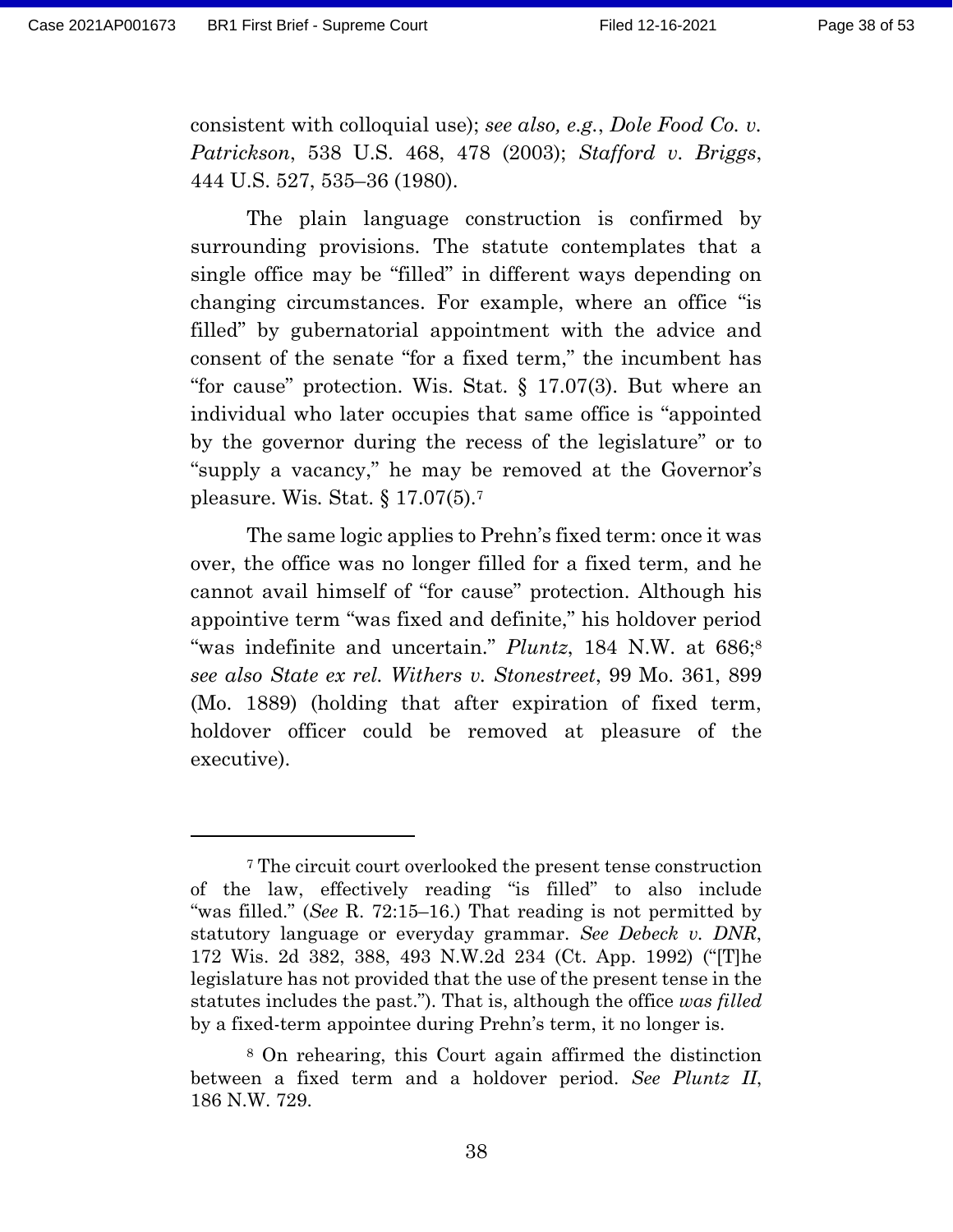consistent with colloquial use); *see also, e.g.*, *Dole Food Co. v. Patrickson*, 538 U.S. 468, 478 (2003); *Stafford v. Briggs*, 444 U.S. 527, 535–36 (1980).

The plain language construction is confirmed by surrounding provisions. The statute contemplates that a single office may be "filled" in different ways depending on changing circumstances. For example, where an office "is filled" by gubernatorial appointment with the advice and consent of the senate "for a fixed term," the incumbent has "for cause" protection. Wis. Stat. § 17.07(3). But where an individual who later occupies that same office is "appointed by the governor during the recess of the legislature" or to "supply a vacancy," he may be removed at the Governor's pleasure. Wis*.* Stat. § 17.07(5).<sup>7</sup>

The same logic applies to Prehn's fixed term: once it was over, the office was no longer filled for a fixed term, and he cannot avail himself of "for cause" protection. Although his appointive term "was fixed and definite," his holdover period "was indefinite and uncertain." *Pluntz*, 184 N.W. at 686;<sup>8</sup> *see also State ex rel. Withers v. Stonestreet*, 99 Mo. 361, 899 (Mo. 1889) (holding that after expiration of fixed term, holdover officer could be removed at pleasure of the executive).

<sup>7</sup> The circuit court overlooked the present tense construction of the law, effectively reading "is filled" to also include "was filled." (*See* R. 72:15–16.) That reading is not permitted by statutory language or everyday grammar. *See Debeck v. DNR*, 172 Wis. 2d 382, 388, 493 N.W.2d 234 (Ct. App. 1992) ("[T]he legislature has not provided that the use of the present tense in the statutes includes the past."). That is, although the office *was filled* by a fixed-term appointee during Prehn's term, it no longer is.

<sup>8</sup> On rehearing, this Court again affirmed the distinction between a fixed term and a holdover period. *See Pluntz II*, 186 N.W. 729.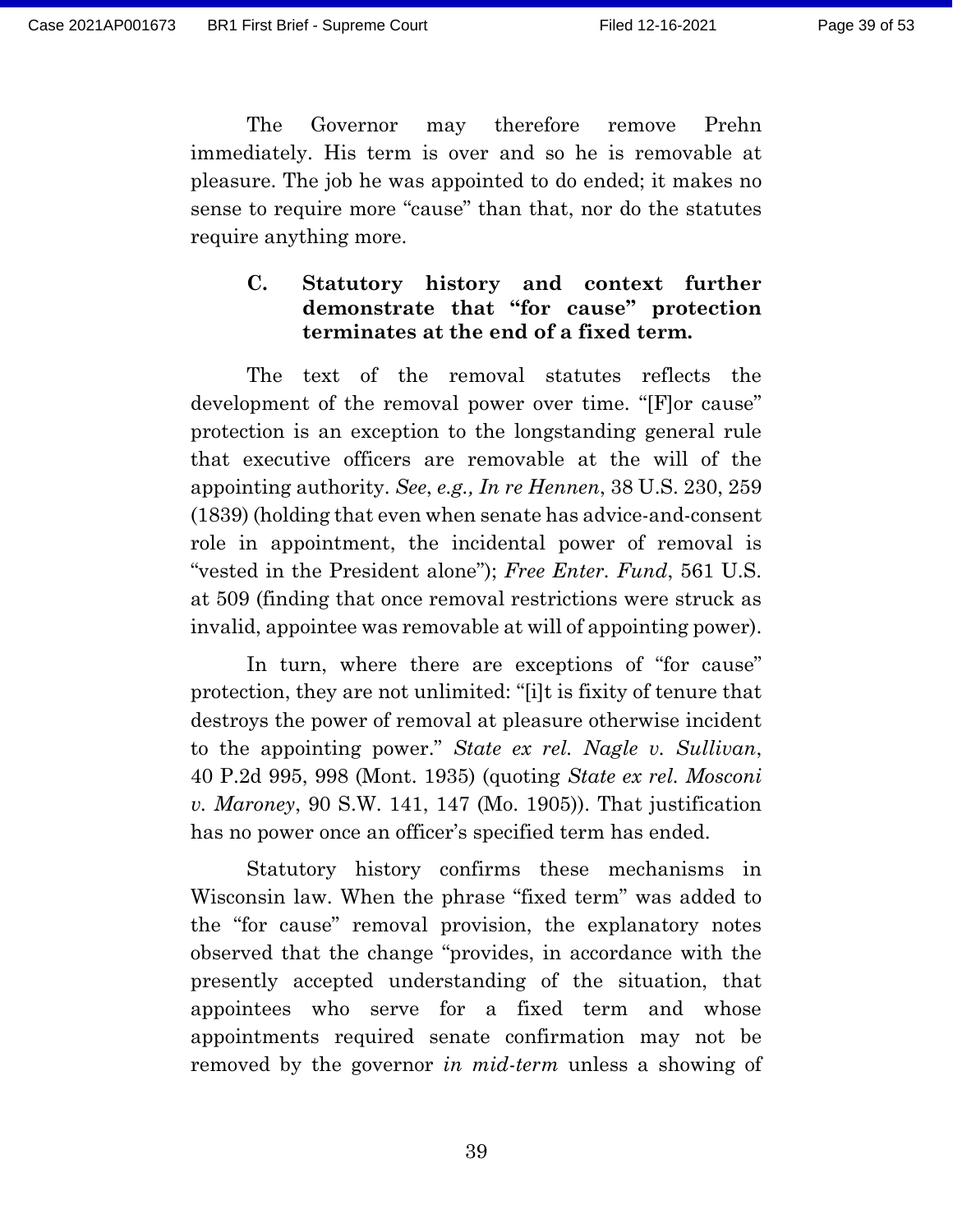The Governor may therefore remove Prehn immediately. His term is over and so he is removable at pleasure. The job he was appointed to do ended; it makes no sense to require more "cause" than that, nor do the statutes require anything more.

## **C. Statutory history and context further demonstrate that "for cause" protection terminates at the end of a fixed term.**

The text of the removal statutes reflects the development of the removal power over time. "[F]or cause" protection is an exception to the longstanding general rule that executive officers are removable at the will of the appointing authority. *See*, *e.g., In re Hennen*, 38 U.S. 230, 259 (1839) (holding that even when senate has advice-and-consent role in appointment, the incidental power of removal is "vested in the President alone"); *Free Enter. Fund*, 561 U.S. at 509 (finding that once removal restrictions were struck as invalid, appointee was removable at will of appointing power).

In turn, where there are exceptions of "for cause" protection, they are not unlimited: "[i]t is fixity of tenure that destroys the power of removal at pleasure otherwise incident to the appointing power." *State ex rel. Nagle v. Sullivan*, 40 P.2d 995, 998 (Mont. 1935) (quoting *State ex rel. Mosconi v. Maroney*, 90 S.W. 141, 147 (Mo. 1905)). That justification has no power once an officer's specified term has ended.

Statutory history confirms these mechanisms in Wisconsin law. When the phrase "fixed term" was added to the "for cause" removal provision, the explanatory notes observed that the change "provides, in accordance with the presently accepted understanding of the situation, that appointees who serve for a fixed term and whose appointments required senate confirmation may not be removed by the governor *in mid-term* unless a showing of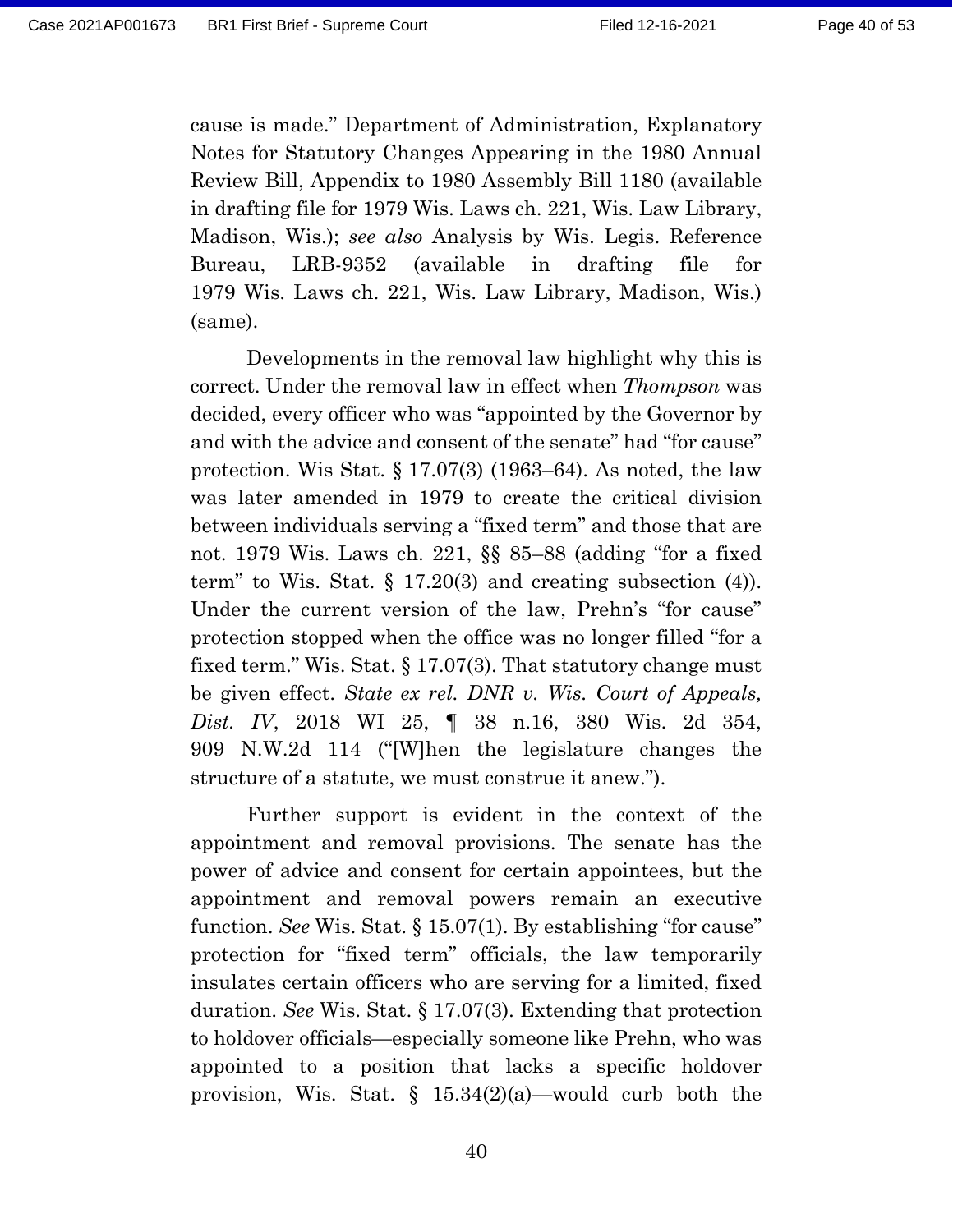cause is made." Department of Administration, Explanatory Notes for Statutory Changes Appearing in the 1980 Annual Review Bill, Appendix to 1980 Assembly Bill 1180 (available in drafting file for 1979 Wis. Laws ch. 221, Wis. Law Library, Madison, Wis.); *see also* Analysis by Wis. Legis. Reference Bureau, LRB-9352 (available in drafting file for 1979 Wis. Laws ch. 221, Wis. Law Library, Madison, Wis.) (same).

Developments in the removal law highlight why this is correct. Under the removal law in effect when *Thompson* was decided, every officer who was "appointed by the Governor by and with the advice and consent of the senate" had "for cause" protection. Wis Stat. § 17.07(3) (1963–64). As noted, the law was later amended in 1979 to create the critical division between individuals serving a "fixed term" and those that are not. 1979 Wis. Laws ch. 221, §§ 85–88 (adding "for a fixed term" to Wis. Stat.  $\S$  17.20(3) and creating subsection (4)). Under the current version of the law, Prehn's "for cause" protection stopped when the office was no longer filled "for a fixed term." Wis. Stat. § 17.07(3). That statutory change must be given effect. *State ex rel. DNR v. Wis. Court of Appeals, Dist. IV*, 2018 WI 25, ¶ 38 n.16, 380 Wis. 2d 354, 909 N.W.2d 114 ("[W]hen the legislature changes the structure of a statute, we must construe it anew.").

Further support is evident in the context of the appointment and removal provisions. The senate has the power of advice and consent for certain appointees, but the appointment and removal powers remain an executive function. *See* Wis. Stat. § 15.07(1). By establishing "for cause" protection for "fixed term" officials, the law temporarily insulates certain officers who are serving for a limited, fixed duration. *See* Wis. Stat. § 17.07(3). Extending that protection to holdover officials—especially someone like Prehn, who was appointed to a position that lacks a specific holdover provision, Wis. Stat.  $\S$  15.34(2)(a)—would curb both the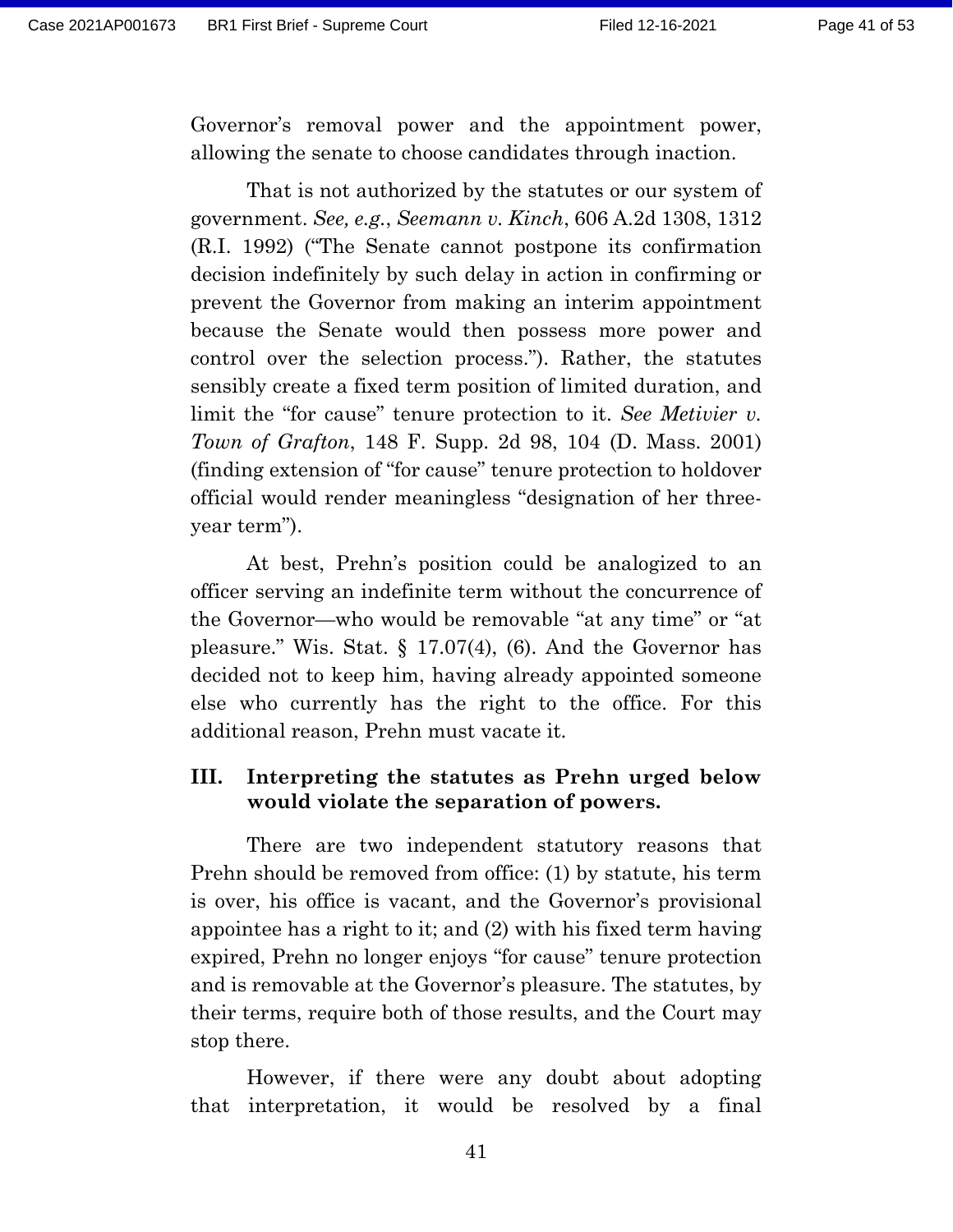Governor's removal power and the appointment power, allowing the senate to choose candidates through inaction.

That is not authorized by the statutes or our system of government. *See, e.g.*, *Seemann v. Kinch*, 606 A.2d 1308, 1312 (R.I. 1992) ("The Senate cannot postpone its confirmation decision indefinitely by such delay in action in confirming or prevent the Governor from making an interim appointment because the Senate would then possess more power and control over the selection process."). Rather, the statutes sensibly create a fixed term position of limited duration, and limit the "for cause" tenure protection to it. *See Metivier v. Town of Grafton*, 148 F. Supp. 2d 98, 104 (D. Mass. 2001) (finding extension of "for cause" tenure protection to holdover official would render meaningless "designation of her threeyear term").

At best, Prehn's position could be analogized to an officer serving an indefinite term without the concurrence of the Governor—who would be removable "at any time" or "at pleasure." Wis. Stat. § 17.07(4), (6). And the Governor has decided not to keep him, having already appointed someone else who currently has the right to the office. For this additional reason, Prehn must vacate it.

### **III. Interpreting the statutes as Prehn urged below would violate the separation of powers.**

There are two independent statutory reasons that Prehn should be removed from office: (1) by statute, his term is over, his office is vacant, and the Governor's provisional appointee has a right to it; and (2) with his fixed term having expired, Prehn no longer enjoys "for cause" tenure protection and is removable at the Governor's pleasure. The statutes, by their terms, require both of those results, and the Court may stop there.

However, if there were any doubt about adopting that interpretation, it would be resolved by a final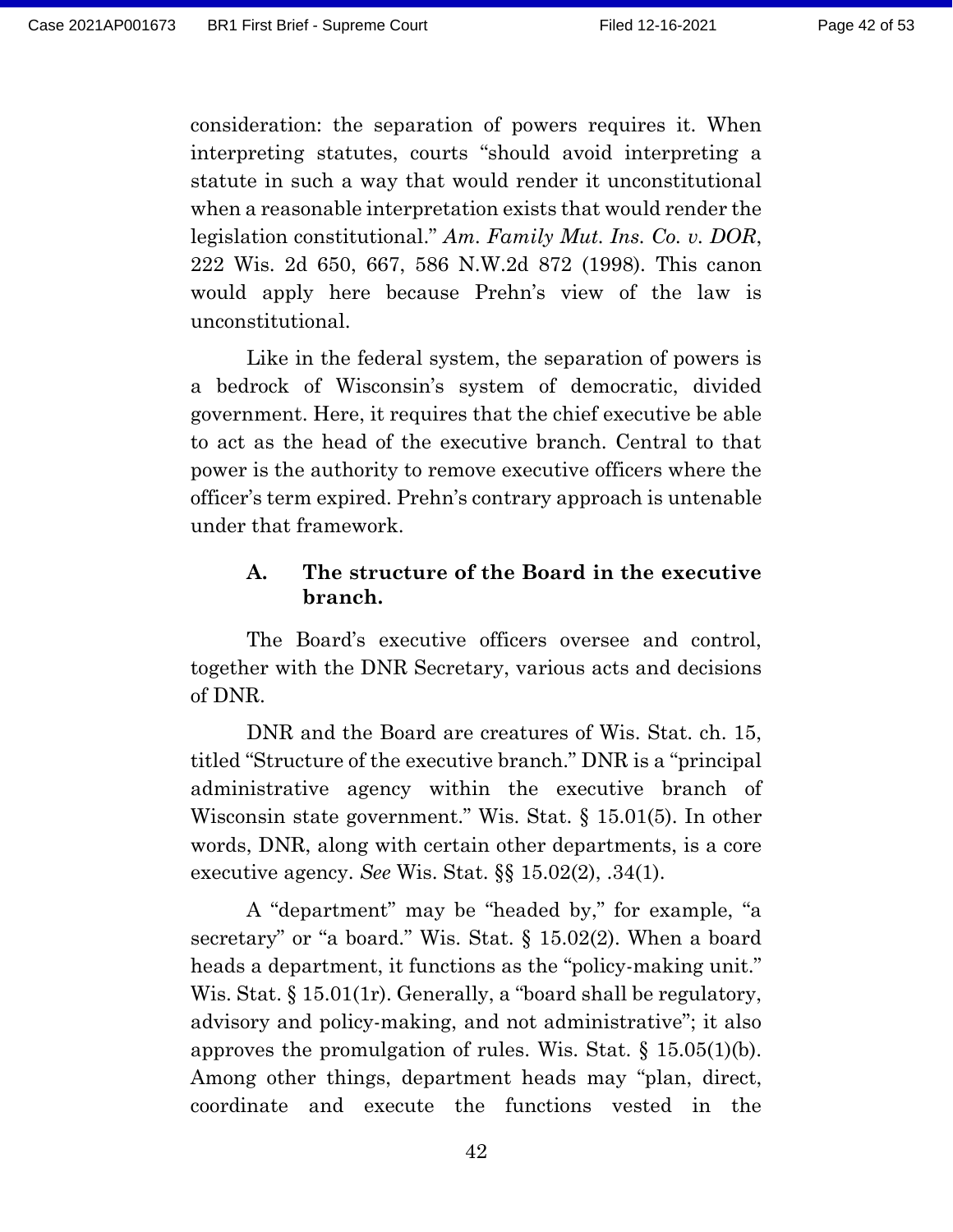consideration: the separation of powers requires it. When interpreting statutes, courts "should avoid interpreting a statute in such a way that would render it unconstitutional when a reasonable interpretation exists that would render the legislation constitutional." *Am. Family Mut. Ins. Co. v. DOR*, 222 Wis. 2d 650, 667, 586 N.W.2d 872 (1998). This canon would apply here because Prehn's view of the law is unconstitutional.

Like in the federal system, the separation of powers is a bedrock of Wisconsin's system of democratic, divided government. Here, it requires that the chief executive be able to act as the head of the executive branch. Central to that power is the authority to remove executive officers where the officer's term expired. Prehn's contrary approach is untenable under that framework.

#### **A. The structure of the Board in the executive branch.**

The Board's executive officers oversee and control, together with the DNR Secretary, various acts and decisions of DNR.

DNR and the Board are creatures of Wis. Stat. ch. 15, titled "Structure of the executive branch." DNR is a "principal administrative agency within the executive branch of Wisconsin state government." Wis. Stat. § 15.01(5). In other words, DNR, along with certain other departments, is a core executive agency. *See* Wis. Stat. §§ 15.02(2), .34(1).

A "department" may be "headed by," for example, "a secretary" or "a board." Wis. Stat. § 15.02(2). When a board heads a department, it functions as the "policy-making unit." Wis. Stat. § 15.01(1r). Generally, a "board shall be regulatory, advisory and policy-making, and not administrative"; it also approves the promulgation of rules. Wis. Stat.  $\S$  15.05(1)(b). Among other things, department heads may "plan, direct, coordinate and execute the functions vested in the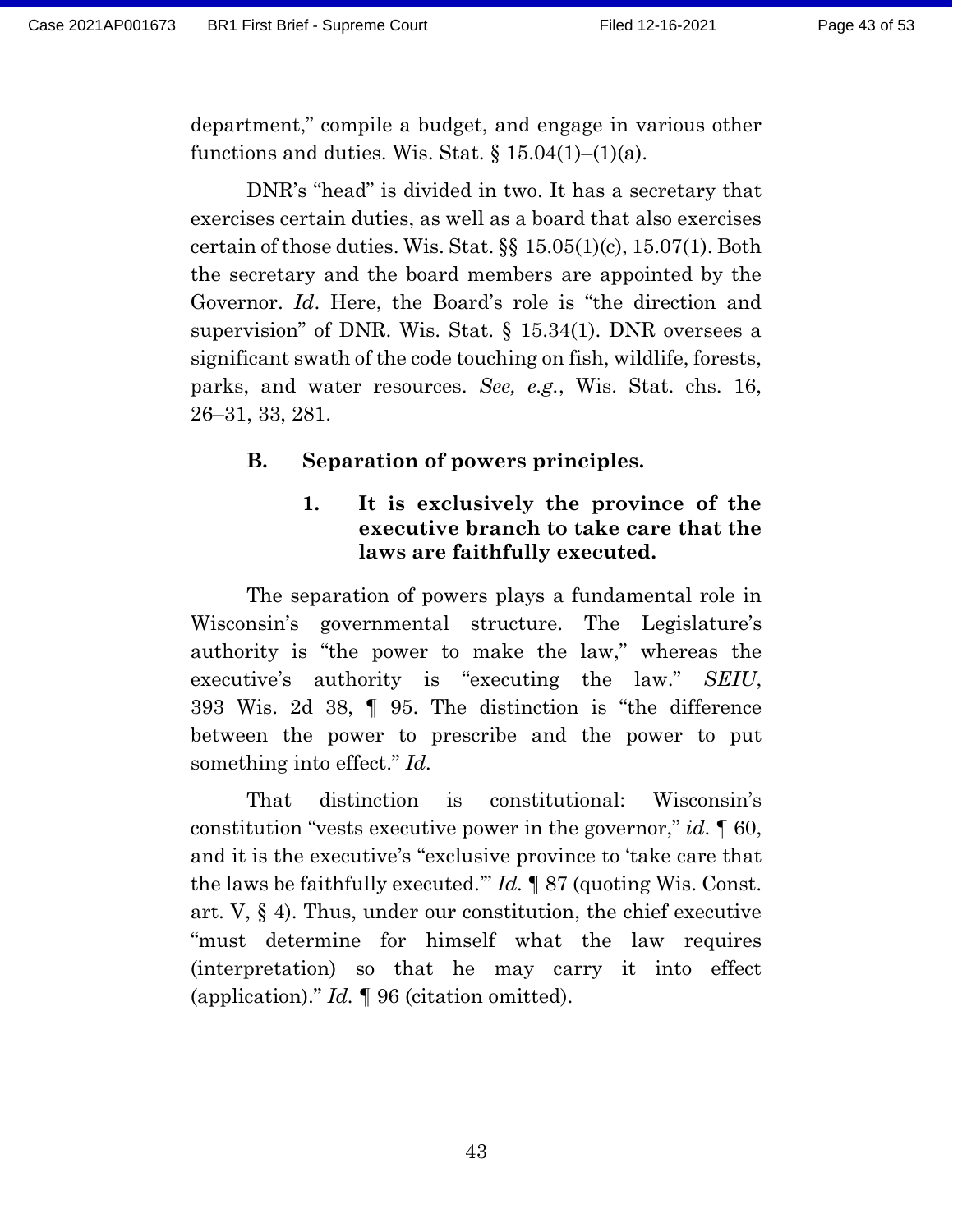department," compile a budget, and engage in various other functions and duties. Wis. Stat.  $\S 15.04(1)–(1)(a)$ .

DNR's "head" is divided in two. It has a secretary that exercises certain duties, as well as a board that also exercises certain of those duties. Wis. Stat. §§ 15.05(1)(c), 15.07(1). Both the secretary and the board members are appointed by the Governor. *Id*. Here, the Board's role is "the direction and supervision" of DNR. Wis. Stat. § 15.34(1). DNR oversees a significant swath of the code touching on fish, wildlife, forests, parks, and water resources. *See, e.g.*, Wis. Stat. chs. 16, 26–31, 33, 281.

### **B. Separation of powers principles.**

### **1. It is exclusively the province of the executive branch to take care that the laws are faithfully executed.**

The separation of powers plays a fundamental role in Wisconsin's governmental structure. The Legislature's authority is "the power to make the law," whereas the executive's authority is "executing the law." *SEIU*, 393 Wis. 2d 38, ¶ 95. The distinction is "the difference between the power to prescribe and the power to put something into effect." *Id.*

That distinction is constitutional: Wisconsin's constitution "vests executive power in the governor," *id.* ¶ 60, and it is the executive's "exclusive province to 'take care that the laws be faithfully executed.'" *Id.* ¶ 87 (quoting Wis. Const. art. V, § 4). Thus, under our constitution, the chief executive "must determine for himself what the law requires (interpretation) so that he may carry it into effect (application)." *Id.* ¶ 96 (citation omitted).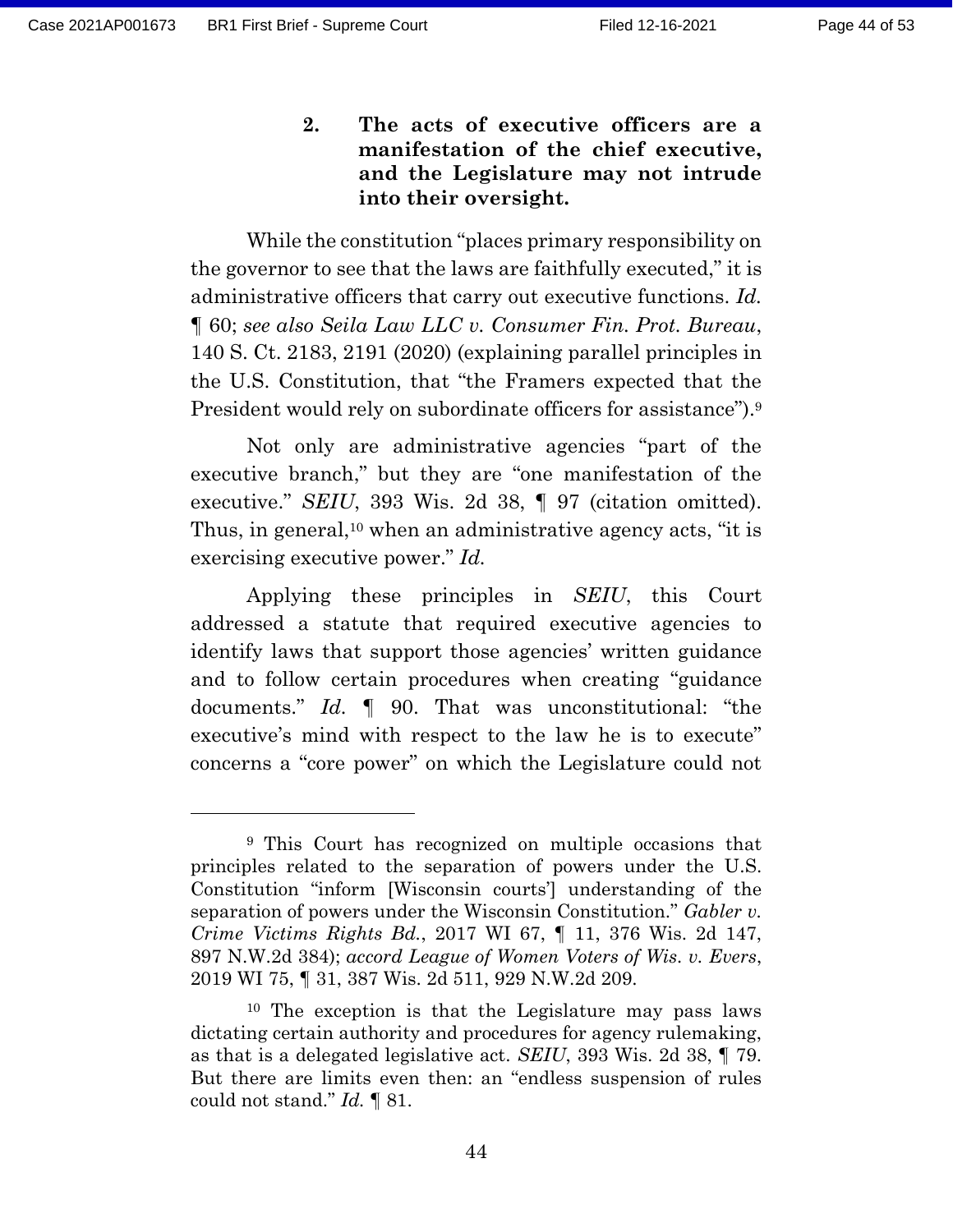**2. The acts of executive officers are a manifestation of the chief executive, and the Legislature may not intrude into their oversight.**

While the constitution "places primary responsibility on the governor to see that the laws are faithfully executed," it is administrative officers that carry out executive functions. *Id.* ¶ 60; *see also Seila Law LLC v. Consumer Fin. Prot. Bureau*, 140 S. Ct. 2183, 2191 (2020) (explaining parallel principles in the U.S. Constitution, that "the Framers expected that the President would rely on subordinate officers for assistance").<sup>9</sup>

Not only are administrative agencies "part of the executive branch," but they are "one manifestation of the executive." *SEIU*, 393 Wis. 2d 38, ¶ 97 (citation omitted). Thus, in general,<sup>10</sup> when an administrative agency acts, "it is exercising executive power." *Id.*

Applying these principles in *SEIU*, this Court addressed a statute that required executive agencies to identify laws that support those agencies' written guidance and to follow certain procedures when creating "guidance documents." *Id.* ¶ 90. That was unconstitutional: "the executive's mind with respect to the law he is to execute" concerns a "core power" on which the Legislature could not

<sup>9</sup> This Court has recognized on multiple occasions that principles related to the separation of powers under the U.S. Constitution "inform [Wisconsin courts'] understanding of the separation of powers under the Wisconsin Constitution." *Gabler v. Crime Victims Rights Bd.*, 2017 WI 67, ¶ 11, 376 Wis. 2d 147, 897 N.W.2d 384); *accord League of Women Voters of Wis. v. Evers*, 2019 WI 75, ¶ 31, 387 Wis. 2d 511, 929 N.W.2d 209.

<sup>10</sup> The exception is that the Legislature may pass laws dictating certain authority and procedures for agency rulemaking, as that is a delegated legislative act. *SEIU*, 393 Wis. 2d 38, ¶ 79. But there are limits even then: an "endless suspension of rules could not stand." *Id.* ¶ 81.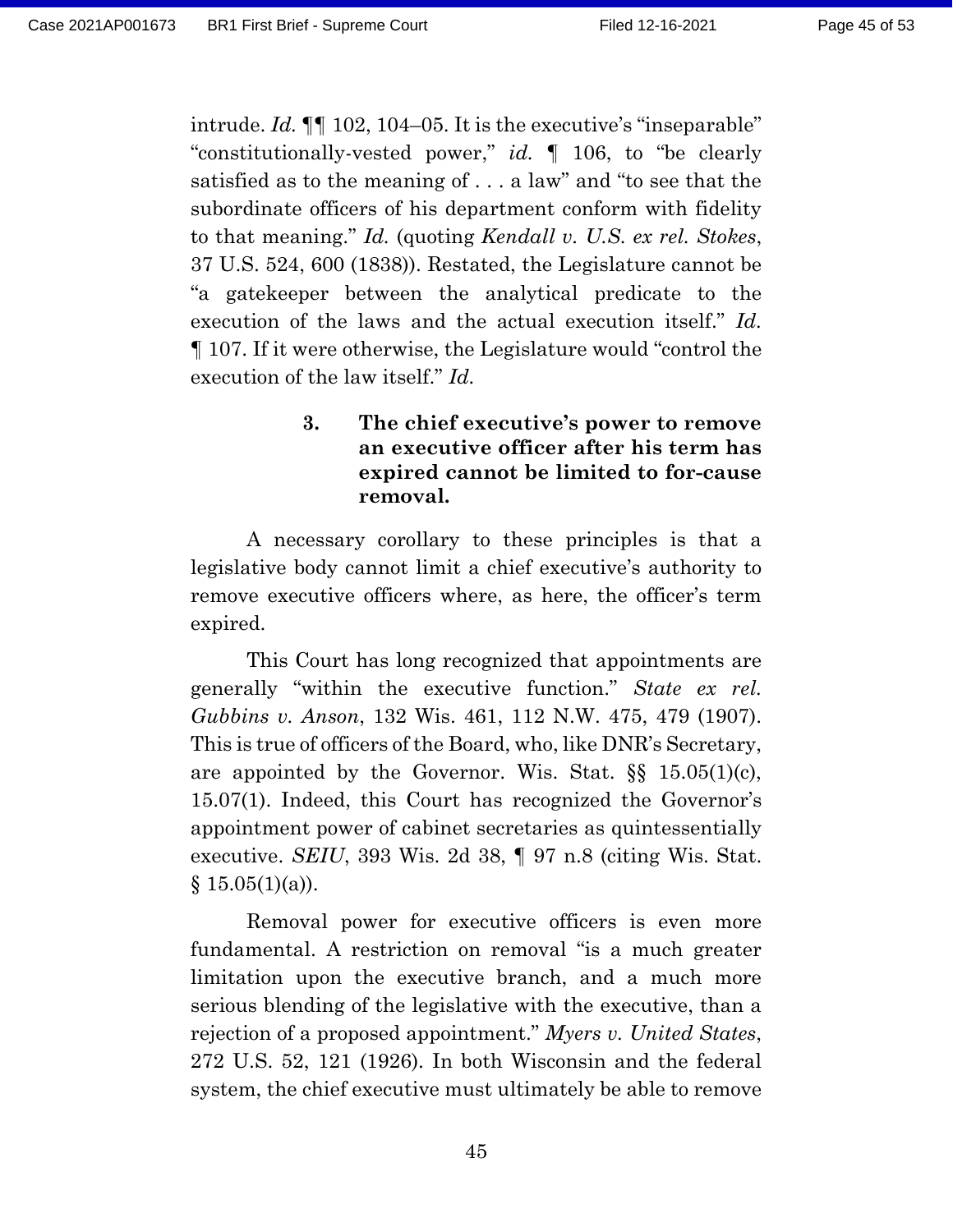intrude. *Id.* ¶¶ 102, 104–05. It is the executive's "inseparable" "constitutionally-vested power," *id.* ¶ 106, to "be clearly satisfied as to the meaning of . . . a law" and "to see that the subordinate officers of his department conform with fidelity to that meaning." *Id.* (quoting *Kendall v. U.S. ex rel. Stokes*, 37 U.S. 524, 600 (1838)). Restated, the Legislature cannot be "a gatekeeper between the analytical predicate to the execution of the laws and the actual execution itself." *Id.* ¶ 107. If it were otherwise, the Legislature would "control the execution of the law itself." *Id.*

### **3. The chief executive's power to remove an executive officer after his term has expired cannot be limited to for-cause removal.**

A necessary corollary to these principles is that a legislative body cannot limit a chief executive's authority to remove executive officers where, as here, the officer's term expired.

This Court has long recognized that appointments are generally "within the executive function." *State ex rel. Gubbins v. Anson*, 132 Wis. 461, 112 N.W. 475, 479 (1907). This is true of officers of the Board, who, like DNR's Secretary, are appointed by the Governor. Wis. Stat.  $\S$   $15.05(1)(c)$ , 15.07(1). Indeed, this Court has recognized the Governor's appointment power of cabinet secretaries as quintessentially executive. *SEIU*, 393 Wis. 2d 38, ¶ 97 n.8 (citing Wis. Stat.  $§ 15.05(1)(a)).$ 

Removal power for executive officers is even more fundamental. A restriction on removal "is a much greater limitation upon the executive branch, and a much more serious blending of the legislative with the executive, than a rejection of a proposed appointment." *Myers v. United States*, 272 U.S. 52, 121 (1926). In both Wisconsin and the federal system, the chief executive must ultimately be able to remove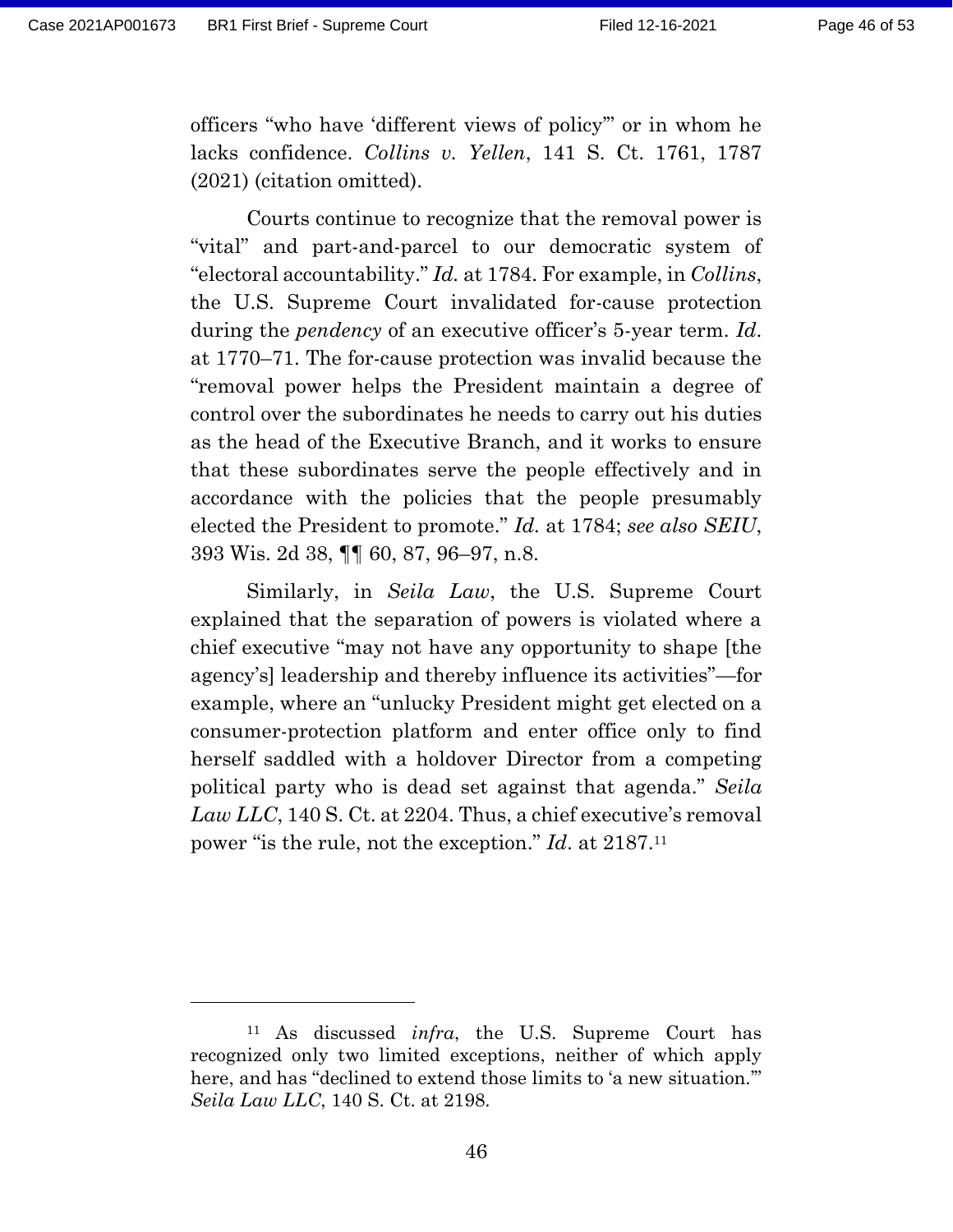officers "who have 'different views of policy'" or in whom he lacks confidence. *Collins v. Yellen*, 141 S. Ct. 1761, 1787 (2021) (citation omitted).

Courts continue to recognize that the removal power is "vital" and part-and-parcel to our democratic system of "electoral accountability." *Id.* at 1784. For example, in *Collins*, the U.S. Supreme Court invalidated for-cause protection during the *pendency* of an executive officer's 5-year term. *Id*. at 1770–71. The for-cause protection was invalid because the "removal power helps the President maintain a degree of control over the subordinates he needs to carry out his duties as the head of the Executive Branch, and it works to ensure that these subordinates serve the people effectively and in accordance with the policies that the people presumably elected the President to promote." *Id.* at 1784; *see also SEIU*, 393 Wis. 2d 38, ¶¶ 60, 87, 96–97, n.8.

Similarly, in *Seila Law*, the U.S. Supreme Court explained that the separation of powers is violated where a chief executive "may not have any opportunity to shape [the agency's] leadership and thereby influence its activities"—for example, where an "unlucky President might get elected on a consumer-protection platform and enter office only to find herself saddled with a holdover Director from a competing political party who is dead set against that agenda." *Seila*  Law LLC, 140 S. Ct. at 2204. Thus, a chief executive's removal power "is the rule, not the exception." *Id*. at 2187.<sup>11</sup>

<sup>11</sup> As discussed *infra*, the U.S. Supreme Court has recognized only two limited exceptions, neither of which apply here, and has "declined to extend those limits to 'a new situation." *Seila Law LLC*, 140 S. Ct. at 2198.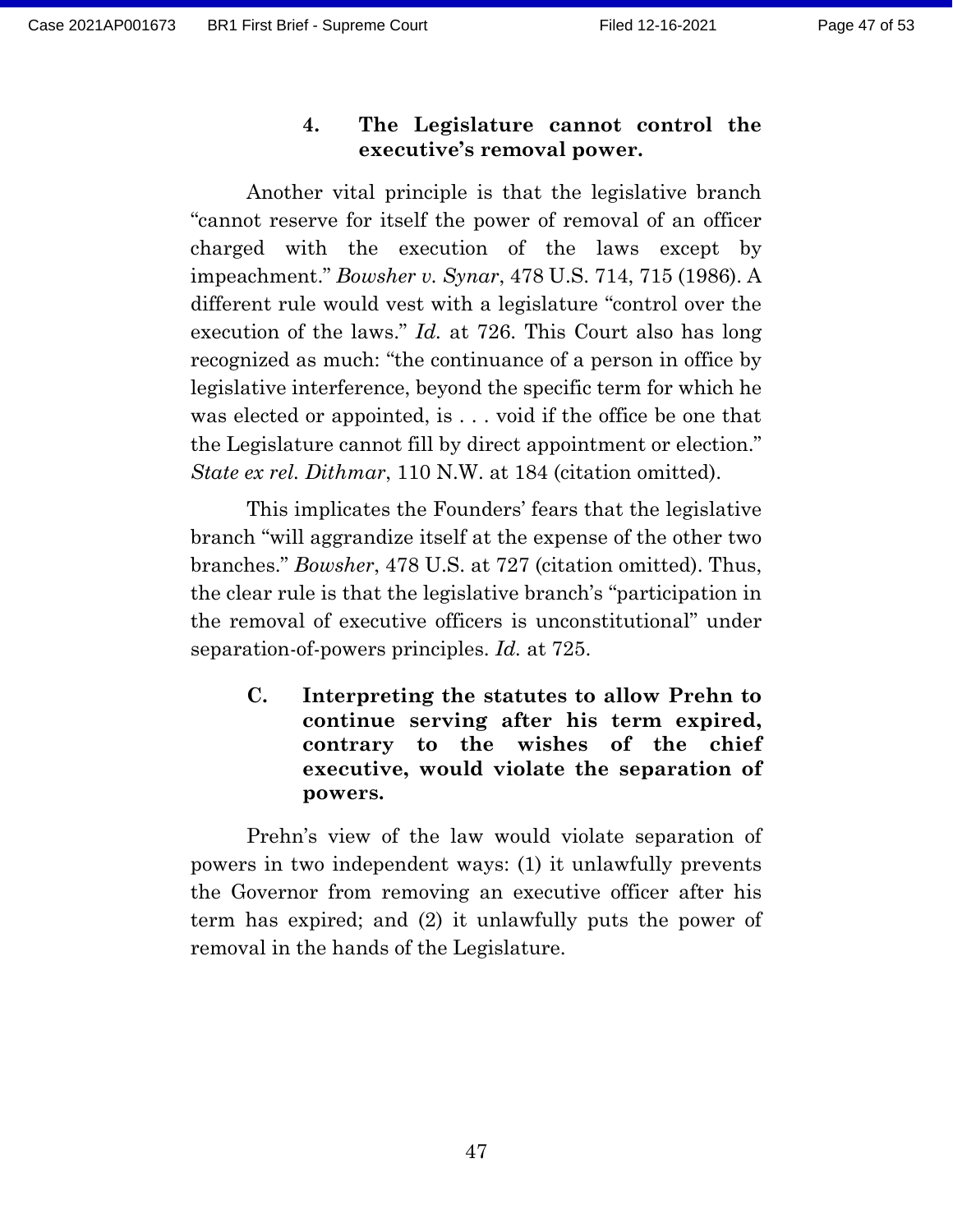### **4. The Legislature cannot control the executive's removal power.**

Another vital principle is that the legislative branch "cannot reserve for itself the power of removal of an officer charged with the execution of the laws except by impeachment." *Bowsher v. Synar*, 478 U.S. 714, 715 (1986). A different rule would vest with a legislature "control over the execution of the laws." *Id.* at 726. This Court also has long recognized as much: "the continuance of a person in office by legislative interference, beyond the specific term for which he was elected or appointed, is . . . void if the office be one that the Legislature cannot fill by direct appointment or election." *State ex rel. Dithmar*, 110 N.W. at 184 (citation omitted).

This implicates the Founders' fears that the legislative branch "will aggrandize itself at the expense of the other two branches." *Bowsher*, 478 U.S. at 727 (citation omitted). Thus, the clear rule is that the legislative branch's "participation in the removal of executive officers is unconstitutional" under separation-of-powers principles. *Id.* at 725.

**C. Interpreting the statutes to allow Prehn to continue serving after his term expired, contrary to the wishes of the chief executive, would violate the separation of powers.**

Prehn's view of the law would violate separation of powers in two independent ways: (1) it unlawfully prevents the Governor from removing an executive officer after his term has expired; and (2) it unlawfully puts the power of removal in the hands of the Legislature.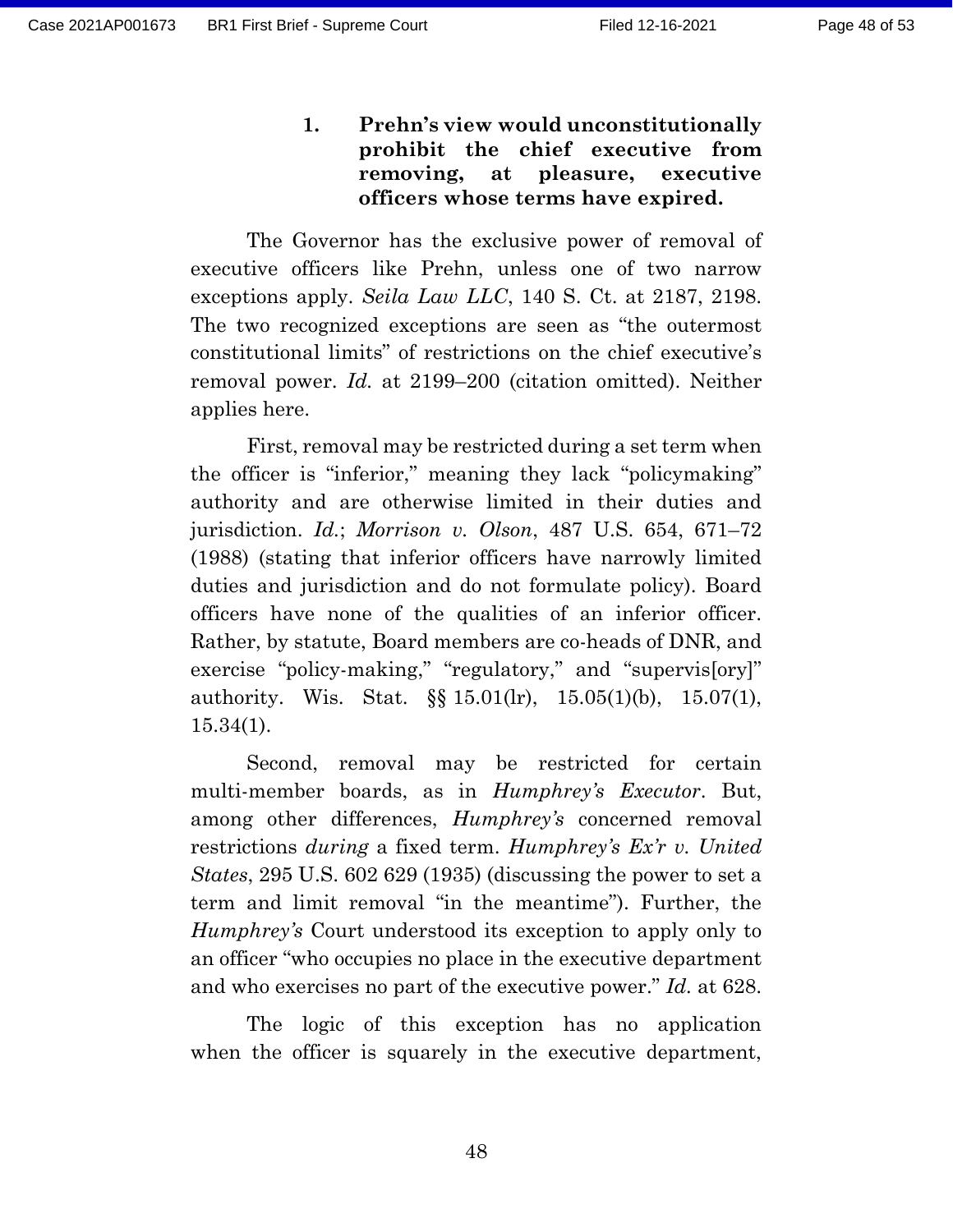**1. Prehn's view would unconstitutionally prohibit the chief executive from removing, at pleasure, executive officers whose terms have expired.**

The Governor has the exclusive power of removal of executive officers like Prehn, unless one of two narrow exceptions apply. *Seila Law LLC*, 140 S. Ct. at 2187, 2198. The two recognized exceptions are seen as "the outermost constitutional limits" of restrictions on the chief executive's removal power. *Id.* at 2199–200 (citation omitted). Neither applies here.

First, removal may be restricted during a set term when the officer is "inferior," meaning they lack "policymaking" authority and are otherwise limited in their duties and jurisdiction. *Id.*; *Morrison v. Olson*, 487 U.S. 654, 671–72 (1988) (stating that inferior officers have narrowly limited duties and jurisdiction and do not formulate policy). Board officers have none of the qualities of an inferior officer. Rather, by statute, Board members are co-heads of DNR, and exercise "policy-making," "regulatory," and "supervis[ory]" authority. Wis. Stat. §§ 15.01(lr), 15.05(1)(b), 15.07(1), 15.34(1).

Second, removal may be restricted for certain multi-member boards, as in *Humphrey's Executor*. But, among other differences, *Humphrey's* concerned removal restrictions *during* a fixed term. *Humphrey's Ex'r v. United States*, 295 U.S. 602 629 (1935) (discussing the power to set a term and limit removal "in the meantime"). Further, the *Humphrey's* Court understood its exception to apply only to an officer "who occupies no place in the executive department and who exercises no part of the executive power." *Id.* at 628.

The logic of this exception has no application when the officer is squarely in the executive department,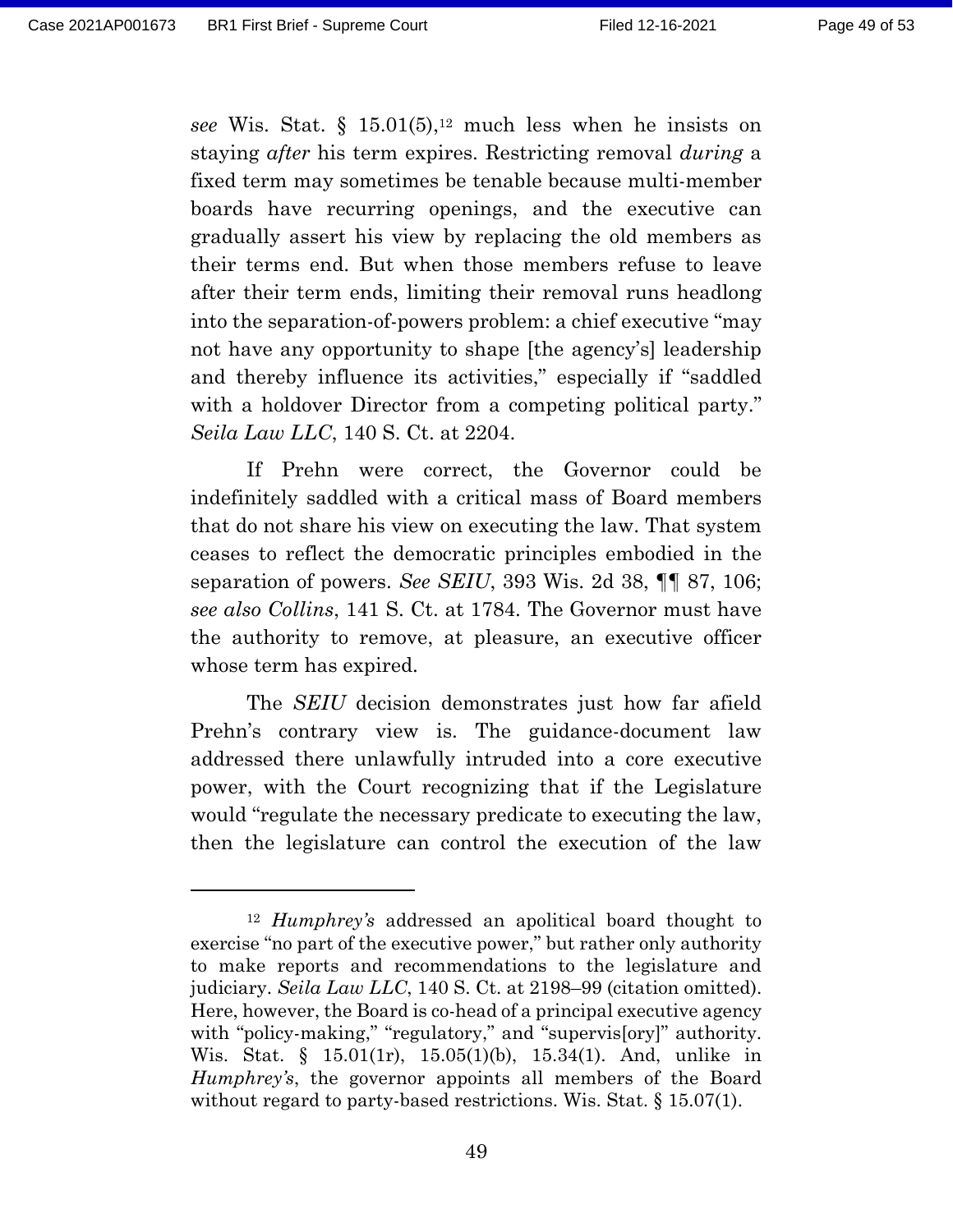*see* Wis. Stat. § 15.01(5), <sup>12</sup> much less when he insists on staying *after* his term expires. Restricting removal *during* a fixed term may sometimes be tenable because multi-member boards have recurring openings, and the executive can gradually assert his view by replacing the old members as their terms end. But when those members refuse to leave after their term ends, limiting their removal runs headlong into the separation-of-powers problem: a chief executive "may not have any opportunity to shape [the agency's] leadership and thereby influence its activities," especially if "saddled with a holdover Director from a competing political party." *Seila Law LLC*, 140 S. Ct. at 2204.

If Prehn were correct, the Governor could be indefinitely saddled with a critical mass of Board members that do not share his view on executing the law. That system ceases to reflect the democratic principles embodied in the separation of powers. *See SEIU*, 393 Wis. 2d 38, ¶¶ 87, 106; *see also Collins*, 141 S. Ct. at 1784. The Governor must have the authority to remove, at pleasure, an executive officer whose term has expired.

The *SEIU* decision demonstrates just how far afield Prehn's contrary view is. The guidance-document law addressed there unlawfully intruded into a core executive power, with the Court recognizing that if the Legislature would "regulate the necessary predicate to executing the law, then the legislature can control the execution of the law

<sup>12</sup> *Humphrey's* addressed an apolitical board thought to exercise "no part of the executive power," but rather only authority to make reports and recommendations to the legislature and judiciary. *Seila Law LLC*, 140 S. Ct. at 2198–99 (citation omitted). Here, however, the Board is co-head of a principal executive agency with "policy-making," "regulatory," and "supervis[ory]" authority. Wis. Stat. § 15.01(1r), 15.05(1)(b), 15.34(1). And, unlike in *Humphrey's*, the governor appoints all members of the Board without regard to party-based restrictions. Wis. Stat. § 15.07(1).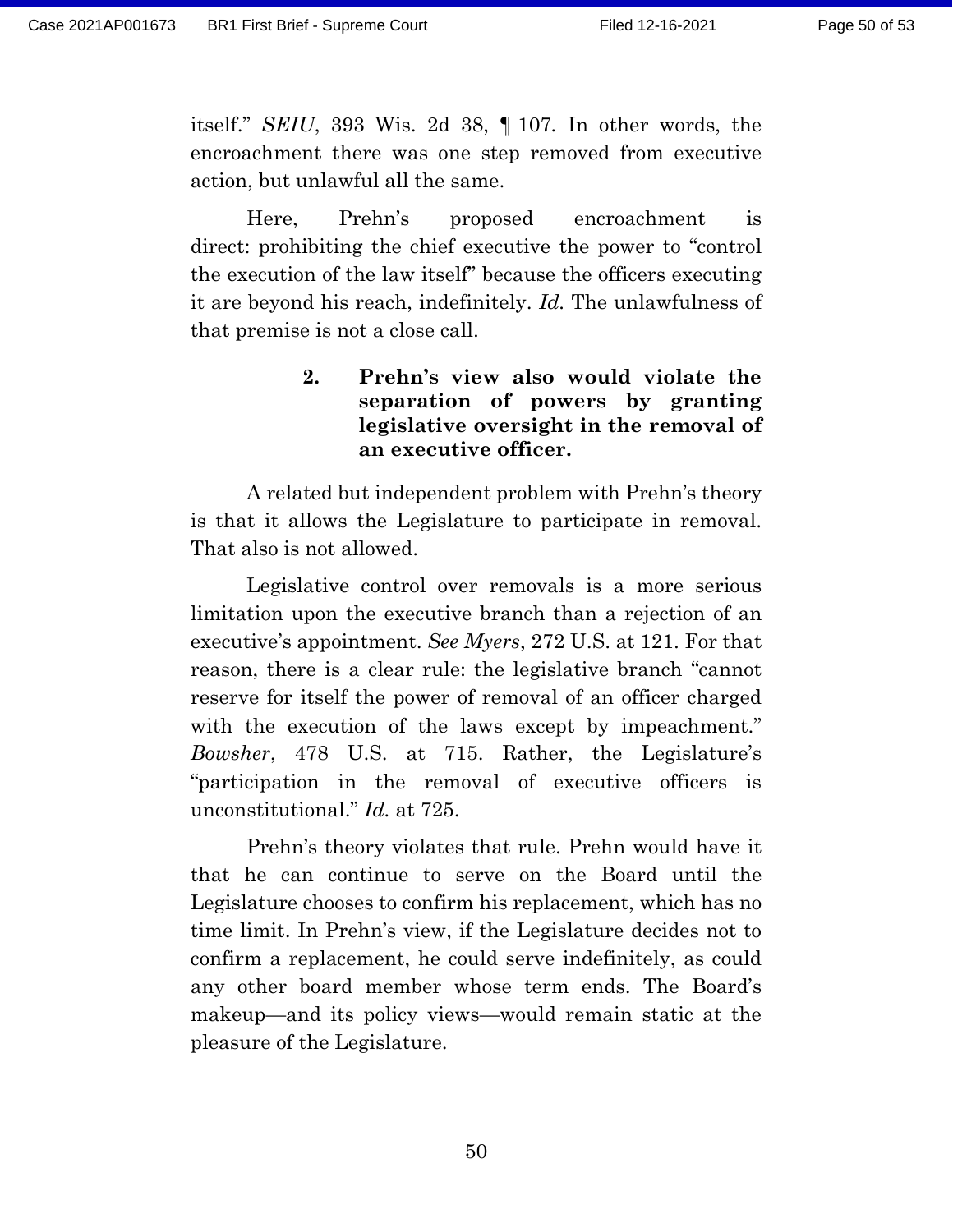itself." *SEIU*, 393 Wis. 2d 38, ¶ 107*.* In other words, the encroachment there was one step removed from executive action, but unlawful all the same.

Here, Prehn's proposed encroachment is direct: prohibiting the chief executive the power to "control the execution of the law itself" because the officers executing it are beyond his reach, indefinitely. *Id.* The unlawfulness of that premise is not a close call.

> **2. Prehn's view also would violate the separation of powers by granting legislative oversight in the removal of an executive officer.**

A related but independent problem with Prehn's theory is that it allows the Legislature to participate in removal. That also is not allowed.

Legislative control over removals is a more serious limitation upon the executive branch than a rejection of an executive's appointment. *See Myers*, 272 U.S. at 121. For that reason, there is a clear rule: the legislative branch "cannot reserve for itself the power of removal of an officer charged with the execution of the laws except by impeachment." *Bowsher*, 478 U.S. at 715. Rather, the Legislature's "participation in the removal of executive officers is unconstitutional." *Id.* at 725.

Prehn's theory violates that rule. Prehn would have it that he can continue to serve on the Board until the Legislature chooses to confirm his replacement, which has no time limit. In Prehn's view, if the Legislature decides not to confirm a replacement, he could serve indefinitely, as could any other board member whose term ends. The Board's makeup—and its policy views—would remain static at the pleasure of the Legislature.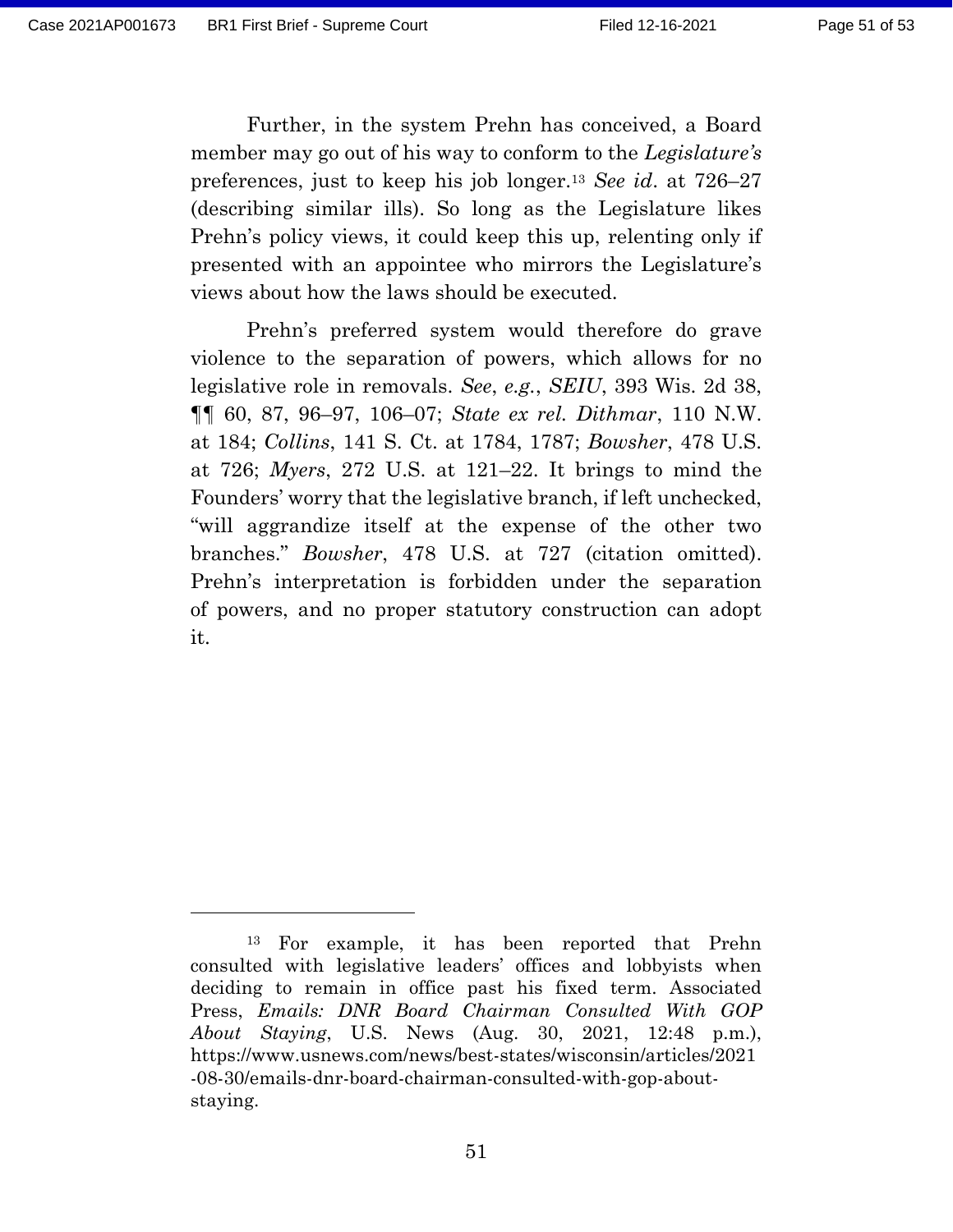Further, in the system Prehn has conceived, a Board member may go out of his way to conform to the *Legislature's* preferences, just to keep his job longer.<sup>13</sup> *See id*. at 726–27 (describing similar ills). So long as the Legislature likes Prehn's policy views, it could keep this up, relenting only if presented with an appointee who mirrors the Legislature's views about how the laws should be executed.

Prehn's preferred system would therefore do grave violence to the separation of powers, which allows for no legislative role in removals. *See*, *e.g.*, *SEIU*, 393 Wis. 2d 38, ¶¶ 60, 87, 96–97, 106–07; *State ex rel. Dithmar*, 110 N.W. at 184; *Collins*, 141 S. Ct. at 1784, 1787; *Bowsher*, 478 U.S. at 726; *Myers*, 272 U.S. at 121–22. It brings to mind the Founders' worry that the legislative branch, if left unchecked, "will aggrandize itself at the expense of the other two branches." *Bowsher*, 478 U.S. at 727 (citation omitted). Prehn's interpretation is forbidden under the separation of powers, and no proper statutory construction can adopt it.

<sup>13</sup> For example, it has been reported that Prehn consulted with legislative leaders' offices and lobbyists when deciding to remain in office past his fixed term. Associated Press, *Emails: DNR Board Chairman Consulted With GOP About Staying*, U.S. News (Aug. 30, 2021, 12:48 p.m.), https://www.usnews.com/news/best-states/wisconsin/articles/2021 -08-30/emails-dnr-board-chairman-consulted-with-gop-aboutstaying.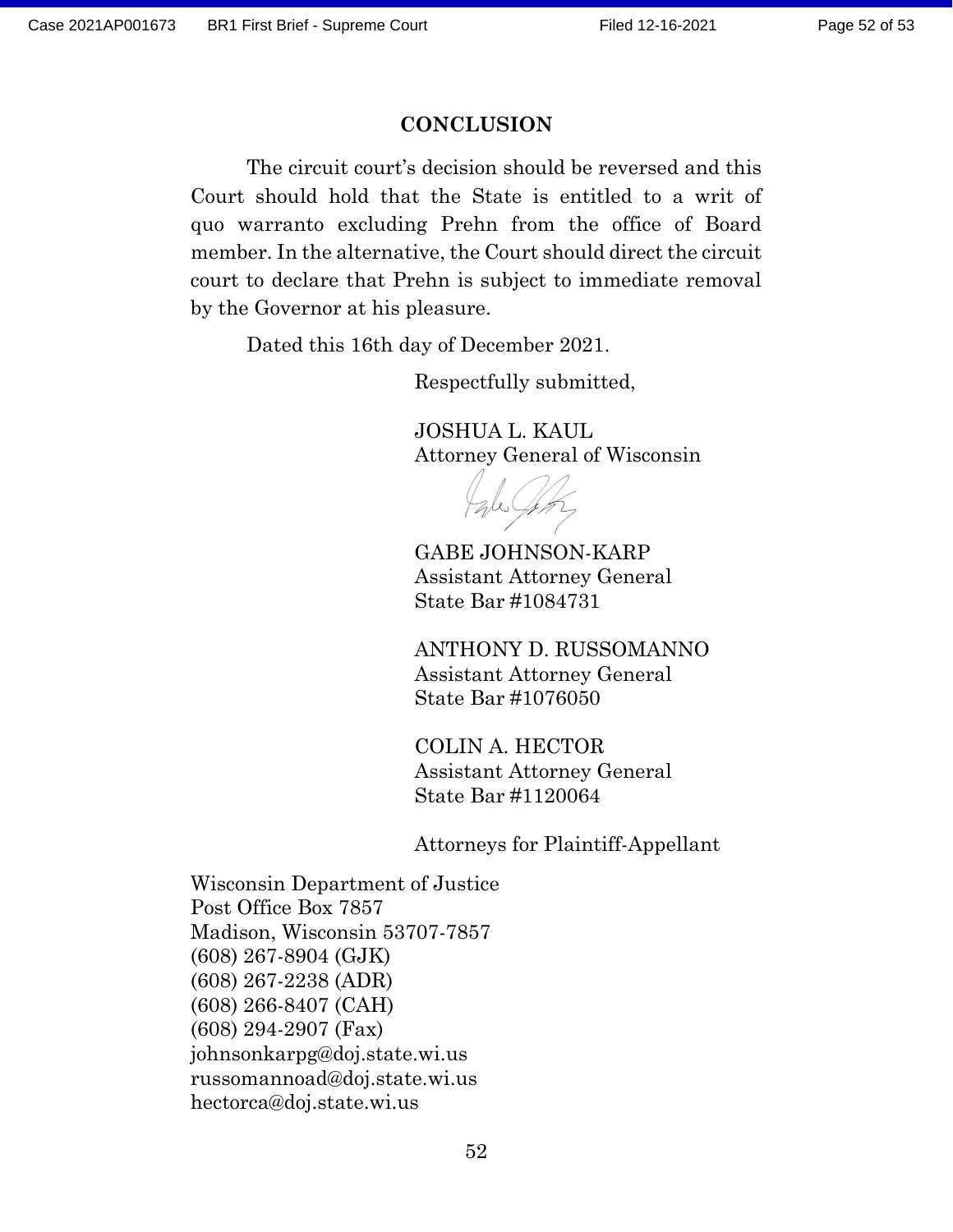#### **CONCLUSION**

The circuit court's decision should be reversed and this Court should hold that the State is entitled to a writ of quo warranto excluding Prehn from the office of Board member. In the alternative, the Court should direct the circuit court to declare that Prehn is subject to immediate removal by the Governor at his pleasure.

Dated this 16th day of December 2021.

Respectfully submitted,

JOSHUA L. KAUL Attorney General of Wisconsin

GABE JOHNSON-KARP Assistant Attorney General State Bar #1084731

ANTHONY D. RUSSOMANNO Assistant Attorney General State Bar #1076050

COLIN A. HECTOR Assistant Attorney General State Bar #1120064

Attorneys for Plaintiff-Appellant

Wisconsin Department of Justice Post Office Box 7857 Madison, Wisconsin 53707-7857 (608) 267-8904 (GJK) (608) 267-2238 (ADR) (608) 266-8407 (CAH) (608) 294-2907 (Fax) johnsonkarpg@doj.state.wi.us russomannoad@doj.state.wi.us hectorca@doj.state.wi.us